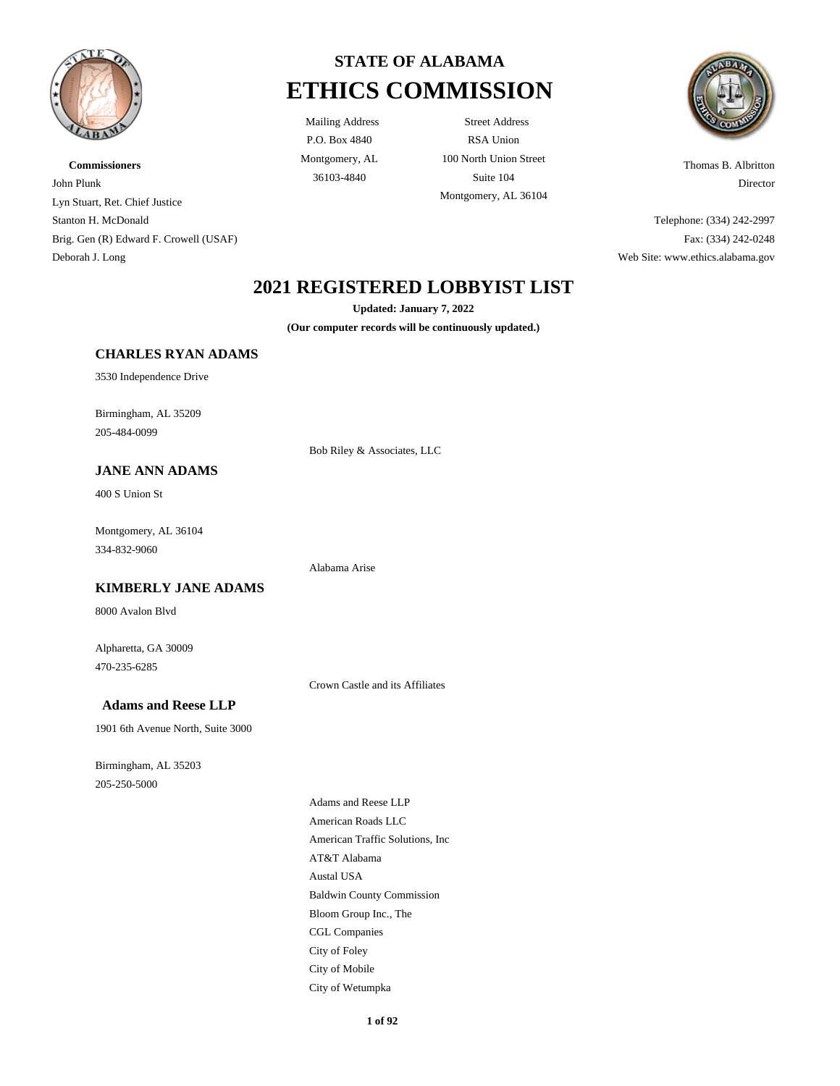

**Commissioners** John Plunk Lyn Stuart, Ret. Chief Justice Stanton H. McDonald Brig. Gen (R) Edward F. Crowell (USAF) Deborah J. Long



P.O. Box 4840 Montgomery, AL

Mailing Address Street Address RSA Union 100 North Union Street 36103-4840 Suite 104 Montgomery, AL 36104



Thomas B. Albritton Director

Telephone: (334) 242-2997 Fax: (334) 242-0248 Web Site: www.ethics.alabama.gov

# **2021 REGISTERED LOBBYIST LIST**

**Updated: January 7, 2022**

**(Our computer records will be continuously updated.)**

#### **CHARLES RYAN ADAMS**

3530 Independence Drive

Birmingham, AL 35209 205-484-0099

#### Bob Riley & Associates, LLC

Alabama Arise

**JANE ANN ADAMS**

400 S Union St

Montgomery, AL 36104 334-832-9060

#### **KIMBERLY JANE ADAMS**

8000 Avalon Blvd

Alpharetta, GA 30009 470-235-6285

Crown Castle and its Affiliates

### **Adams and Reese LLP**

1901 6th Avenue North, Suite 3000

Birmingham, AL 35203 205-250-5000

Adams and Reese LLP American Roads LLC American Traffic Solutions, Inc AT&T Alabama Austal USA Baldwin County Commission Bloom Group Inc., The CGL Companies City of Foley City of Mobile City of Wetumpka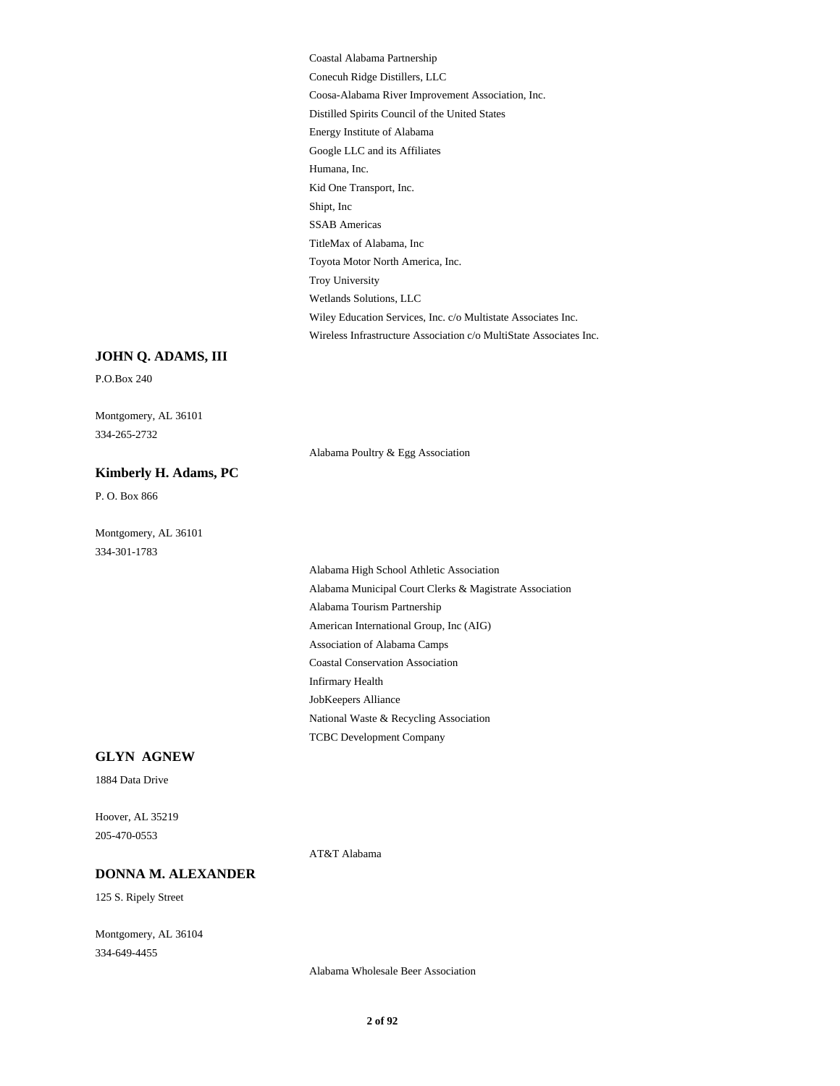Coastal Alabama Partnership Conecuh Ridge Distillers, LLC Coosa-Alabama River Improvement Association, Inc. Distilled Spirits Council of the United States Energy Institute of Alabama Google LLC and its Affiliates Humana, Inc. Kid One Transport, Inc. Shipt, Inc SSAB Americas TitleMax of Alabama, Inc Toyota Motor North America, Inc. Troy University Wetlands Solutions, LLC Wiley Education Services, Inc. c/o Multistate Associates Inc. Wireless Infrastructure Association c/o MultiState Associates Inc.

#### **JOHN Q. ADAMS, III**

P.O.Box 240

Montgomery, AL 36101 334-265-2732

Alabama Poultry & Egg Association

# **Kimberly H. Adams, PC**

P. O. Box 866

Montgomery, AL 36101 334-301-1783

> Alabama High School Athletic Association Alabama Municipal Court Clerks & Magistrate Association Alabama Tourism Partnership American International Group, Inc (AIG) Association of Alabama Camps Coastal Conservation Association Infirmary Health JobKeepers Alliance National Waste & Recycling Association TCBC Development Company

#### **GLYN AGNEW**

1884 Data Drive

Hoover, AL 35219 205-470-0553

AT&T Alabama

### **DONNA M. ALEXANDER**

125 S. Ripely Street

Montgomery, AL 36104 334-649-4455

Alabama Wholesale Beer Association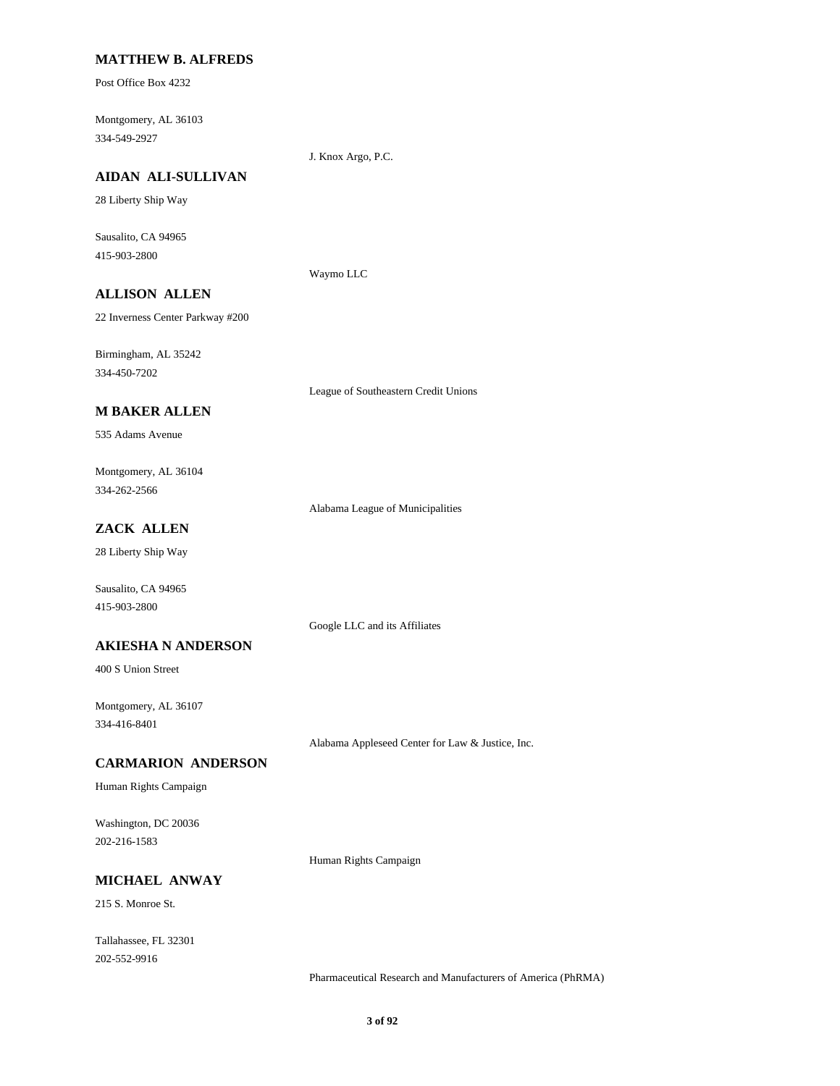#### **MATTHEW B. ALFREDS**

Post Office Box 4232

Montgomery, AL 36103 334-549-2927

J. Knox Argo, P.C.

# **AIDAN ALI-SULLIVAN**

28 Liberty Ship Way

Sausalito, CA 94965 415-903-2800

Waymo LLC

# **ALLISON ALLEN**

22 Inverness Center Parkway #200

Birmingham, AL 35242 334-450-7202

League of Southeastern Credit Unions

#### **M BAKER ALLEN**

535 Adams Avenue

Montgomery, AL 36104 334-262-2566

Alabama League of Municipalities

# **ZACK ALLEN**

28 Liberty Ship Way

Sausalito, CA 94965 415-903-2800

Google LLC and its Affiliates

#### **AKIESHA N ANDERSON**

400 S Union Street

Montgomery, AL 36107 334-416-8401

Alabama Appleseed Center for Law & Justice, Inc.

#### **CARMARION ANDERSON**

Human Rights Campaign

Washington, DC 20036 202-216-1583

Human Rights Campaign

# **MICHAEL ANWAY**

215 S. Monroe St.

Tallahassee, FL 32301 202-552-9916

Pharmaceutical Research and Manufacturers of America (PhRMA)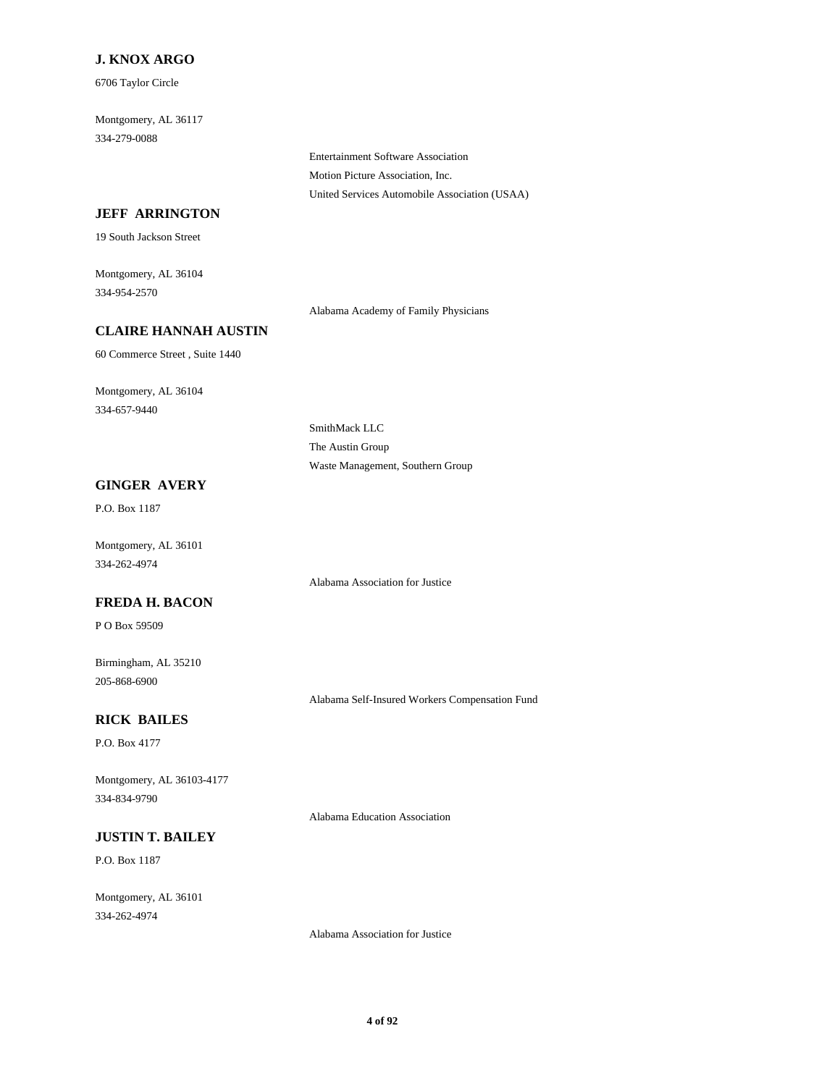### **J. KNOX ARGO**

6706 Taylor Circle

Montgomery, AL 36117 334-279-0088

> Entertainment Software Association Motion Picture Association, Inc. United Services Automobile Association (USAA)

### **JEFF ARRINGTON**

19 South Jackson Street

Montgomery, AL 36104 334-954-2570

Alabama Academy of Family Physicians

### **CLAIRE HANNAH AUSTIN**

60 Commerce Street , Suite 1440

Montgomery, AL 36104 334-657-9440

> SmithMack LLC The Austin Group Waste Management, Southern Group

### **GINGER AVERY**

P.O. Box 1187

Montgomery, AL 36101 334-262-4974

Alabama Association for Justice

### **FREDA H. BACON**

P O Box 59509

Birmingham, AL 35210 205-868-6900

Alabama Self-Insured Workers Compensation Fund

### **RICK BAILES**

P.O. Box 4177

Montgomery, AL 36103-4177 334-834-9790

Alabama Education Association

# **JUSTIN T. BAILEY**

P.O. Box 1187

Montgomery, AL 36101 334-262-4974

Alabama Association for Justice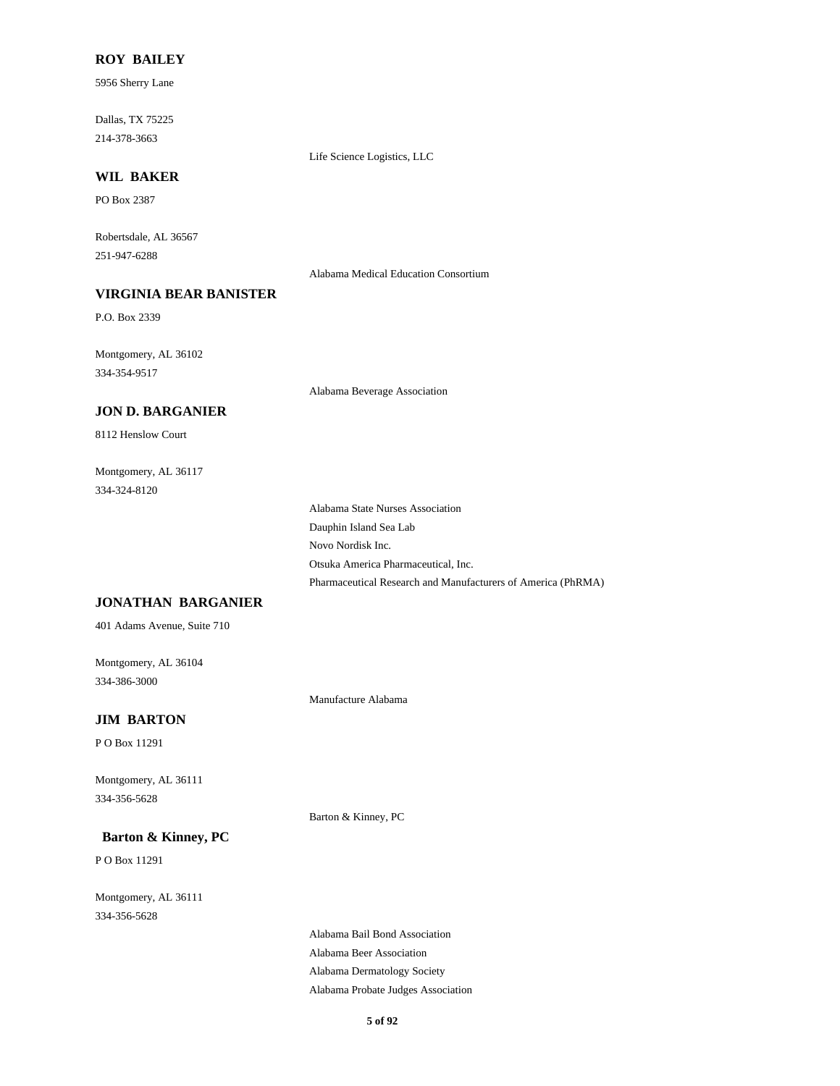#### **ROY BAILEY**

5956 Sherry Lane

Dallas, TX 75225 214-378-3663

Life Science Logistics, LLC

# **WIL BAKER**

PO Box 2387

Robertsdale, AL 36567 251-947-6288

Alabama Medical Education Consortium

# **VIRGINIA BEAR BANISTER**

P.O. Box 2339

Montgomery, AL 36102 334-354-9517

Alabama Beverage Association

#### **JON D. BARGANIER**

8112 Henslow Court

Montgomery, AL 36117 334-324-8120

> Alabama State Nurses Association Dauphin Island Sea Lab Novo Nordisk Inc. Otsuka America Pharmaceutical, Inc. Pharmaceutical Research and Manufacturers of America (PhRMA)

### **JONATHAN BARGANIER**

401 Adams Avenue, Suite 710

Montgomery, AL 36104 334-386-3000

Manufacture Alabama

### **JIM BARTON**

P O Box 11291

Montgomery, AL 36111 334-356-5628

Barton & Kinney, PC

### **Barton & Kinney, PC**

P O Box 11291

Montgomery, AL 36111 334-356-5628

> Alabama Bail Bond Association Alabama Beer Association Alabama Dermatology Society Alabama Probate Judges Association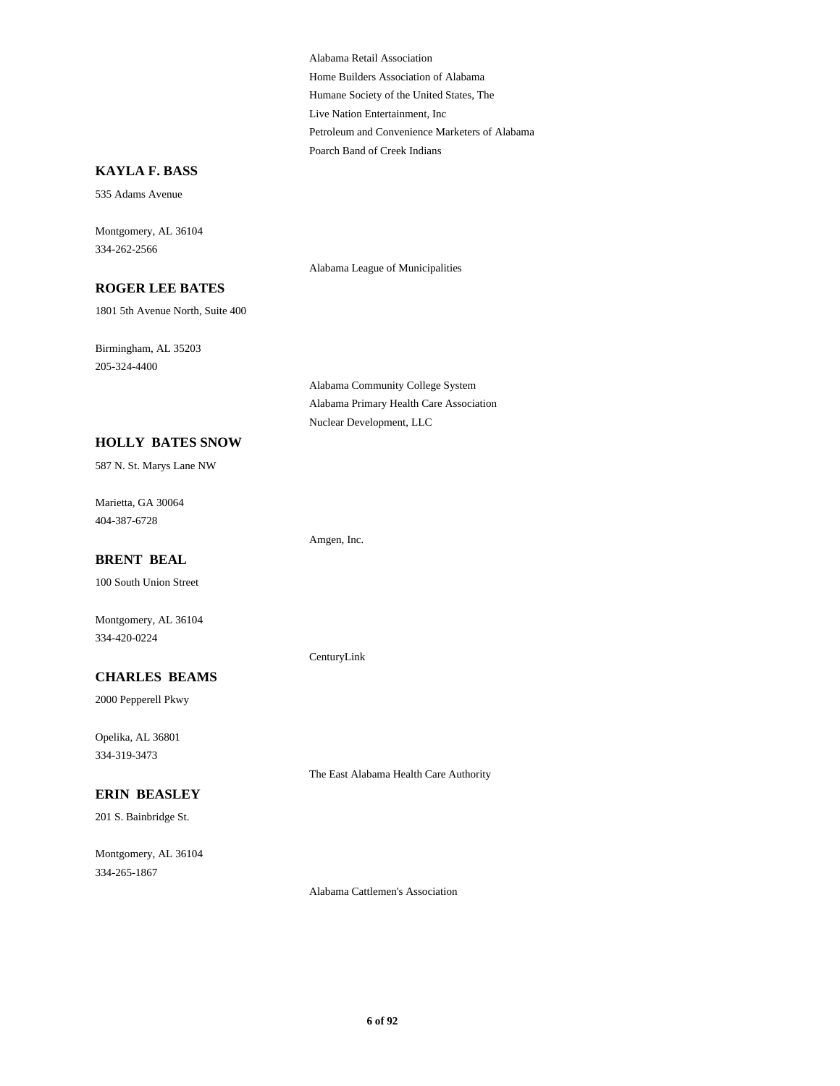Alabama Retail Association Home Builders Association of Alabama Humane Society of the United States, The Live Nation Entertainment, Inc Petroleum and Convenience Marketers of Alabama Poarch Band of Creek Indians

#### **KAYLA F. BASS**

535 Adams Avenue

Montgomery, AL 36104 334-262-2566

Alabama League of Municipalities

#### **ROGER LEE BATES**

1801 5th Avenue North, Suite 400

Birmingham, AL 35203 205-324-4400

> Alabama Community College System Alabama Primary Health Care Association Nuclear Development, LLC

Amgen, Inc.

CenturyLink

#### **HOLLY BATES SNOW**

587 N. St. Marys Lane NW

Marietta, GA 30064 404-387-6728

#### **BRENT BEAL**

100 South Union Street

Montgomery, AL 36104 334-420-0224

#### **CHARLES BEAMS**

2000 Pepperell Pkwy

Opelika, AL 36801 334-319-3473

#### **ERIN BEASLEY**

201 S. Bainbridge St.

Montgomery, AL 36104 334-265-1867

The East Alabama Health Care Authority

Alabama Cattlemen's Association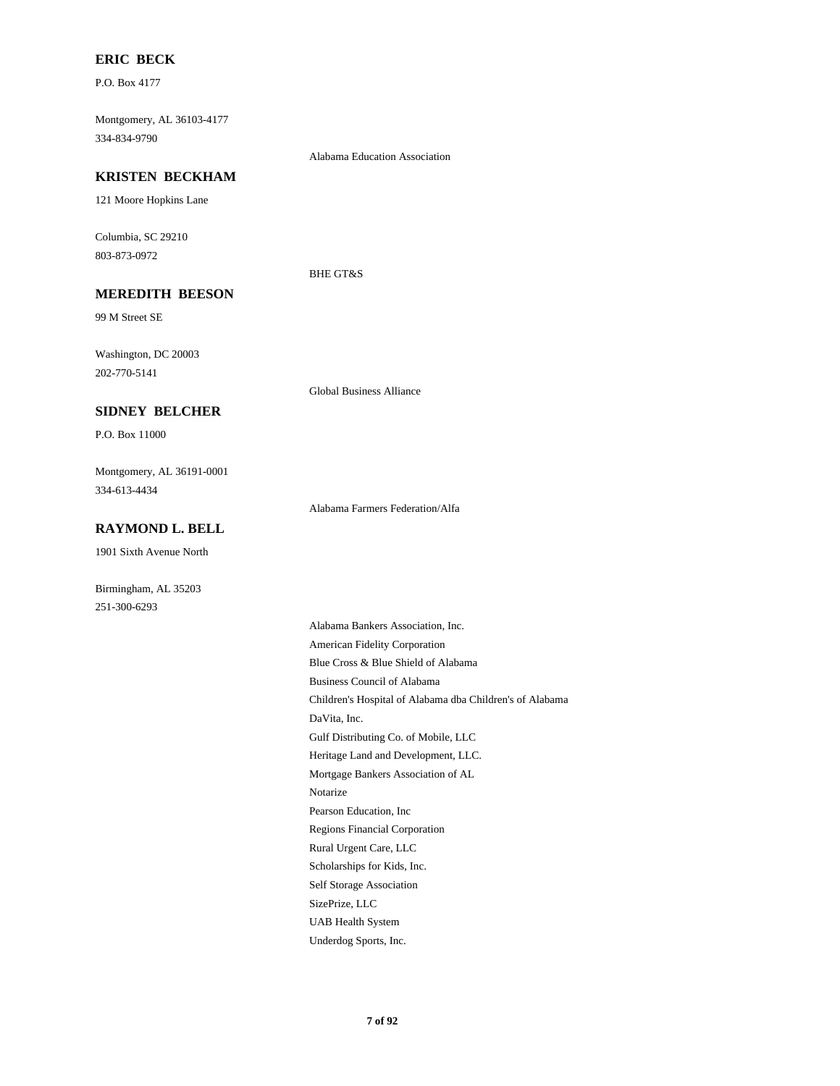#### **ERIC BECK**

P.O. Box 4177

Montgomery, AL 36103-4177 334-834-9790

#### **KRISTEN BECKHAM**

121 Moore Hopkins Lane

Columbia, SC 29210 803-873-0972

#### BHE GT&S

Alabama Education Association

**MEREDITH BEESON**

99 M Street SE

Washington, DC 20003 202-770-5141

#### **SIDNEY BELCHER**

P.O. Box 11000

Montgomery, AL 36191-0001 334-613-4434

Alabama Farmers Federation/Alfa

Global Business Alliance

### **RAYMOND L. BELL**

1901 Sixth Avenue North

Birmingham, AL 35203 251-300-6293

> Alabama Bankers Association, Inc. American Fidelity Corporation Blue Cross & Blue Shield of Alabama Business Council of Alabama Children's Hospital of Alabama dba Children's of Alabama DaVita, Inc. Gulf Distributing Co. of Mobile, LLC Heritage Land and Development, LLC. Mortgage Bankers Association of AL Notarize Pearson Education, Inc Regions Financial Corporation Rural Urgent Care, LLC Scholarships for Kids, Inc. Self Storage Association SizePrize, LLC UAB Health System Underdog Sports, Inc.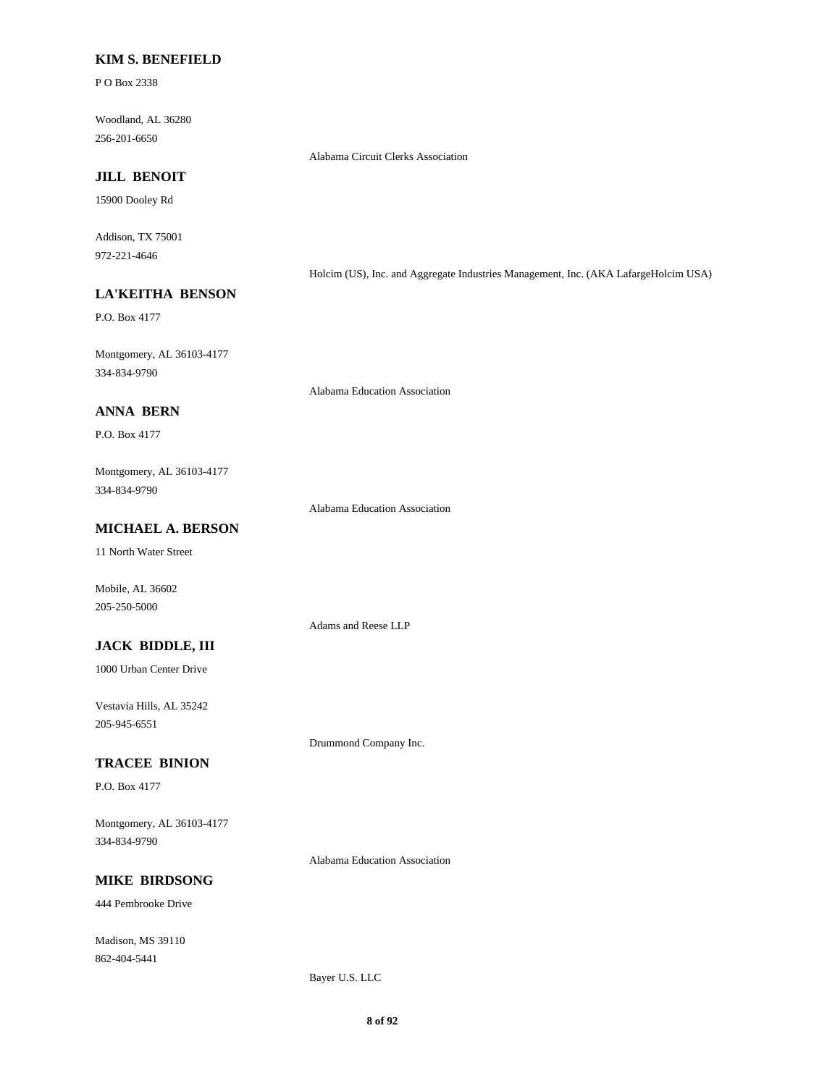#### **KIM S. BENEFIELD**

P O Box 2338

Woodland, AL 36280 256-201-6650

Alabama Circuit Clerks Association

# **JILL BENOIT**

15900 Dooley Rd

Addison, TX 75001 972-221-4646

Holcim (US), Inc. and Aggregate Industries Management, Inc. (AKA LafargeHolcim USA)

# **LA'KEITHA BENSON**

P.O. Box 4177

Montgomery, AL 36103-4177 334-834-9790

Alabama Education Association

### **ANNA BERN**

P.O. Box 4177

Montgomery, AL 36103-4177 334-834-9790

Alabama Education Association

Adams and Reese LLP

Drummond Company Inc.

# **MICHAEL A. BERSON**

11 North Water Street

Mobile, AL 36602 205-250-5000

**JACK BIDDLE, III**

1000 Urban Center Drive

Vestavia Hills, AL 35242 205-945-6551

#### **TRACEE BINION**

P.O. Box 4177

Montgomery, AL 36103-4177 334-834-9790

Alabama Education Association

### **MIKE BIRDSONG**

444 Pembrooke Drive

Madison, MS 39110 862-404-5441

Bayer U.S. LLC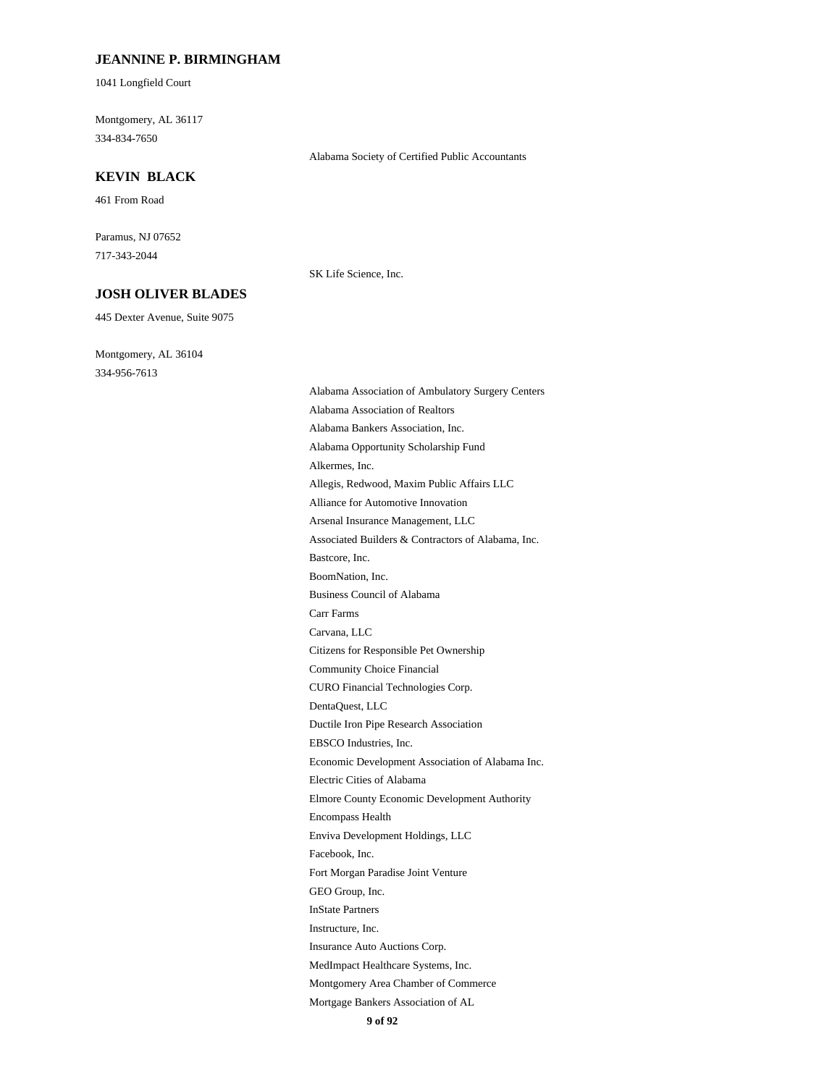#### **JEANNINE P. BIRMINGHAM**

1041 Longfield Court

Montgomery, AL 36117 334-834-7650

#### **KEVIN BLACK**

461 From Road

Paramus, NJ 07652 717-343-2044

#### **JOSH OLIVER BLADES**

445 Dexter Avenue, Suite 9075

Montgomery, AL 36104 334-956-7613

SK Life Science, Inc.

Alabama Society of Certified Public Accountants

Alabama Association of Ambulatory Surgery Centers Alabama Association of Realtors Alabama Bankers Association, Inc. Alabama Opportunity Scholarship Fund Alkermes, Inc. Allegis, Redwood, Maxim Public Affairs LLC Alliance for Automotive Innovation Arsenal Insurance Management, LLC Associated Builders & Contractors of Alabama, Inc. Bastcore, Inc. BoomNation, Inc. Business Council of Alabama Carr Farms Carvana, LLC Citizens for Responsible Pet Ownership Community Choice Financial CURO Financial Technologies Corp. DentaQuest, LLC Ductile Iron Pipe Research Association EBSCO Industries, Inc. Economic Development Association of Alabama Inc. Electric Cities of Alabama Elmore County Economic Development Authority Encompass Health Enviva Development Holdings, LLC Facebook, Inc. Fort Morgan Paradise Joint Venture GEO Group, Inc. InState Partners Instructure, Inc. Insurance Auto Auctions Corp. MedImpact Healthcare Systems, Inc. Montgomery Area Chamber of Commerce Mortgage Bankers Association of AL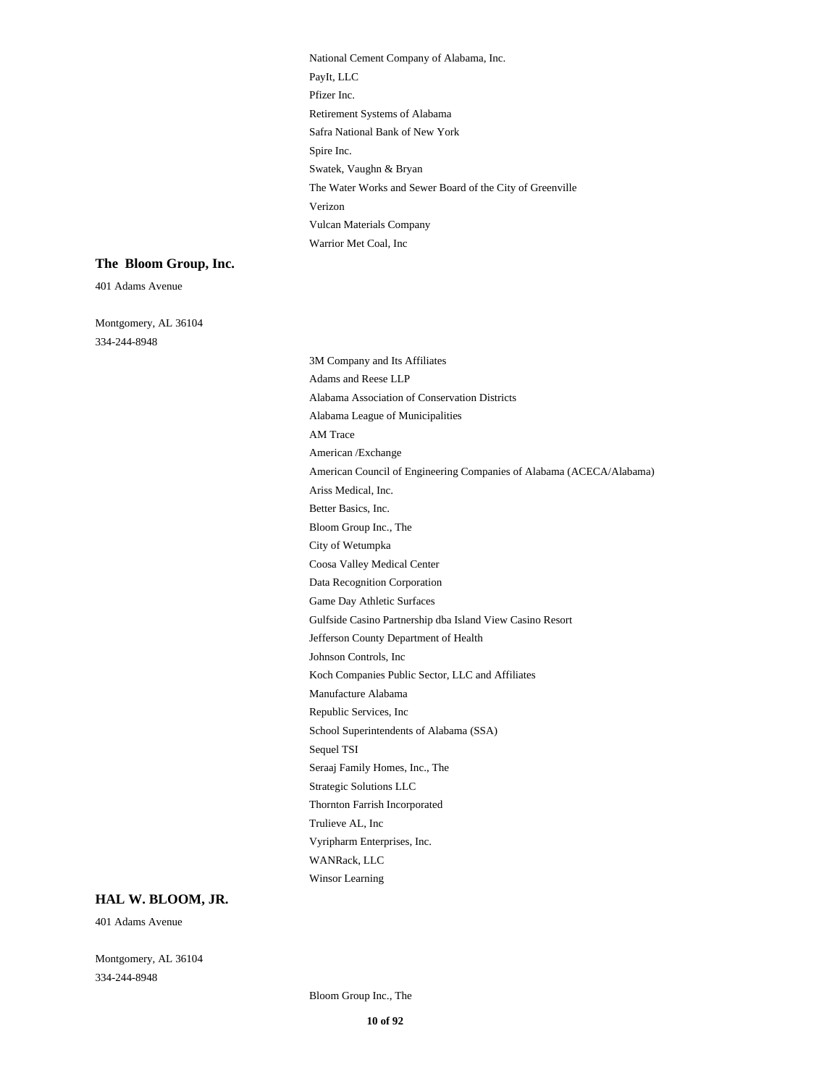National Cement Company of Alabama, Inc. PayIt, LLC Pfizer Inc. Retirement Systems of Alabama Safra National Bank of New York Spire Inc. Swatek, Vaughn & Bryan The Water Works and Sewer Board of the City of Greenville Verizon Vulcan Materials Company Warrior Met Coal, Inc

#### **The Bloom Group, Inc.**

401 Adams Avenue

Montgomery, AL 36104 334-244-8948

3M Company and Its Affiliates Adams and Reese LLP Alabama Association of Conservation Districts Alabama League of Municipalities AM Trace American /Exchange American Council of Engineering Companies of Alabama (ACECA/Alabama) Ariss Medical, Inc. Better Basics, Inc. Bloom Group Inc., The City of Wetumpka Coosa Valley Medical Center Data Recognition Corporation Game Day Athletic Surfaces Gulfside Casino Partnership dba Island View Casino Resort Jefferson County Department of Health Johnson Controls, Inc Koch Companies Public Sector, LLC and Affiliates Manufacture Alabama Republic Services, Inc School Superintendents of Alabama (SSA) Sequel TSI Seraaj Family Homes, Inc., The Strategic Solutions LLC Thornton Farrish Incorporated Trulieve AL, Inc Vyripharm Enterprises, Inc. WANRack, LLC Winsor Learning

#### **HAL W. BLOOM, JR.**

401 Adams Avenue

Montgomery, AL 36104 334-244-8948

Bloom Group Inc., The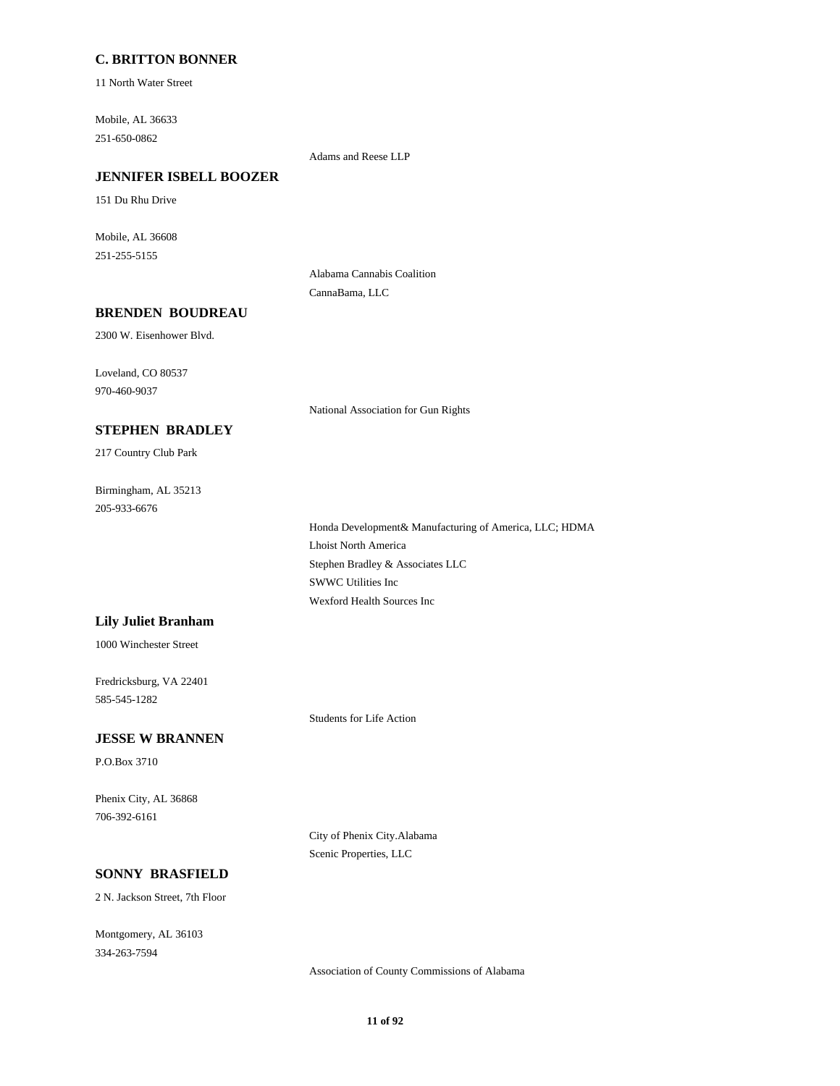#### **C. BRITTON BONNER**

11 North Water Street

Mobile, AL 36633 251-650-0862

Adams and Reese LLP

### **JENNIFER ISBELL BOOZER**

151 Du Rhu Drive

Mobile, AL 36608 251-255-5155

> Alabama Cannabis Coalition CannaBama, LLC

#### **BRENDEN BOUDREAU**

2300 W. Eisenhower Blvd.

Loveland, CO 80537 970-460-9037

National Association for Gun Rights

# **STEPHEN BRADLEY**

217 Country Club Park

Birmingham, AL 35213 205-933-6676

> Honda Development& Manufacturing of America, LLC; HDMA Lhoist North America Stephen Bradley & Associates LLC SWWC Utilities Inc Wexford Health Sources Inc

#### **Lily Juliet Branham**

1000 Winchester Street

Fredricksburg, VA 22401 585-545-1282

Students for Life Action

#### **JESSE W BRANNEN**

P.O.Box 3710

Phenix City, AL 36868 706-392-6161

> City of Phenix City.Alabama Scenic Properties, LLC

### **SONNY BRASFIELD**

2 N. Jackson Street, 7th Floor

Montgomery, AL 36103 334-263-7594

Association of County Commissions of Alabama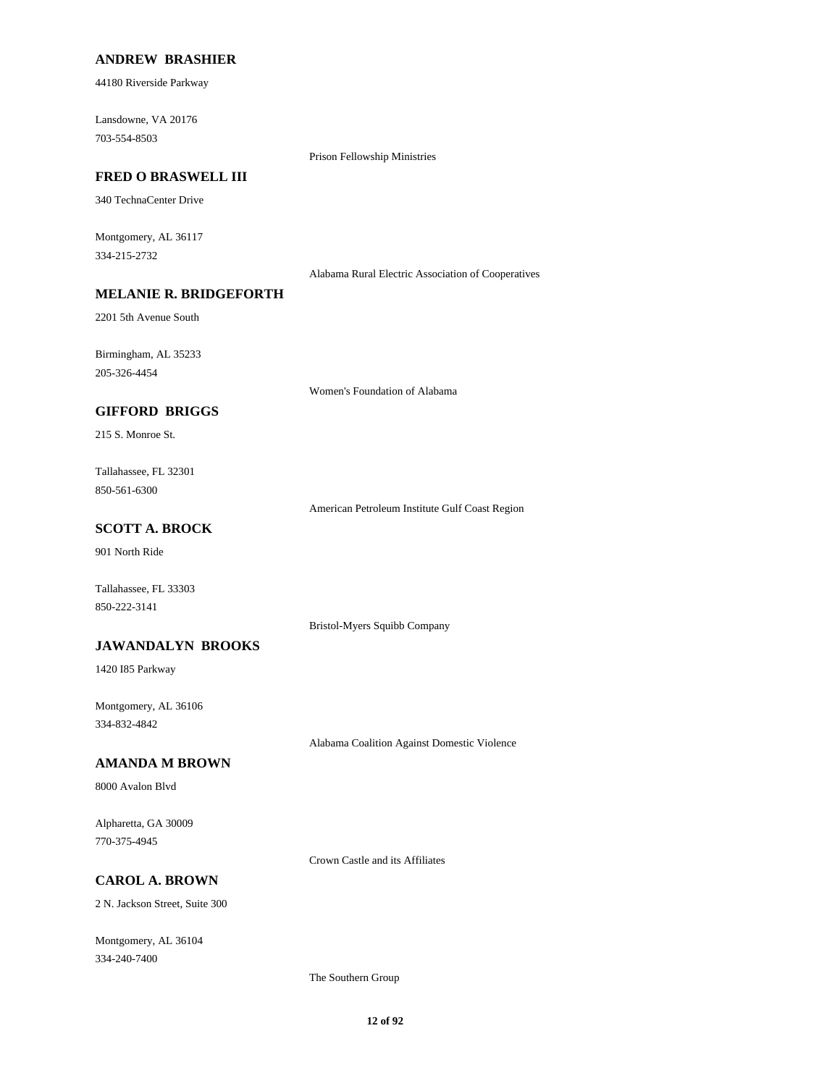#### **ANDREW BRASHIER**

44180 Riverside Parkway

Lansdowne, VA 20176 703-554-8503

Prison Fellowship Ministries

#### **FRED O BRASWELL III**

340 TechnaCenter Drive

Montgomery, AL 36117 334-215-2732

Alabama Rural Electric Association of Cooperatives

### **MELANIE R. BRIDGEFORTH**

2201 5th Avenue South

Birmingham, AL 35233 205-326-4454

Women's Foundation of Alabama

### **GIFFORD BRIGGS**

215 S. Monroe St.

Tallahassee, FL 32301 850-561-6300

American Petroleum Institute Gulf Coast Region

# **SCOTT A. BROCK**

901 North Ride

Tallahassee, FL 33303 850-222-3141

Bristol-Myers Squibb Company

#### **JAWANDALYN BROOKS**

1420 I85 Parkway

Montgomery, AL 36106 334-832-4842

Alabama Coalition Against Domestic Violence

### **AMANDA M BROWN**

8000 Avalon Blvd

Alpharetta, GA 30009 770-375-4945

Crown Castle and its Affiliates

# **CAROL A. BROWN**

2 N. Jackson Street, Suite 300

Montgomery, AL 36104 334-240-7400

The Southern Group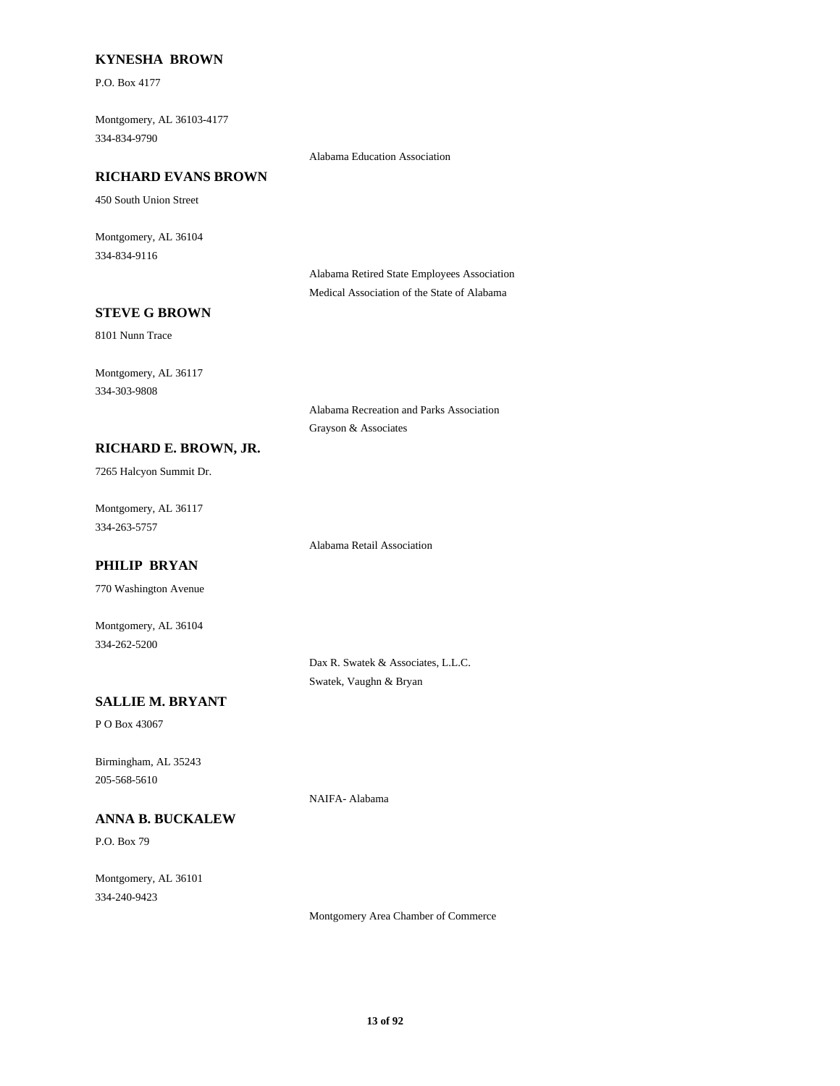#### **KYNESHA BROWN**

P.O. Box 4177

Montgomery, AL 36103-4177 334-834-9790

Alabama Education Association

#### **RICHARD EVANS BROWN**

450 South Union Street

Montgomery, AL 36104 334-834-9116

> Alabama Retired State Employees Association Medical Association of the State of Alabama

### **STEVE G BROWN**

8101 Nunn Trace

Montgomery, AL 36117 334-303-9808

> Alabama Recreation and Parks Association Grayson & Associates

#### **RICHARD E. BROWN, JR.**

7265 Halcyon Summit Dr.

Montgomery, AL 36117 334-263-5757

Alabama Retail Association

# **PHILIP BRYAN**

770 Washington Avenue

Montgomery, AL 36104 334-262-5200

> Dax R. Swatek & Associates, L.L.C. Swatek, Vaughn & Bryan

NAIFA- Alabama

# **SALLIE M. BRYANT**

P O Box 43067

Birmingham, AL 35243 205-568-5610

#### **ANNA B. BUCKALEW**

P.O. Box 79

Montgomery, AL 36101 334-240-9423

Montgomery Area Chamber of Commerce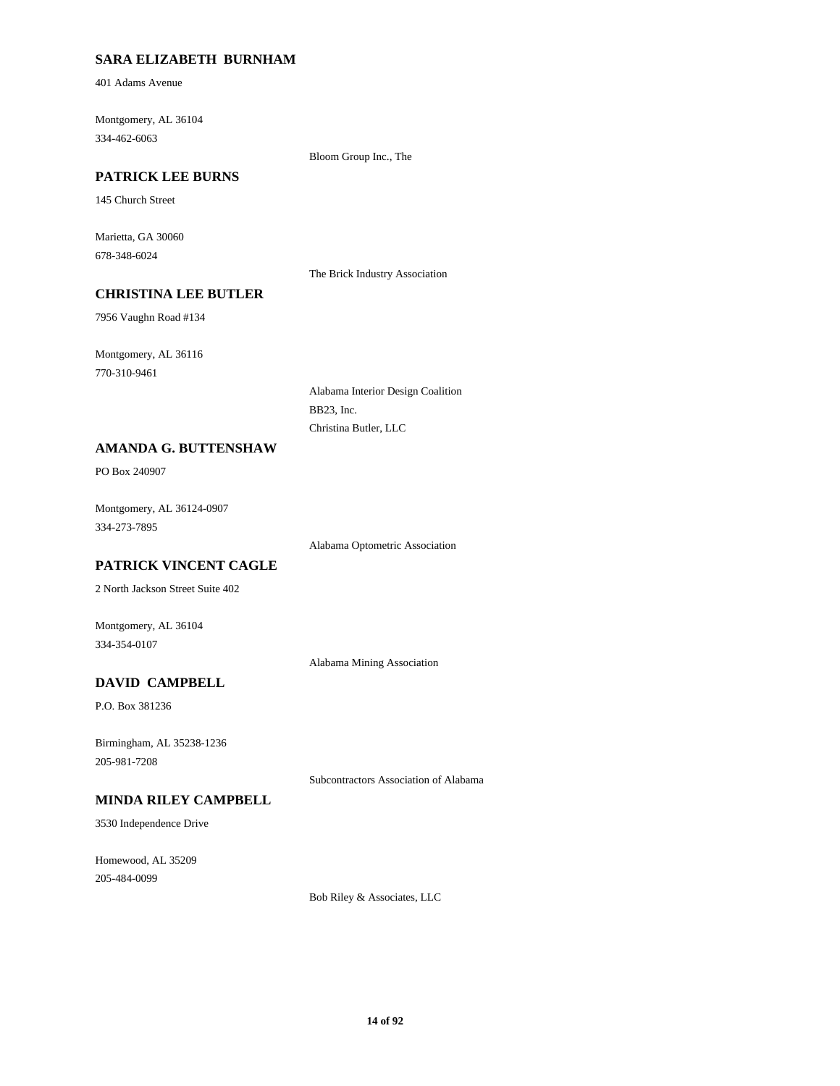### **SARA ELIZABETH BURNHAM**

401 Adams Avenue

Montgomery, AL 36104 334-462-6063

Bloom Group Inc., The

### **PATRICK LEE BURNS**

145 Church Street

Marietta, GA 30060 678-348-6024

The Brick Industry Association

# **CHRISTINA LEE BUTLER**

7956 Vaughn Road #134

Montgomery, AL 36116 770-310-9461

> Alabama Interior Design Coalition BB23, Inc. Christina Butler, LLC

#### **AMANDA G. BUTTENSHAW**

PO Box 240907

Montgomery, AL 36124-0907 334-273-7895

Alabama Optometric Association

# **PATRICK VINCENT CAGLE**

2 North Jackson Street Suite 402

Montgomery, AL 36104 334-354-0107

Alabama Mining Association

# **DAVID CAMPBELL**

P.O. Box 381236

Birmingham, AL 35238-1236 205-981-7208

Subcontractors Association of Alabama

# **MINDA RILEY CAMPBELL**

3530 Independence Drive

Homewood, AL 35209 205-484-0099

Bob Riley & Associates, LLC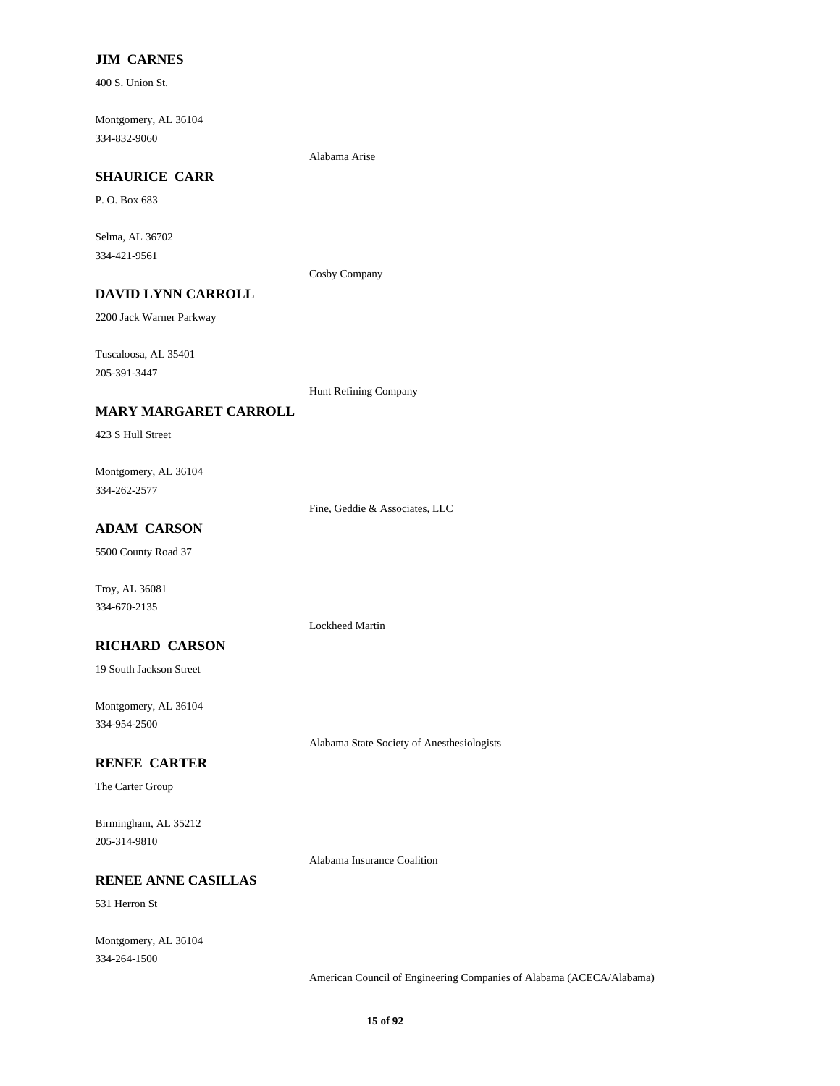### **JIM CARNES**

400 S. Union St.

Montgomery, AL 36104 334-832-9060

Alabama Arise

# **SHAURICE CARR**

P. O. Box 683

Selma, AL 36702 334-421-9561

Cosby Company

# **DAVID LYNN CARROLL**

2200 Jack Warner Parkway

Tuscaloosa, AL 35401 205-391-3447

Hunt Refining Company

#### **MARY MARGARET CARROLL**

423 S Hull Street

Montgomery, AL 36104 334-262-2577

Fine, Geddie & Associates, LLC

Lockheed Martin

### **ADAM CARSON**

5500 County Road 37

Troy, AL 36081 334-670-2135

#### **RICHARD CARSON**

19 South Jackson Street

Montgomery, AL 36104 334-954-2500

Alabama State Society of Anesthesiologists

#### **RENEE CARTER**

The Carter Group

Birmingham, AL 35212 205-314-9810

Alabama Insurance Coalition

#### **RENEE ANNE CASILLAS**

531 Herron St

Montgomery, AL 36104 334-264-1500

American Council of Engineering Companies of Alabama (ACECA/Alabama)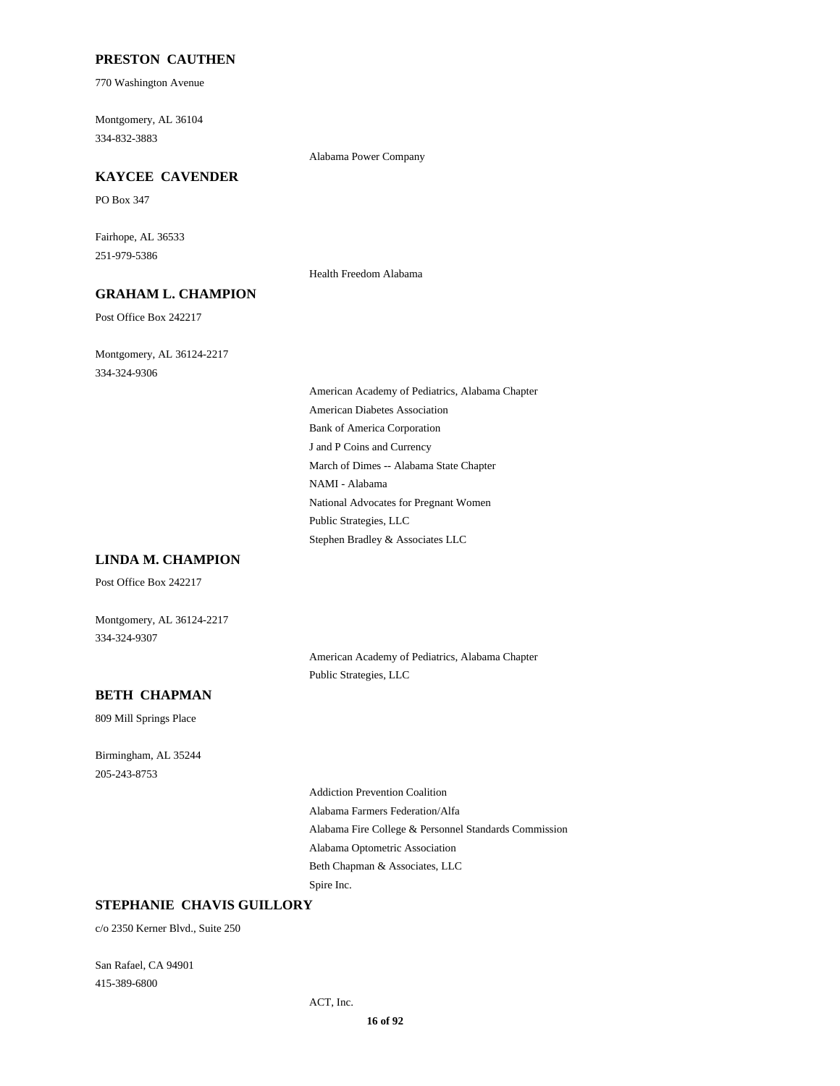#### **PRESTON CAUTHEN**

770 Washington Avenue

Montgomery, AL 36104 334-832-3883

### Alabama Power Company **KAYCEE CAVENDER**

PO Box 347

Fairhope, AL 36533 251-979-5386

### **GRAHAM L. CHAMPION**

Post Office Box 242217

Montgomery, AL 36124-2217 334-324-9306

> American Academy of Pediatrics, Alabama Chapter American Diabetes Association Bank of America Corporation J and P Coins and Currency March of Dimes -- Alabama State Chapter NAMI - Alabama National Advocates for Pregnant Women Public Strategies, LLC Stephen Bradley & Associates LLC

Health Freedom Alabama

#### **LINDA M. CHAMPION**

Post Office Box 242217

Montgomery, AL 36124-2217 334-324-9307

> American Academy of Pediatrics, Alabama Chapter Public Strategies, LLC

#### **BETH CHAPMAN**

809 Mill Springs Place

Birmingham, AL 35244 205-243-8753

> Addiction Prevention Coalition Alabama Farmers Federation/Alfa Alabama Fire College & Personnel Standards Commission Alabama Optometric Association Beth Chapman & Associates, LLC Spire Inc.

#### **STEPHANIE CHAVIS GUILLORY**

c/o 2350 Kerner Blvd., Suite 250

San Rafael, CA 94901 415-389-6800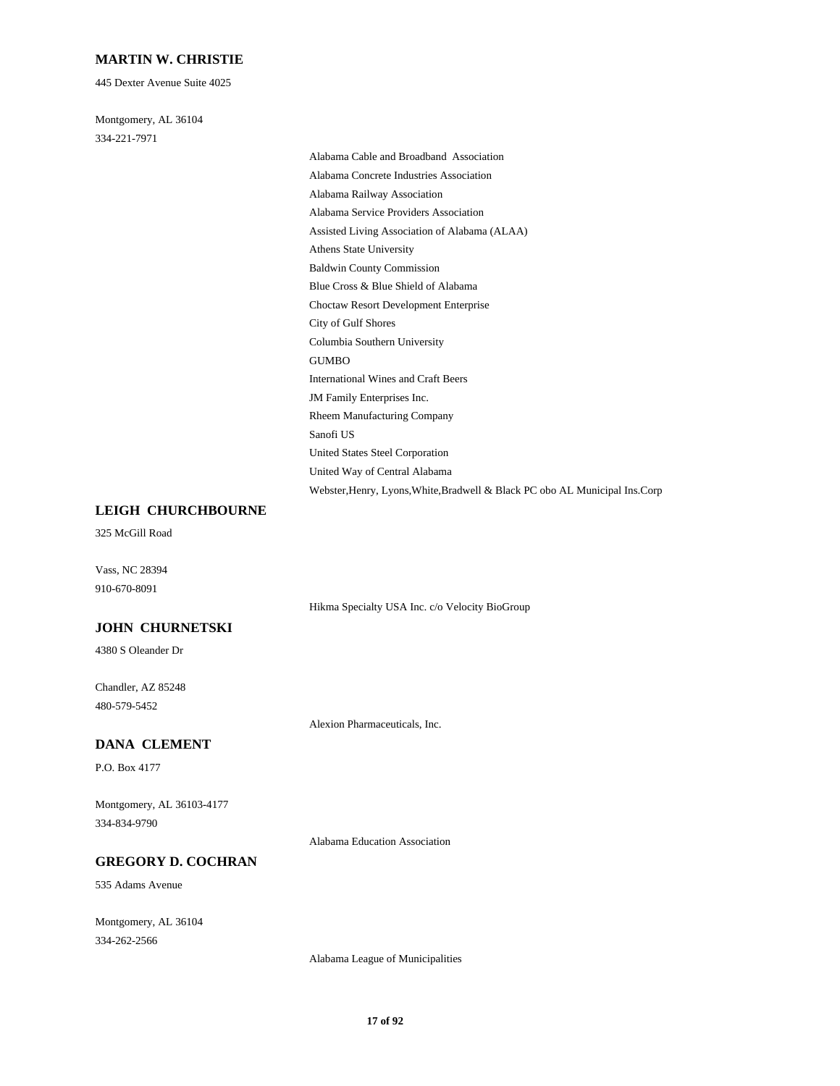#### **MARTIN W. CHRISTIE**

445 Dexter Avenue Suite 4025

Montgomery, AL 36104 334-221-7971

> Alabama Cable and Broadband Association Alabama Concrete Industries Association Alabama Railway Association Alabama Service Providers Association Assisted Living Association of Alabama (ALAA) Athens State University Baldwin County Commission Blue Cross & Blue Shield of Alabama Choctaw Resort Development Enterprise City of Gulf Shores Columbia Southern University GUMBO International Wines and Craft Beers JM Family Enterprises Inc. Rheem Manufacturing Company Sanofi US United States Steel Corporation United Way of Central Alabama Webster,Henry, Lyons,White,Bradwell & Black PC obo AL Municipal Ins.Corp

#### **LEIGH CHURCHBOURNE**

325 McGill Road

Vass, NC 28394 910-670-8091

Hikma Specialty USA Inc. c/o Velocity BioGroup

# **JOHN CHURNETSKI**

4380 S Oleander Dr

Chandler, AZ 85248 480-579-5452

Alexion Pharmaceuticals, Inc.

### **DANA CLEMENT**

P.O. Box 4177

Montgomery, AL 36103-4177 334-834-9790

Alabama Education Association

#### **GREGORY D. COCHRAN**

535 Adams Avenue

Montgomery, AL 36104 334-262-2566

Alabama League of Municipalities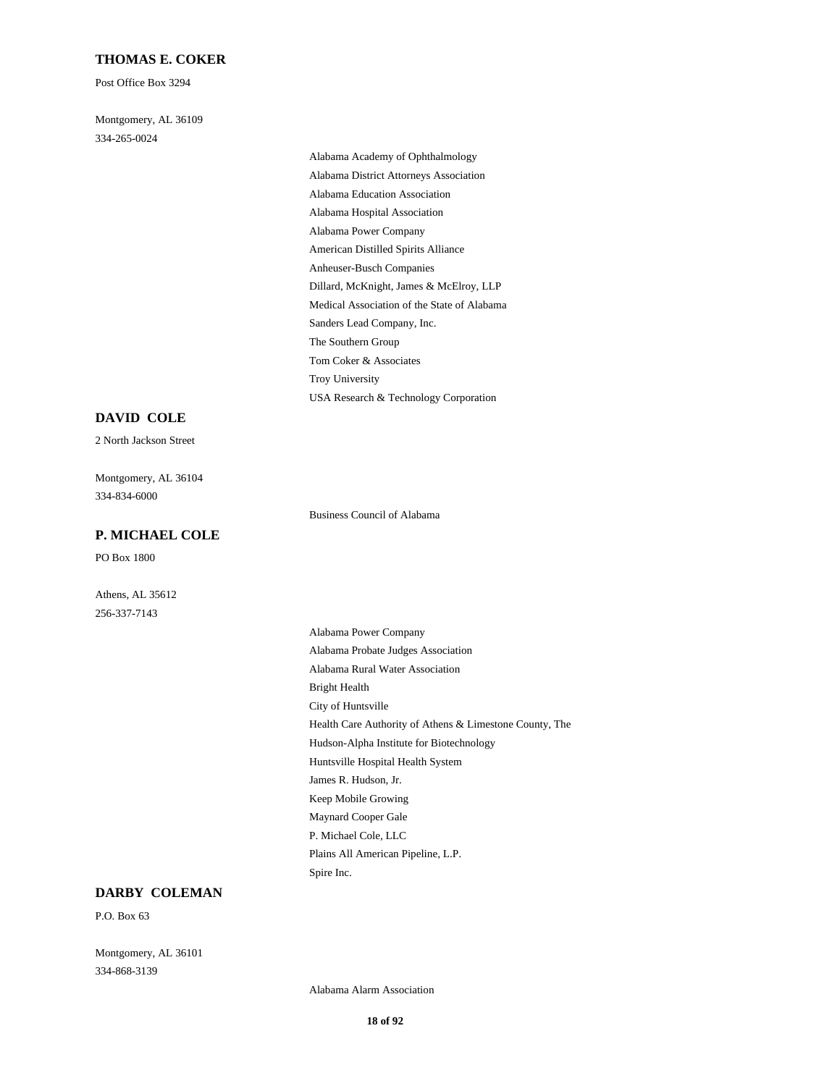#### **THOMAS E. COKER**

Post Office Box 3294

Montgomery, AL 36109 334-265-0024

> Alabama Academy of Ophthalmology Alabama District Attorneys Association Alabama Education Association Alabama Hospital Association Alabama Power Company American Distilled Spirits Alliance Anheuser-Busch Companies Dillard, McKnight, James & McElroy, LLP Medical Association of the State of Alabama Sanders Lead Company, Inc. The Southern Group Tom Coker & Associates Troy University USA Research & Technology Corporation

#### **DAVID COLE**

2 North Jackson Street

Montgomery, AL 36104 334-834-6000

#### **P. MICHAEL COLE**

PO Box 1800

Athens, AL 35612 256-337-7143

Business Council of Alabama

Alabama Power Company Alabama Probate Judges Association Alabama Rural Water Association Bright Health City of Huntsville Health Care Authority of Athens & Limestone County, The Hudson-Alpha Institute for Biotechnology Huntsville Hospital Health System James R. Hudson, Jr. Keep Mobile Growing Maynard Cooper Gale P. Michael Cole, LLC Plains All American Pipeline, L.P. Spire Inc.

#### **DARBY COLEMAN**

P.O. Box 63

Montgomery, AL 36101 334-868-3139

Alabama Alarm Association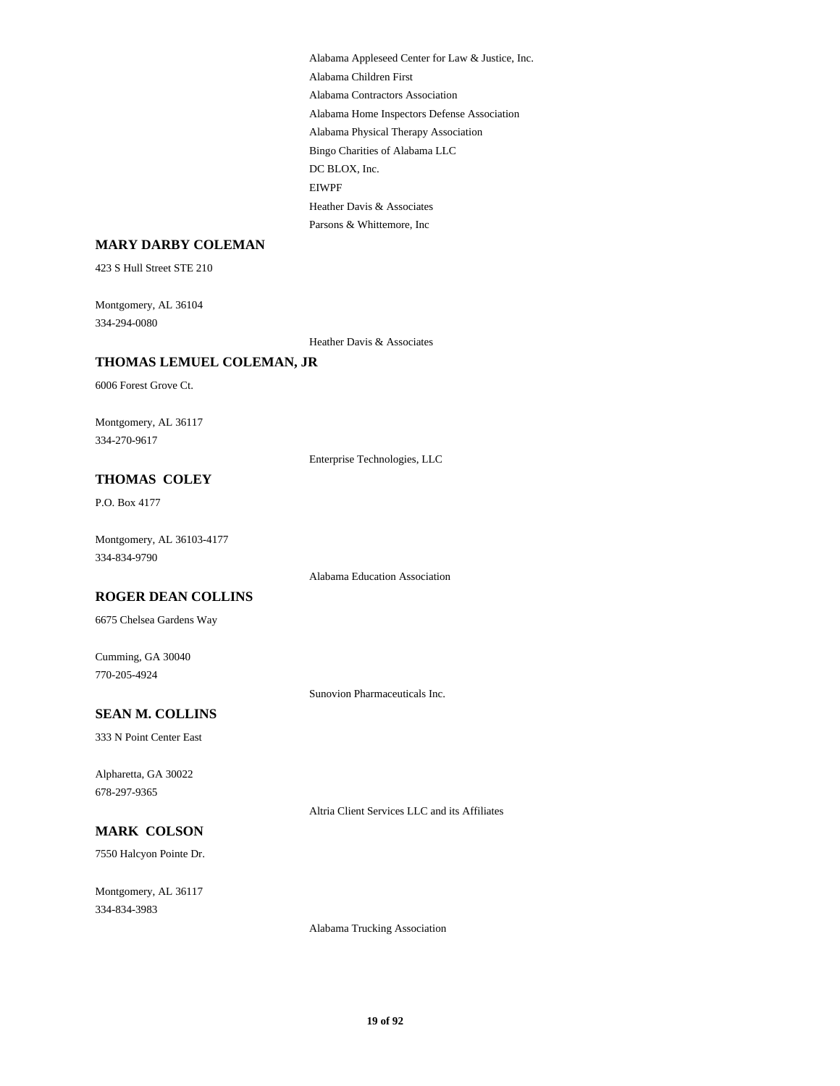Alabama Appleseed Center for Law & Justice, Inc. Alabama Children First Alabama Contractors Association Alabama Home Inspectors Defense Association Alabama Physical Therapy Association Bingo Charities of Alabama LLC DC BLOX, Inc. EIWPF Heather Davis & Associates Parsons & Whittemore, Inc

#### **MARY DARBY COLEMAN**

423 S Hull Street STE 210

Montgomery, AL 36104 334-294-0080

Heather Davis & Associates

### **THOMAS LEMUEL COLEMAN, JR**

6006 Forest Grove Ct.

Montgomery, AL 36117 334-270-9617

Enterprise Technologies, LLC

# **THOMAS COLEY**

P.O. Box 4177

Montgomery, AL 36103-4177 334-834-9790

Alabama Education Association

#### **ROGER DEAN COLLINS**

6675 Chelsea Gardens Way

Cumming, GA 30040 770-205-4924

Sunovion Pharmaceuticals Inc.

# **SEAN M. COLLINS**

333 N Point Center East

Alpharetta, GA 30022 678-297-9365

Altria Client Services LLC and its Affiliates

# **MARK COLSON**

7550 Halcyon Pointe Dr.

Montgomery, AL 36117 334-834-3983

Alabama Trucking Association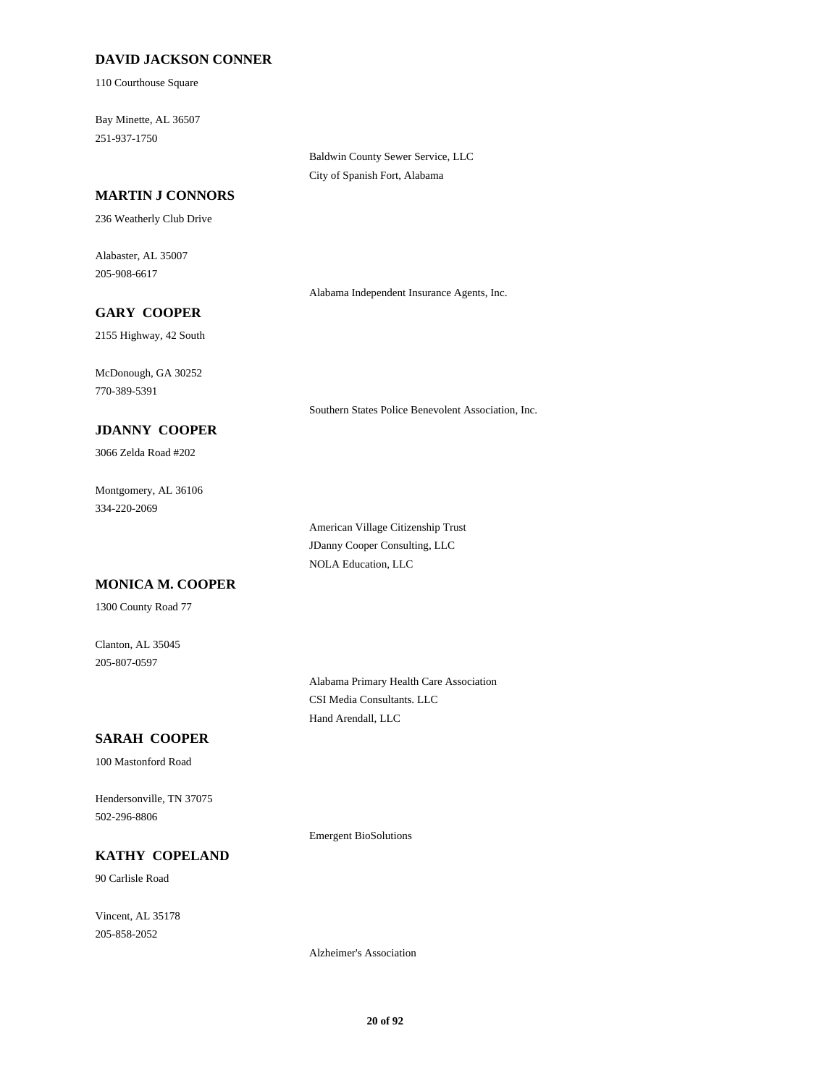#### **DAVID JACKSON CONNER**

110 Courthouse Square

Bay Minette, AL 36507 251-937-1750

#### **MARTIN J CONNORS**

236 Weatherly Club Drive

Alabaster, AL 35007 205-908-6617

Alabama Independent Insurance Agents, Inc.

Southern States Police Benevolent Association, Inc.

Baldwin County Sewer Service, LLC City of Spanish Fort, Alabama

**GARY COOPER** 2155 Highway, 42 South

McDonough, GA 30252 770-389-5391

### **JDANNY COOPER**

3066 Zelda Road #202

Montgomery, AL 36106 334-220-2069

> American Village Citizenship Trust JDanny Cooper Consulting, LLC NOLA Education, LLC

#### **MONICA M. COOPER**

1300 County Road 77

Clanton, AL 35045 205-807-0597

> Alabama Primary Health Care Association CSI Media Consultants. LLC Hand Arendall, LLC

### **SARAH COOPER**

100 Mastonford Road

Hendersonville, TN 37075 502-296-8806

Emergent BioSolutions

**KATHY COPELAND**

90 Carlisle Road

Vincent, AL 35178 205-858-2052

Alzheimer's Association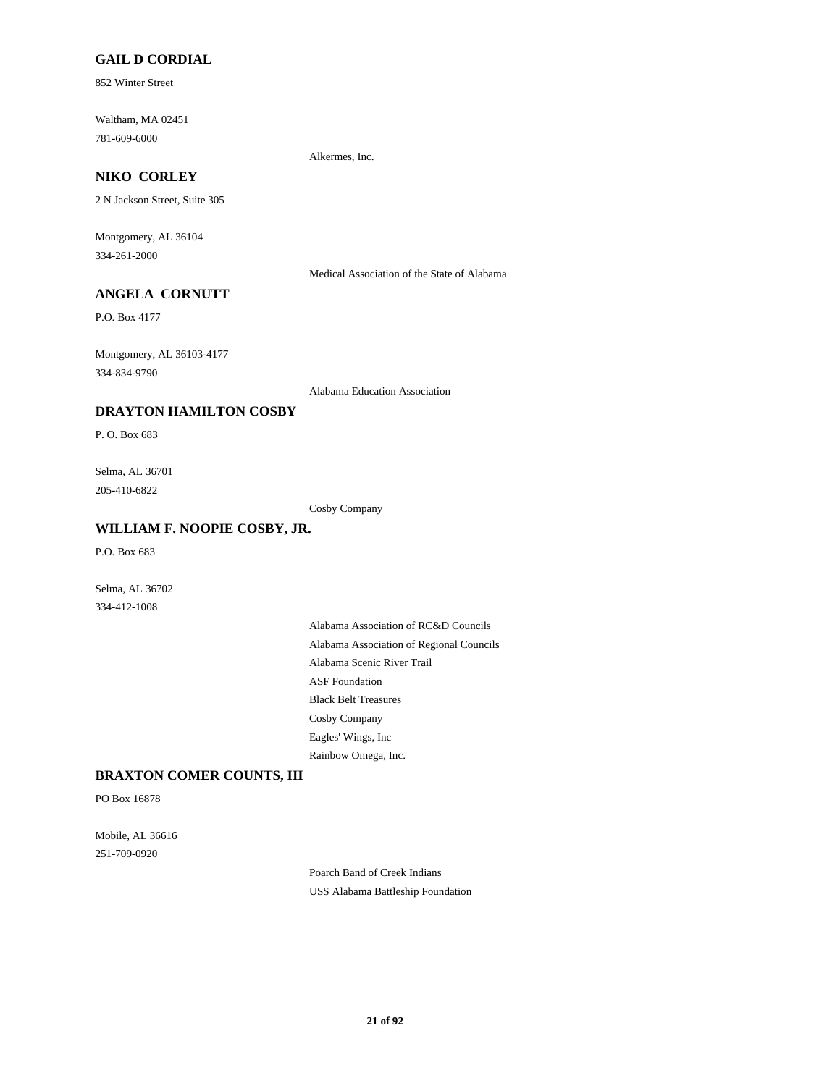#### **GAIL D CORDIAL**

852 Winter Street

Waltham, MA 02451 781-609-6000

Alkermes, Inc.

# **NIKO CORLEY**

2 N Jackson Street, Suite 305

Montgomery, AL 36104 334-261-2000

Medical Association of the State of Alabama

# **ANGELA CORNUTT**

P.O. Box 4177

Montgomery, AL 36103-4177 334-834-9790

Alabama Education Association

#### **DRAYTON HAMILTON COSBY**

P. O. Box 683

Selma, AL 36701 205-410-6822

Cosby Company

#### **WILLIAM F. NOOPIE COSBY, JR.**

P.O. Box 683

Selma, AL 36702 334-412-1008

> Alabama Association of RC&D Councils Alabama Association of Regional Councils Alabama Scenic River Trail ASF Foundation Black Belt Treasures Cosby Company Eagles' Wings, Inc Rainbow Omega, Inc.

### **BRAXTON COMER COUNTS, III**

PO Box 16878

Mobile, AL 36616 251-709-0920

> Poarch Band of Creek Indians USS Alabama Battleship Foundation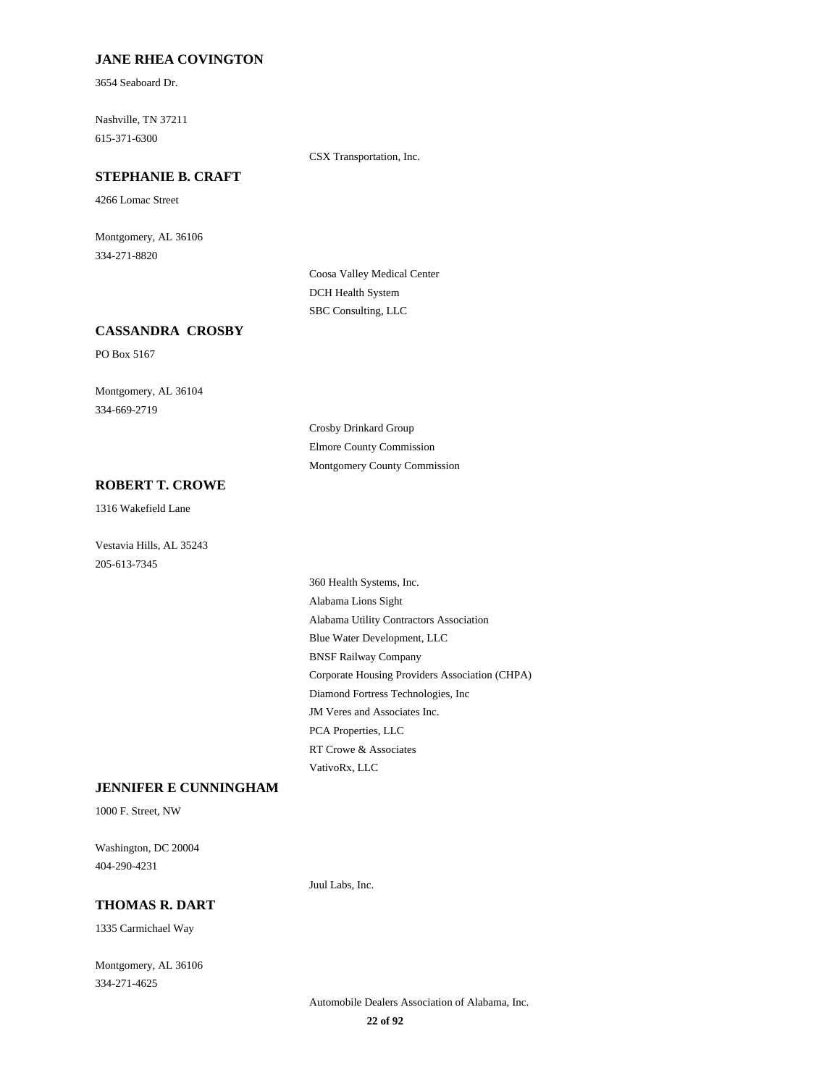#### **JANE RHEA COVINGTON**

3654 Seaboard Dr.

Nashville, TN 37211 615-371-6300

CSX Transportation, Inc.

# **STEPHANIE B. CRAFT**

4266 Lomac Street

Montgomery, AL 36106 334-271-8820

> Coosa Valley Medical Center DCH Health System SBC Consulting, LLC

### **CASSANDRA CROSBY**

PO Box 5167

Montgomery, AL 36104 334-669-2719

> Crosby Drinkard Group Elmore County Commission Montgomery County Commission

#### **ROBERT T. CROWE**

1316 Wakefield Lane

Vestavia Hills, AL 35243 205-613-7345

> 360 Health Systems, Inc. Alabama Lions Sight Alabama Utility Contractors Association Blue Water Development, LLC BNSF Railway Company Corporate Housing Providers Association (CHPA) Diamond Fortress Technologies, Inc JM Veres and Associates Inc. PCA Properties, LLC RT Crowe & Associates VativoRx, LLC

### **JENNIFER E CUNNINGHAM**

1000 F. Street, NW

Washington, DC 20004 404-290-4231

#### **THOMAS R. DART**

1335 Carmichael Way

Montgomery, AL 36106 334-271-4625

Automobile Dealers Association of Alabama, Inc.

Juul Labs, Inc.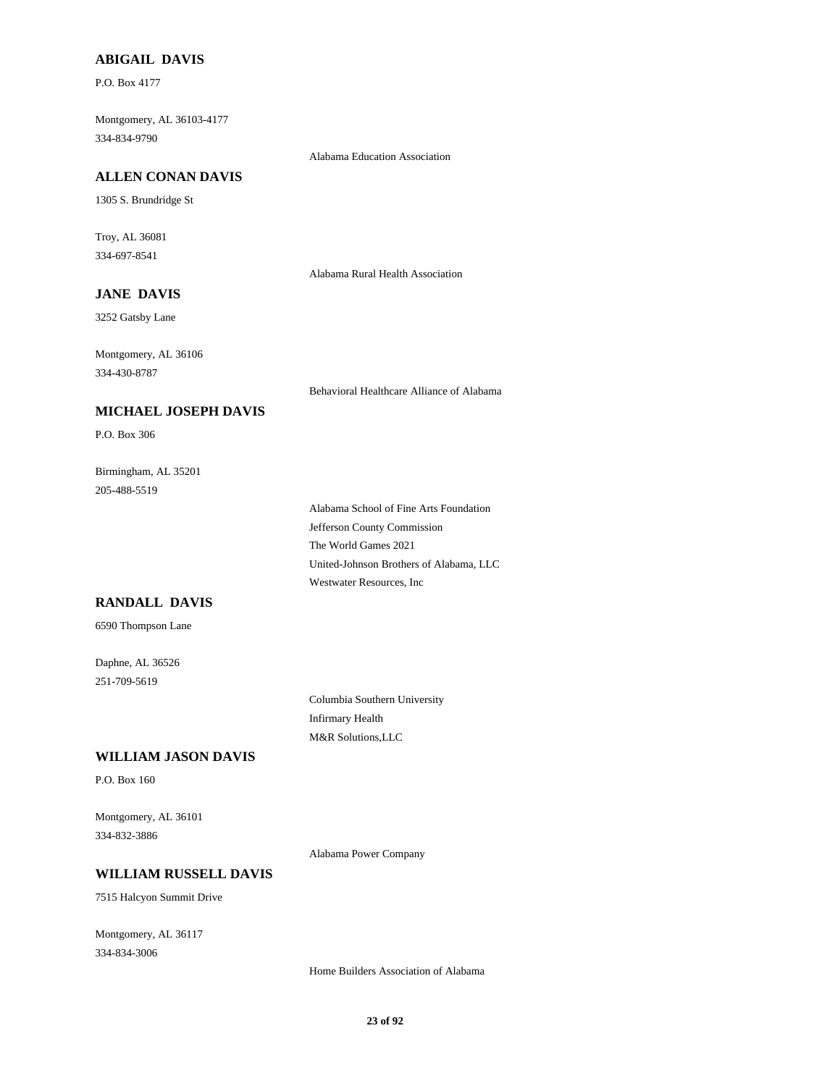#### **ABIGAIL DAVIS**

P.O. Box 4177

Montgomery, AL 36103-4177 334-834-9790

Alabama Education Association

#### **ALLEN CONAN DAVIS**

1305 S. Brundridge St

Troy, AL 36081 334-697-8541

Alabama Rural Health Association

# **JANE DAVIS**

3252 Gatsby Lane

Montgomery, AL 36106 334-430-8787

Behavioral Healthcare Alliance of Alabama

#### **MICHAEL JOSEPH DAVIS**

P.O. Box 306

Birmingham, AL 35201 205-488-5519

> Alabama School of Fine Arts Foundation Jefferson County Commission The World Games 2021 United-Johnson Brothers of Alabama, LLC Westwater Resources, Inc

# **RANDALL DAVIS**

6590 Thompson Lane

Daphne, AL 36526 251-709-5619

> Columbia Southern University Infirmary Health M&R Solutions,LLC

#### **WILLIAM JASON DAVIS**

P.O. Box 160

Montgomery, AL 36101 334-832-3886

Alabama Power Company

### **WILLIAM RUSSELL DAVIS**

7515 Halcyon Summit Drive

Montgomery, AL 36117 334-834-3006

Home Builders Association of Alabama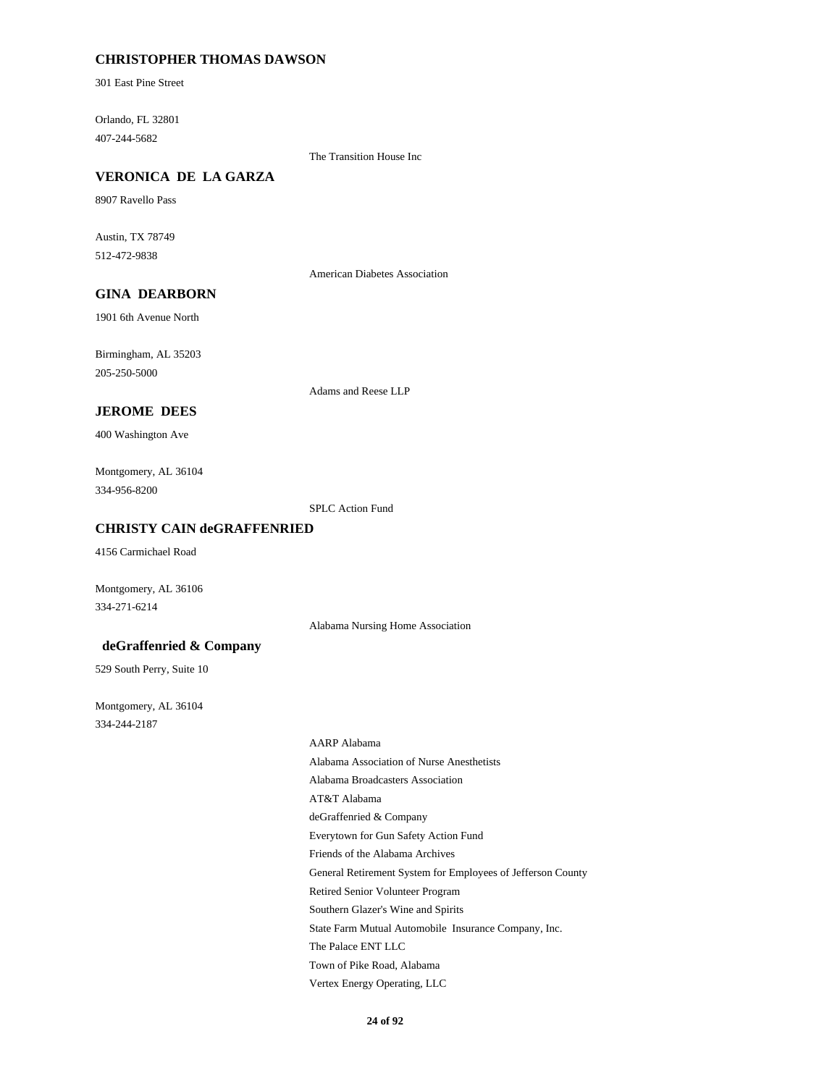#### **CHRISTOPHER THOMAS DAWSON**

301 East Pine Street

Orlando, FL 32801 407-244-5682

The Transition House Inc

### **VERONICA DE LA GARZA**

8907 Ravello Pass

Austin, TX 78749 512-472-9838

American Diabetes Association

# **GINA DEARBORN**

1901 6th Avenue North

Birmingham, AL 35203 205-250-5000

Adams and Reese LLP

#### **JEROME DEES**

400 Washington Ave

Montgomery, AL 36104 334-956-8200

SPLC Action Fund

#### **CHRISTY CAIN deGRAFFENRIED**

4156 Carmichael Road

Montgomery, AL 36106 334-271-6214

Alabama Nursing Home Association

#### **deGraffenried & Company**

529 South Perry, Suite 10

Montgomery, AL 36104 334-244-2187

> AARP Alabama Alabama Association of Nurse Anesthetists Alabama Broadcasters Association AT&T Alabama deGraffenried & Company Everytown for Gun Safety Action Fund Friends of the Alabama Archives General Retirement System for Employees of Jefferson County Retired Senior Volunteer Program Southern Glazer's Wine and Spirits State Farm Mutual Automobile Insurance Company, Inc. The Palace ENT LLC Town of Pike Road, Alabama Vertex Energy Operating, LLC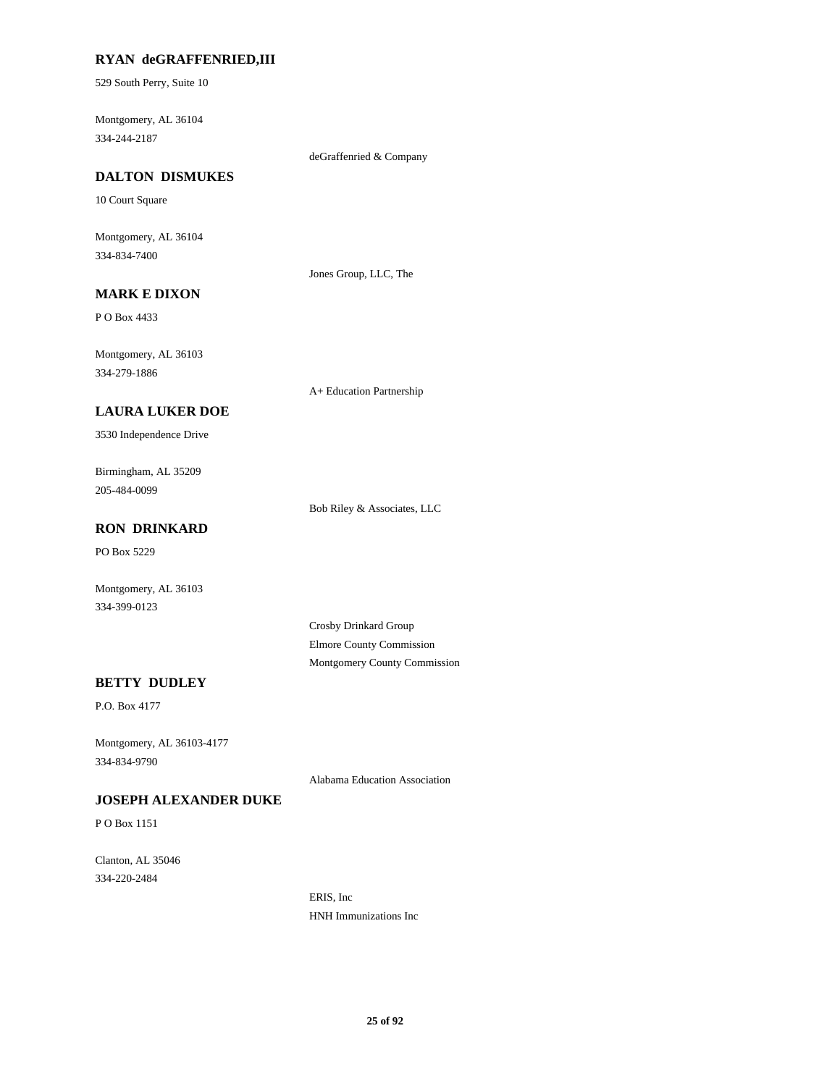#### **RYAN deGRAFFENRIED,III**

529 South Perry, Suite 10

Montgomery, AL 36104 334-244-2187

deGraffenried & Company

#### **DALTON DISMUKES**

10 Court Square

Montgomery, AL 36104 334-834-7400

Jones Group, LLC, The

# **MARK E DIXON**

P O Box 4433

Montgomery, AL 36103 334-279-1886

A+ Education Partnership

#### **LAURA LUKER DOE**

3530 Independence Drive

Birmingham, AL 35209 205-484-0099

Bob Riley & Associates, LLC

# **RON DRINKARD**

PO Box 5229

Montgomery, AL 36103 334-399-0123

> Crosby Drinkard Group Elmore County Commission Montgomery County Commission

### **BETTY DUDLEY**

P.O. Box 4177

Montgomery, AL 36103-4177 334-834-9790

Alabama Education Association

### **JOSEPH ALEXANDER DUKE**

P O Box 1151

Clanton, AL 35046 334-220-2484

> ERIS, Inc HNH Immunizations Inc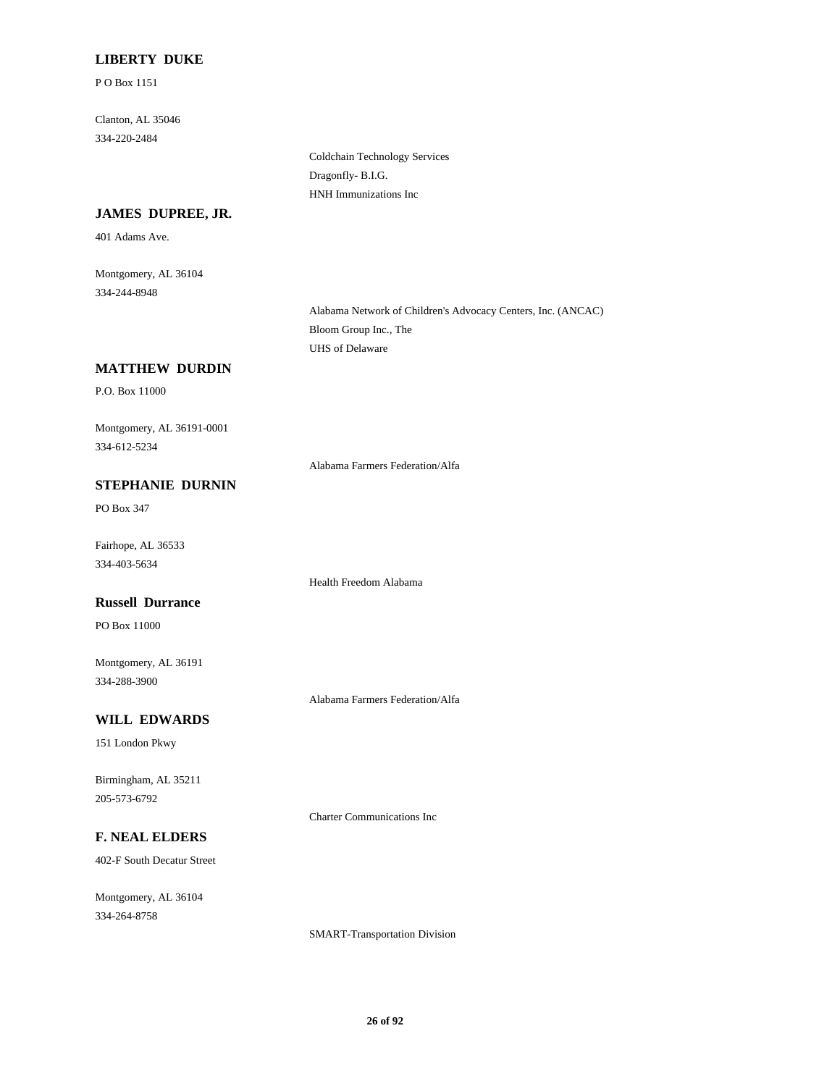### **LIBERTY DUKE**

P O Box 1151

Clanton, AL 35046 334-220-2484

> Coldchain Technology Services Dragonfly- B.I.G. HNH Immunizations Inc

#### **JAMES DUPREE, JR.**

401 Adams Ave.

Montgomery, AL 36104 334-244-8948

> Alabama Network of Children's Advocacy Centers, Inc. (ANCAC) Bloom Group Inc., The UHS of Delaware

#### **MATTHEW DURDIN**

P.O. Box 11000

Montgomery, AL 36191-0001 334-612-5234

Alabama Farmers Federation/Alfa

Health Freedom Alabama

### **STEPHANIE DURNIN**

PO Box 347

Fairhope, AL 36533 334-403-5634

### **Russell Durrance**

PO Box 11000

Montgomery, AL 36191 334-288-3900

#### **WILL EDWARDS**

151 London Pkwy

Birmingham, AL 35211 205-573-6792

Charter Communications Inc

Alabama Farmers Federation/Alfa

# **F. NEAL ELDERS**

402-F South Decatur Street

Montgomery, AL 36104 334-264-8758

SMART-Transportation Division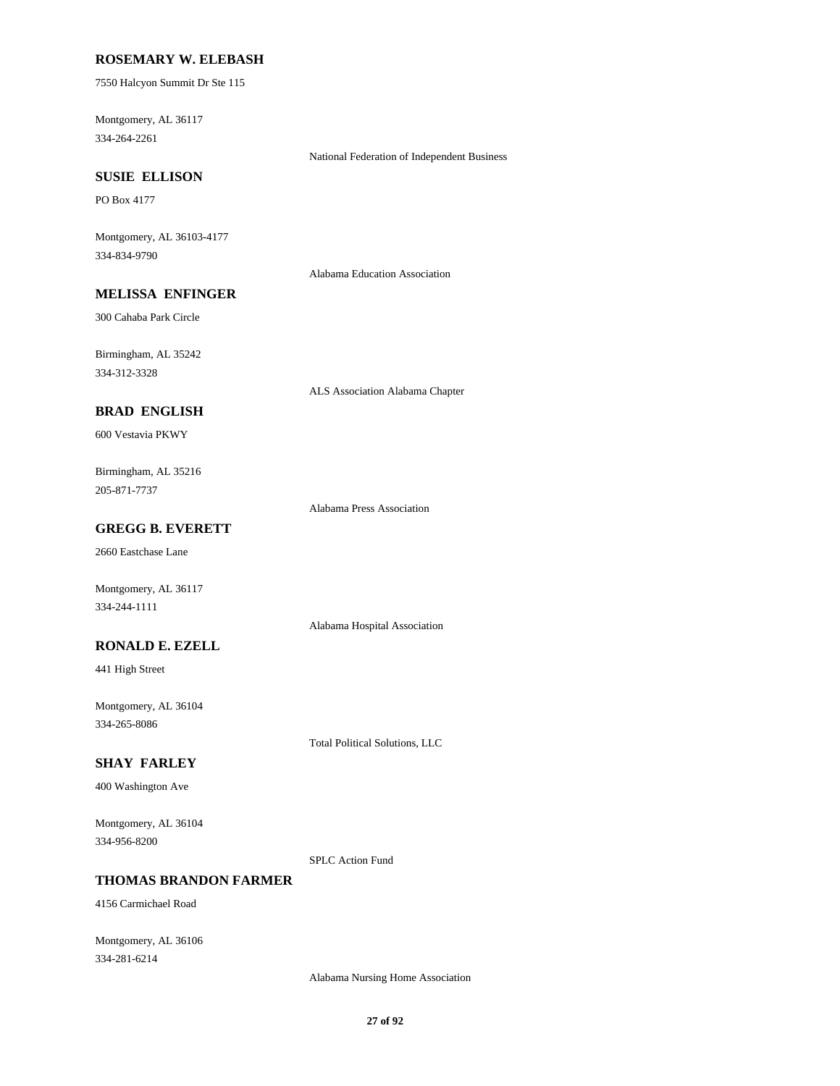#### **ROSEMARY W. ELEBASH**

7550 Halcyon Summit Dr Ste 115

Montgomery, AL 36117 334-264-2261

National Federation of Independent Business

# **SUSIE ELLISON**

PO Box 4177

Montgomery, AL 36103-4177 334-834-9790

Alabama Education Association

# **MELISSA ENFINGER**

300 Cahaba Park Circle

Birmingham, AL 35242 334-312-3328

ALS Association Alabama Chapter

### **BRAD ENGLISH**

600 Vestavia PKWY

Birmingham, AL 35216 205-871-7737

Alabama Press Association

### **GREGG B. EVERETT**

2660 Eastchase Lane

Montgomery, AL 36117 334-244-1111

Alabama Hospital Association

#### **RONALD E. EZELL**

441 High Street

Montgomery, AL 36104 334-265-8086

Total Political Solutions, LLC

#### **SHAY FARLEY**

400 Washington Ave

Montgomery, AL 36104 334-956-8200

SPLC Action Fund

### **THOMAS BRANDON FARMER**

4156 Carmichael Road

Montgomery, AL 36106 334-281-6214

Alabama Nursing Home Association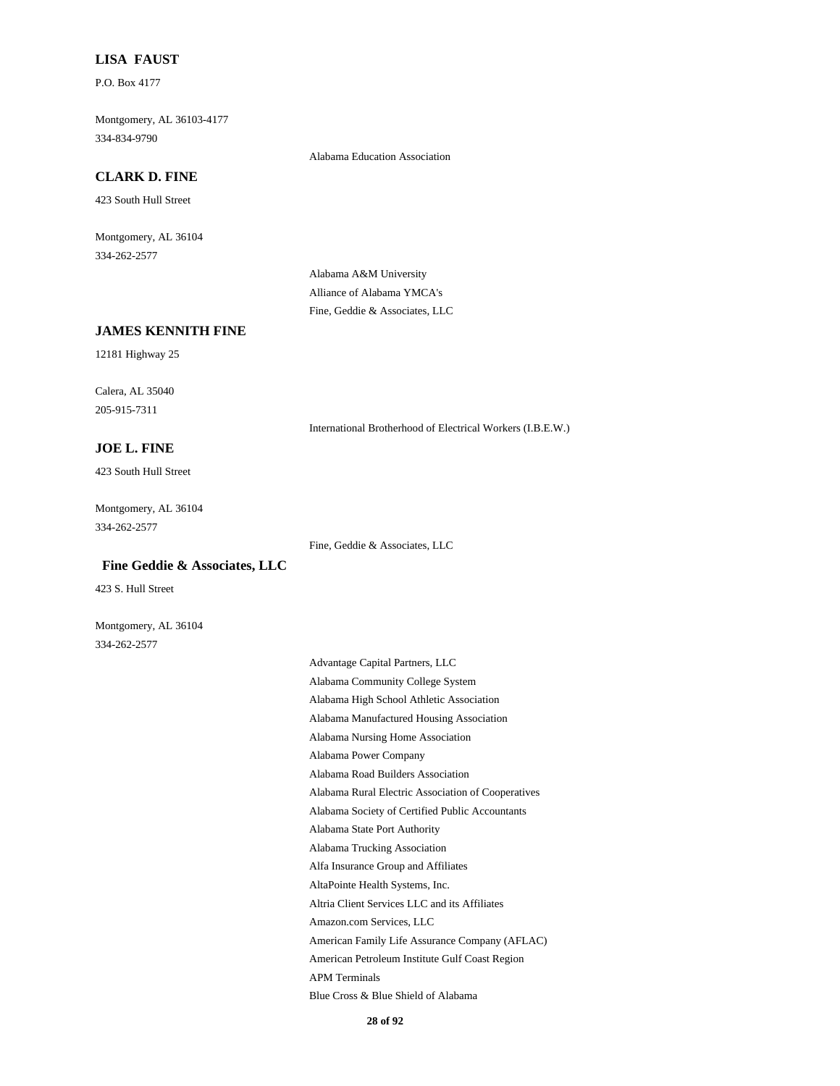#### **LISA FAUST**

P.O. Box 4177

Montgomery, AL 36103-4177 334-834-9790

Alabama Education Association

#### **CLARK D. FINE**

423 South Hull Street

Montgomery, AL 36104 334-262-2577

> Alabama A&M University Alliance of Alabama YMCA's Fine, Geddie & Associates, LLC

### **JAMES KENNITH FINE**

12181 Highway 25

Calera, AL 35040 205-915-7311

**JOE L. FINE**

423 South Hull Street

Montgomery, AL 36104 334-262-2577

Fine, Geddie & Associates, LLC

International Brotherhood of Electrical Workers (I.B.E.W.)

### **Fine Geddie & Associates, LLC**

423 S. Hull Street

Montgomery, AL 36104 334-262-2577

> Advantage Capital Partners, LLC Alabama Community College System Alabama High School Athletic Association Alabama Manufactured Housing Association Alabama Nursing Home Association Alabama Power Company Alabama Road Builders Association Alabama Rural Electric Association of Cooperatives Alabama Society of Certified Public Accountants Alabama State Port Authority Alabama Trucking Association Alfa Insurance Group and Affiliates AltaPointe Health Systems, Inc. Altria Client Services LLC and its Affiliates Amazon.com Services, LLC American Family Life Assurance Company (AFLAC) American Petroleum Institute Gulf Coast Region APM Terminals Blue Cross & Blue Shield of Alabama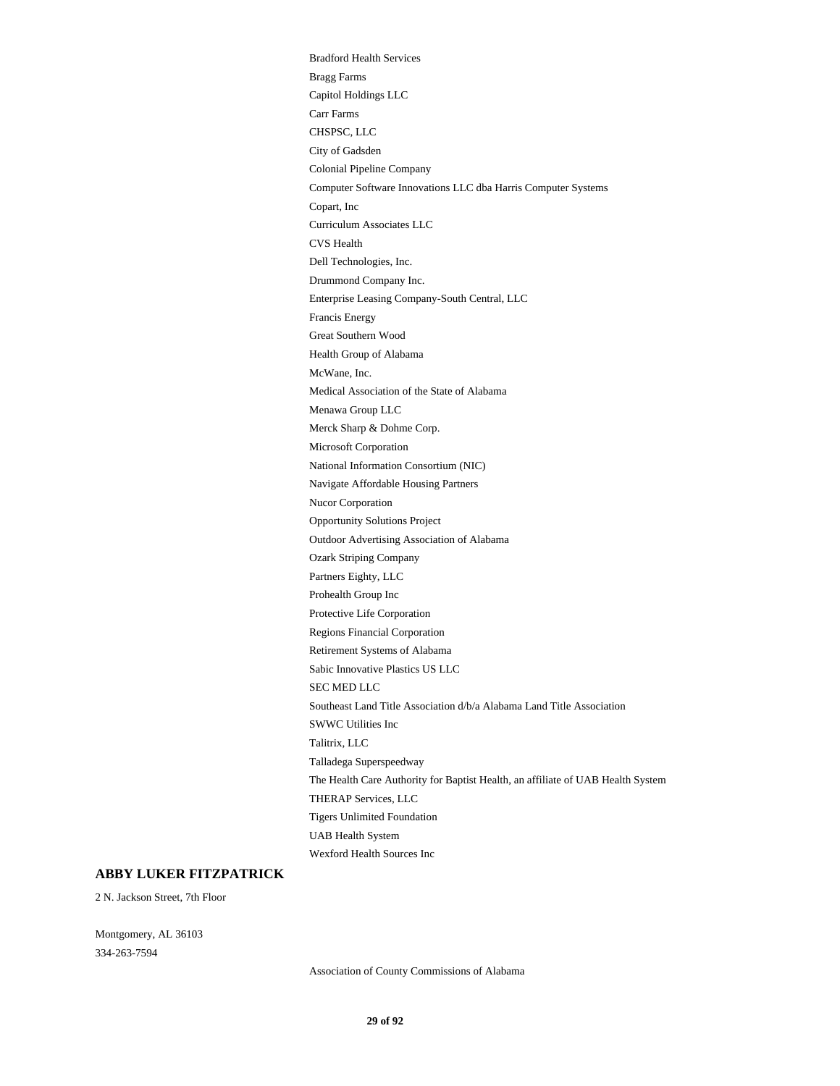Bradford Health Services Bragg Farms Capitol Holdings LLC Carr Farms CHSPSC, LLC City of Gadsden Colonial Pipeline Company Computer Software Innovations LLC dba Harris Computer Systems Copart, Inc Curriculum Associates LLC CVS Health Dell Technologies, Inc. Drummond Company Inc. Enterprise Leasing Company-South Central, LLC Francis Energy Great Southern Wood Health Group of Alabama McWane, Inc. Medical Association of the State of Alabama Menawa Group LLC Merck Sharp & Dohme Corp. Microsoft Corporation National Information Consortium (NIC) Navigate Affordable Housing Partners Nucor Corporation Opportunity Solutions Project Outdoor Advertising Association of Alabama Ozark Striping Company Partners Eighty, LLC Prohealth Group Inc Protective Life Corporation Regions Financial Corporation Retirement Systems of Alabama Sabic Innovative Plastics US LLC SEC MED LLC Southeast Land Title Association d/b/a Alabama Land Title Association SWWC Utilities Inc Talitrix, LLC Talladega Superspeedway The Health Care Authority for Baptist Health, an affiliate of UAB Health System THERAP Services, LLC Tigers Unlimited Foundation UAB Health System Wexford Health Sources Inc

#### **ABBY LUKER FITZPATRICK**

2 N. Jackson Street, 7th Floor

Montgomery, AL 36103 334-263-7594

Association of County Commissions of Alabama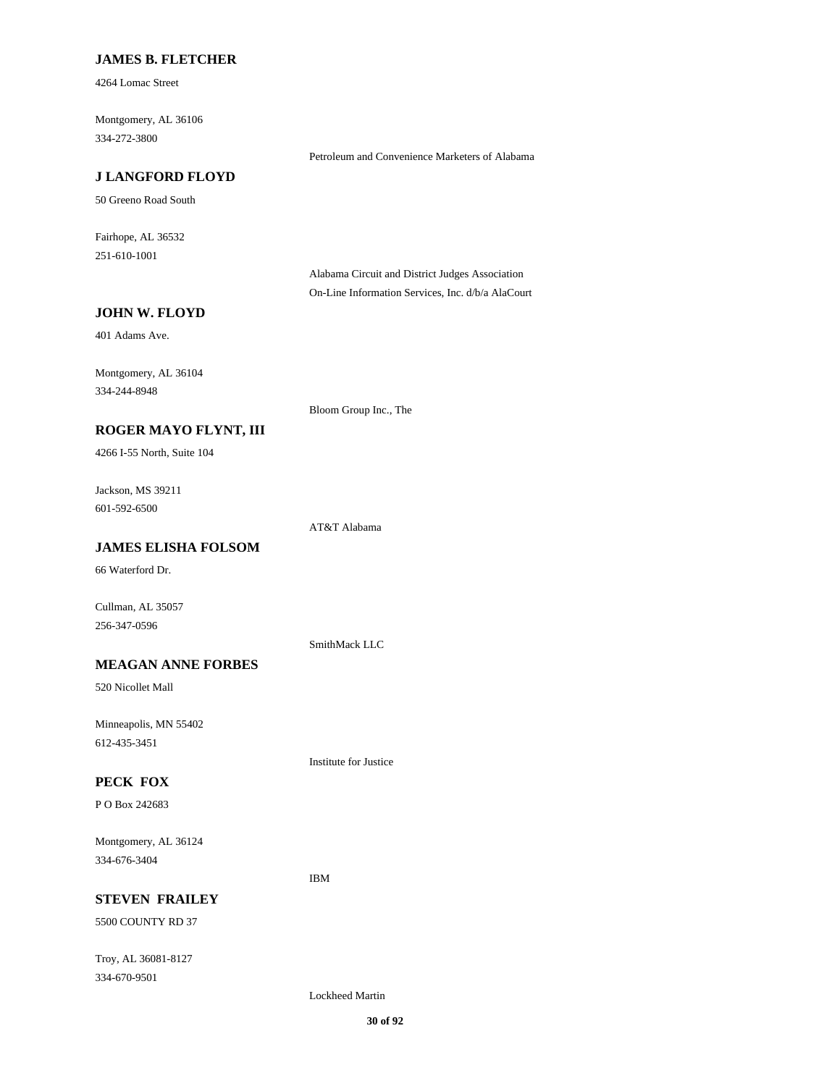#### **JAMES B. FLETCHER**

4264 Lomac Street

Montgomery, AL 36106 334-272-3800

#### **J LANGFORD FLOYD**

50 Greeno Road South

Fairhope, AL 36532 251-610-1001

> Alabama Circuit and District Judges Association On-Line Information Services, Inc. d/b/a AlaCourt

> Petroleum and Convenience Marketers of Alabama

### **JOHN W. FLOYD**

401 Adams Ave.

Montgomery, AL 36104 334-244-8948

Bloom Group Inc., The

# **ROGER MAYO FLYNT, III**

4266 I-55 North, Suite 104

Jackson, MS 39211 601-592-6500

AT&T Alabama

# **JAMES ELISHA FOLSOM**

66 Waterford Dr.

Cullman, AL 35057 256-347-0596

SmithMack LLC

Institute for Justice

IBM

# **MEAGAN ANNE FORBES**

520 Nicollet Mall

Minneapolis, MN 55402 612-435-3451

#### **PECK FOX**

P O Box 242683

Montgomery, AL 36124 334-676-3404

#### **STEVEN FRAILEY**

5500 COUNTY RD 37

Troy, AL 36081-8127 334-670-9501

Lockheed Martin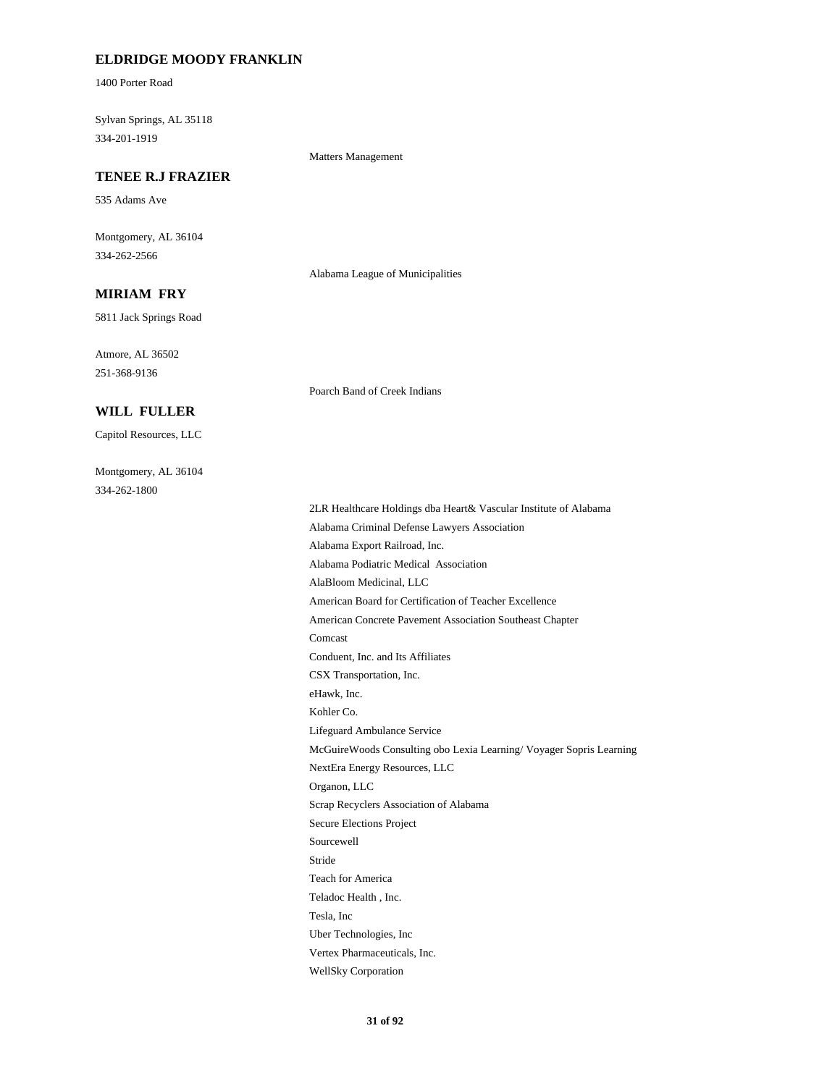### **ELDRIDGE MOODY FRANKLIN**

1400 Porter Road

Sylvan Springs, AL 35118 334-201-1919

#### Matters Management

#### **TENEE R.J FRAZIER**

535 Adams Ave

Montgomery, AL 36104 334-262-2566

Alabama League of Municipalities

Poarch Band of Creek Indians

### **MIRIAM FRY**

5811 Jack Springs Road

Atmore, AL 36502 251-368-9136

#### **WILL FULLER**

Capitol Resources, LLC

Montgomery, AL 36104 334-262-1800

> 2LR Healthcare Holdings dba Heart& Vascular Institute of Alabama Alabama Criminal Defense Lawyers Association Alabama Export Railroad, Inc. Alabama Podiatric Medical Association AlaBloom Medicinal, LLC American Board for Certification of Teacher Excellence American Concrete Pavement Association Southeast Chapter Comcast Conduent, Inc. and Its Affiliates CSX Transportation, Inc. eHawk, Inc. Kohler Co. Lifeguard Ambulance Service McGuireWoods Consulting obo Lexia Learning/ Voyager Sopris Learning NextEra Energy Resources, LLC Organon, LLC Scrap Recyclers Association of Alabama Secure Elections Project Sourcewell Stride Teach for America Teladoc Health , Inc. Tesla, Inc Uber Technologies, Inc Vertex Pharmaceuticals, Inc. WellSky Corporation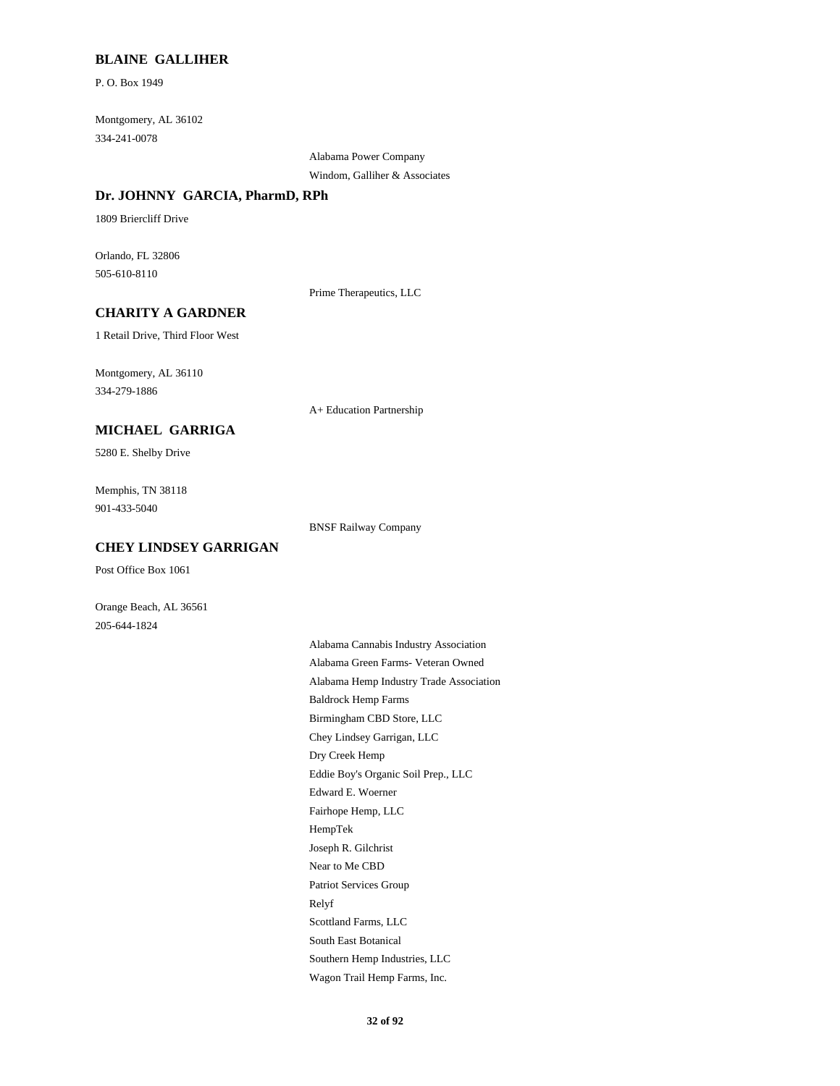#### **BLAINE GALLIHER**

P. O. Box 1949

Montgomery, AL 36102 334-241-0078

> Alabama Power Company Windom, Galliher & Associates

#### **Dr. JOHNNY GARCIA, PharmD, RPh**

1809 Briercliff Drive

Orlando, FL 32806 505-610-8110

Prime Therapeutics, LLC

#### **CHARITY A GARDNER**

1 Retail Drive, Third Floor West

Montgomery, AL 36110 334-279-1886

A+ Education Partnership

# **MICHAEL GARRIGA**

5280 E. Shelby Drive

Memphis, TN 38118 901-433-5040

BNSF Railway Company

# **CHEY LINDSEY GARRIGAN**

Post Office Box 1061

Orange Beach, AL 36561 205-644-1824

> Alabama Cannabis Industry Association Alabama Green Farms- Veteran Owned Alabama Hemp Industry Trade Association Baldrock Hemp Farms Birmingham CBD Store, LLC Chey Lindsey Garrigan, LLC Dry Creek Hemp Eddie Boy's Organic Soil Prep., LLC Edward E. Woerner Fairhope Hemp, LLC HempTek Joseph R. Gilchrist Near to Me CBD Patriot Services Group Relyf Scottland Farms, LLC South East Botanical Southern Hemp Industries, LLC Wagon Trail Hemp Farms, Inc.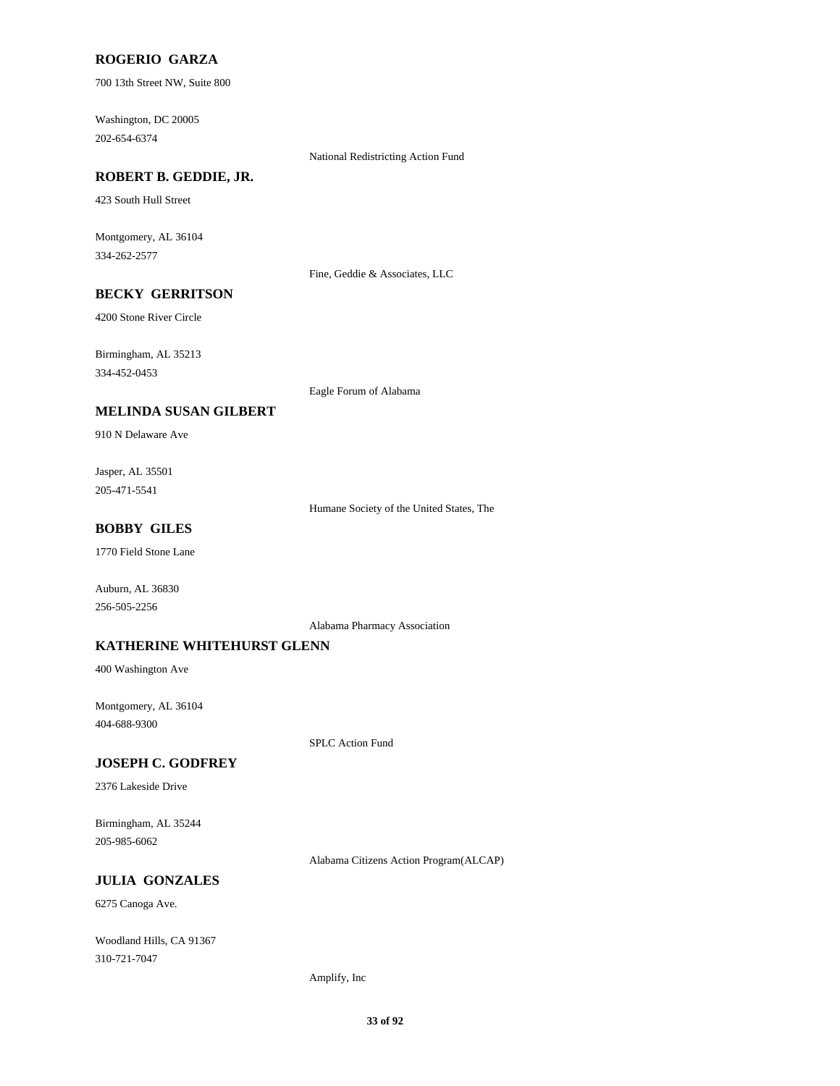### **ROGERIO GARZA**

700 13th Street NW, Suite 800

Washington, DC 20005 202-654-6374

National Redistricting Action Fund

### **ROBERT B. GEDDIE, JR.**

423 South Hull Street

Montgomery, AL 36104 334-262-2577

Fine, Geddie & Associates, LLC

# **BECKY GERRITSON**

4200 Stone River Circle

Birmingham, AL 35213

334-452-0453

Eagle Forum of Alabama

#### **MELINDA SUSAN GILBERT**

910 N Delaware Ave

Jasper, AL 35501 205-471-5541

Humane Society of the United States, The

# **BOBBY GILES**

1770 Field Stone Lane

Auburn, AL 36830 256-505-2256

Alabama Pharmacy Association

#### **KATHERINE WHITEHURST GLENN**

400 Washington Ave

Montgomery, AL 36104 404-688-9300

SPLC Action Fund

#### **JOSEPH C. GODFREY**

2376 Lakeside Drive

Birmingham, AL 35244 205-985-6062

Alabama Citizens Action Program(ALCAP)

#### **JULIA GONZALES**

6275 Canoga Ave.

Woodland Hills, CA 91367 310-721-7047

Amplify, Inc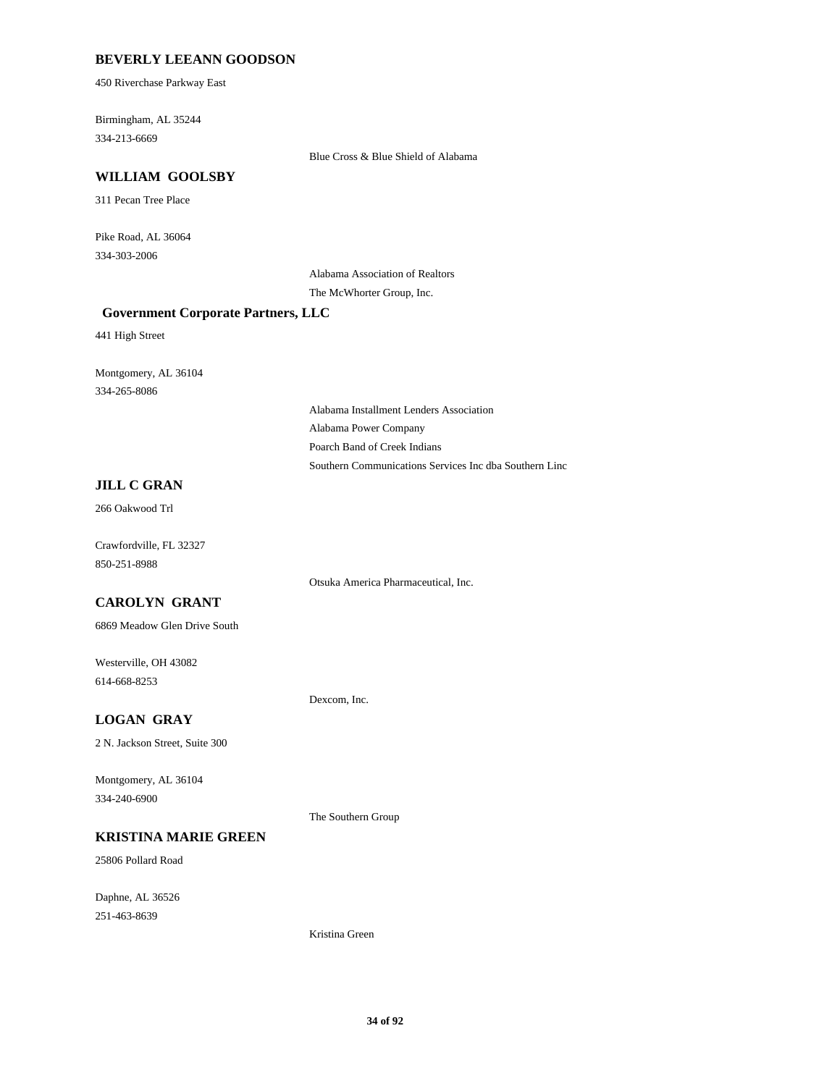#### **BEVERLY LEEANN GOODSON**

450 Riverchase Parkway East

Birmingham, AL 35244 334-213-6669

Blue Cross & Blue Shield of Alabama

#### **WILLIAM GOOLSBY**

311 Pecan Tree Place

Pike Road, AL 36064 334-303-2006

> Alabama Association of Realtors The McWhorter Group, Inc.

#### **Government Corporate Partners, LLC**

441 High Street

Montgomery, AL 36104 334-265-8086

> Alabama Installment Lenders Association Alabama Power Company Poarch Band of Creek Indians Southern Communications Services Inc dba Southern Linc

#### **JILL C GRAN**

266 Oakwood Trl

Crawfordville, FL 32327 850-251-8988

Otsuka America Pharmaceutical, Inc.

# **CAROLYN GRANT**

6869 Meadow Glen Drive South

Westerville, OH 43082 614-668-8253

Dexcom, Inc.

#### **LOGAN GRAY**

2 N. Jackson Street, Suite 300

Montgomery, AL 36104 334-240-6900

#### **KRISTINA MARIE GREEN**

25806 Pollard Road

Daphne, AL 36526 251-463-8639

The Southern Group

Kristina Green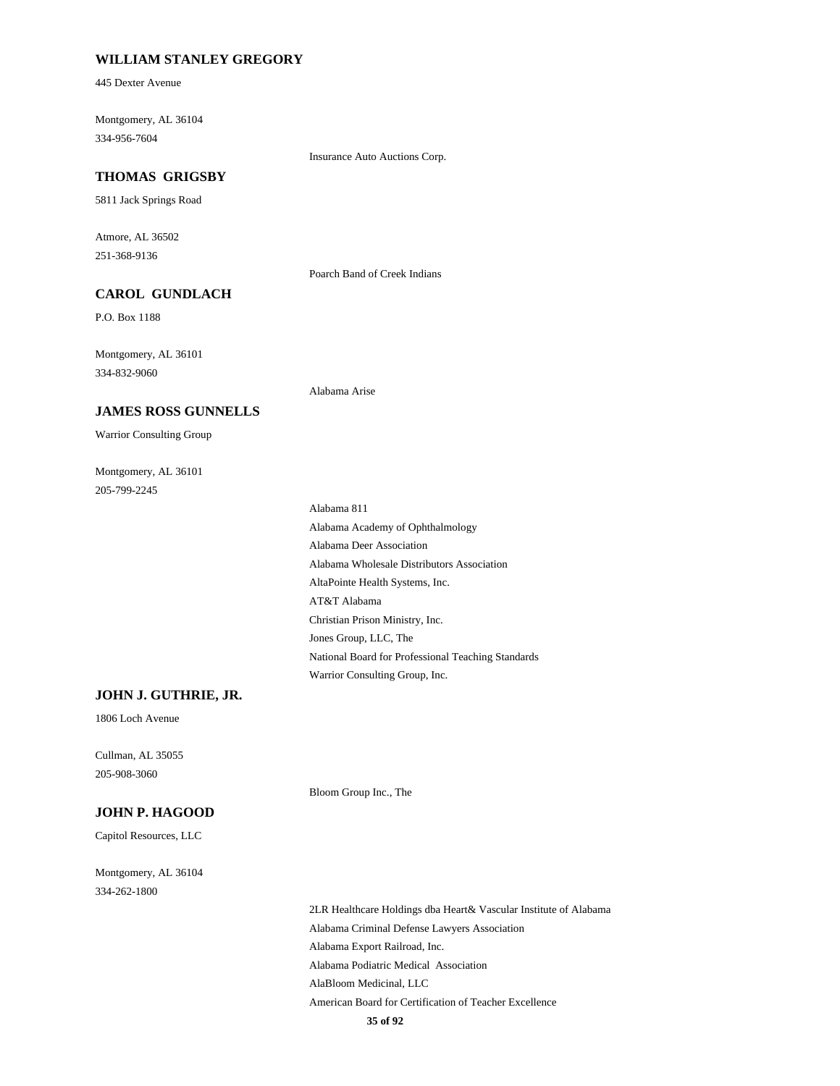### **WILLIAM STANLEY GREGORY**

445 Dexter Avenue

Montgomery, AL 36104 334-956-7604

Insurance Auto Auctions Corp.

#### **THOMAS GRIGSBY**

5811 Jack Springs Road

Atmore, AL 36502 251-368-9136

Poarch Band of Creek Indians

# **CAROL GUNDLACH**

**JAMES ROSS GUNNELLS**

P.O. Box 1188

Montgomery, AL 36101 334-832-9060

Alabama Arise

#### Montgomery, AL 36101 205-799-2245

Warrior Consulting Group

Alabama 811 Alabama Academy of Ophthalmology Alabama Deer Association Alabama Wholesale Distributors Association AltaPointe Health Systems, Inc. AT&T Alabama Christian Prison Ministry, Inc. Jones Group, LLC, The National Board for Professional Teaching Standards Warrior Consulting Group, Inc.

#### **JOHN J. GUTHRIE, JR.**

1806 Loch Avenue

Cullman, AL 35055 205-908-3060

#### **JOHN P. HAGOOD**

Capitol Resources, LLC

Montgomery, AL 36104 334-262-1800

> 2LR Healthcare Holdings dba Heart& Vascular Institute of Alabama Alabama Criminal Defense Lawyers Association Alabama Export Railroad, Inc. Alabama Podiatric Medical Association AlaBloom Medicinal, LLC American Board for Certification of Teacher Excellence

Bloom Group Inc., The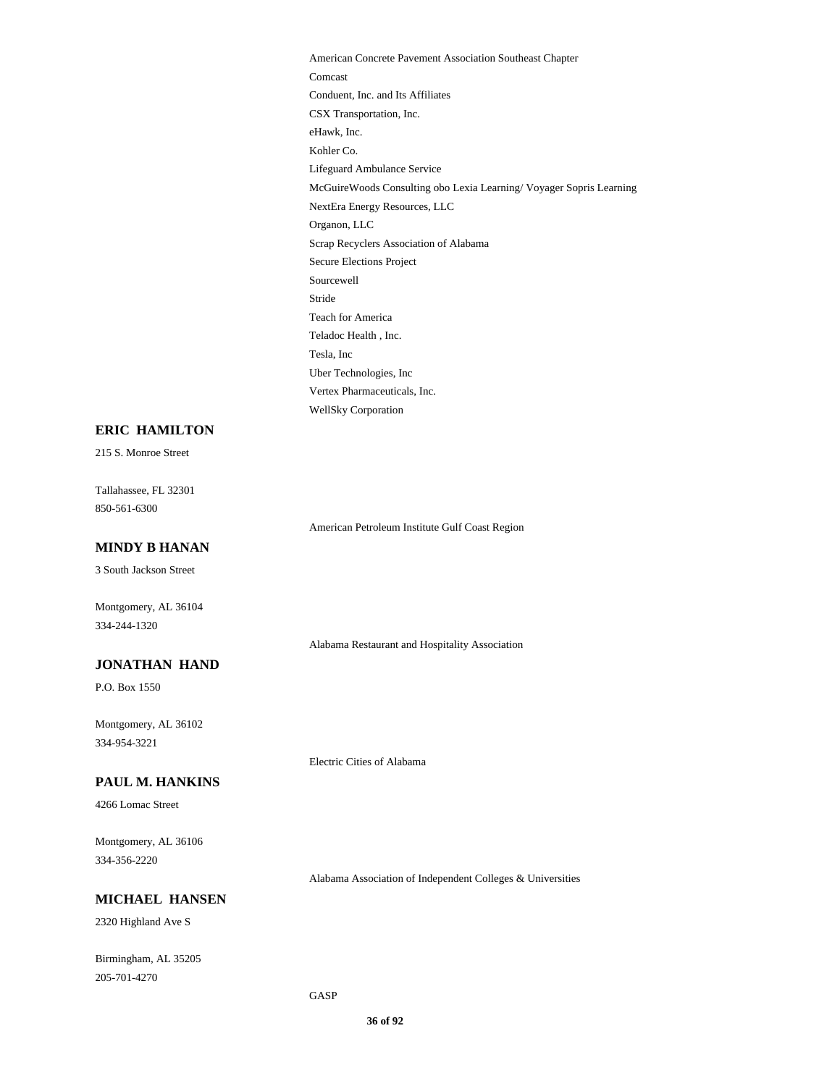American Concrete Pavement Association Southeast Chapter Comcast Conduent, Inc. and Its Affiliates CSX Transportation, Inc. eHawk, Inc. Kohler Co. Lifeguard Ambulance Service McGuireWoods Consulting obo Lexia Learning/ Voyager Sopris Learning NextEra Energy Resources, LLC Organon, LLC Scrap Recyclers Association of Alabama Secure Elections Project Sourcewell Stride Teach for America Teladoc Health , Inc. Tesla, Inc Uber Technologies, Inc Vertex Pharmaceuticals, Inc. WellSky Corporation

#### **ERIC HAMILTON**

215 S. Monroe Street

Tallahassee, FL 32301 850-561-6300

American Petroleum Institute Gulf Coast Region

### **MINDY B HANAN**

3 South Jackson Street

Montgomery, AL 36104 334-244-1320

Alabama Restaurant and Hospitality Association

# **JONATHAN HAND**

P.O. Box 1550

Montgomery, AL 36102 334-954-3221

#### **PAUL M. HANKINS**

4266 Lomac Street

Montgomery, AL 36106 334-356-2220

Alabama Association of Independent Colleges & Universities

### **MICHAEL HANSEN**

2320 Highland Ave S

Birmingham, AL 35205 205-701-4270

Electric Cities of Alabama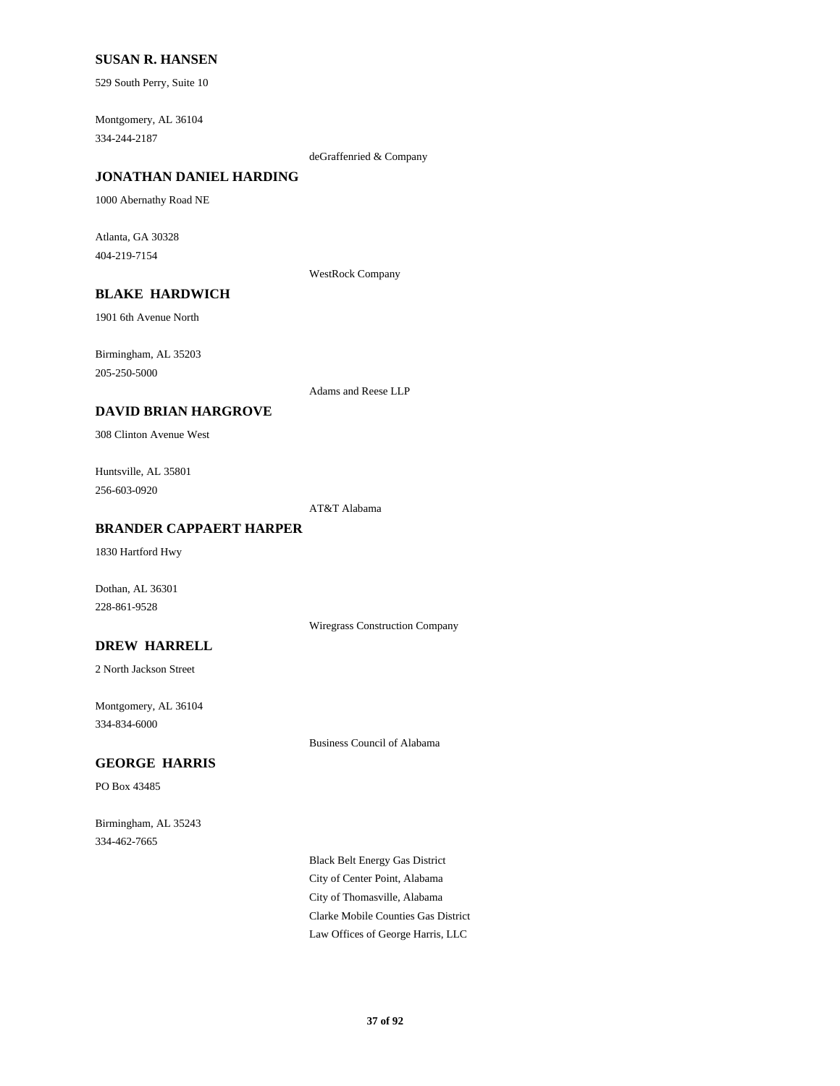### **SUSAN R. HANSEN**

529 South Perry, Suite 10

Montgomery, AL 36104 334-244-2187

deGraffenried & Company

# **JONATHAN DANIEL HARDING**

1000 Abernathy Road NE

Atlanta, GA 30328 404-219-7154

WestRock Company

# **BLAKE HARDWICH**

1901 6th Avenue North

Birmingham, AL 35203 205-250-5000

Adams and Reese LLP

### **DAVID BRIAN HARGROVE**

308 Clinton Avenue West

Huntsville, AL 35801 256-603-0920

AT&T Alabama

#### **BRANDER CAPPAERT HARPER**

1830 Hartford Hwy

Dothan, AL 36301 228-861-9528

Wiregrass Construction Company

**DREW HARRELL**

2 North Jackson Street

Montgomery, AL 36104 334-834-6000

Business Council of Alabama

# **GEORGE HARRIS**

PO Box 43485

Birmingham, AL 35243 334-462-7665

> Black Belt Energy Gas District City of Center Point, Alabama City of Thomasville, Alabama Clarke Mobile Counties Gas District Law Offices of George Harris, LLC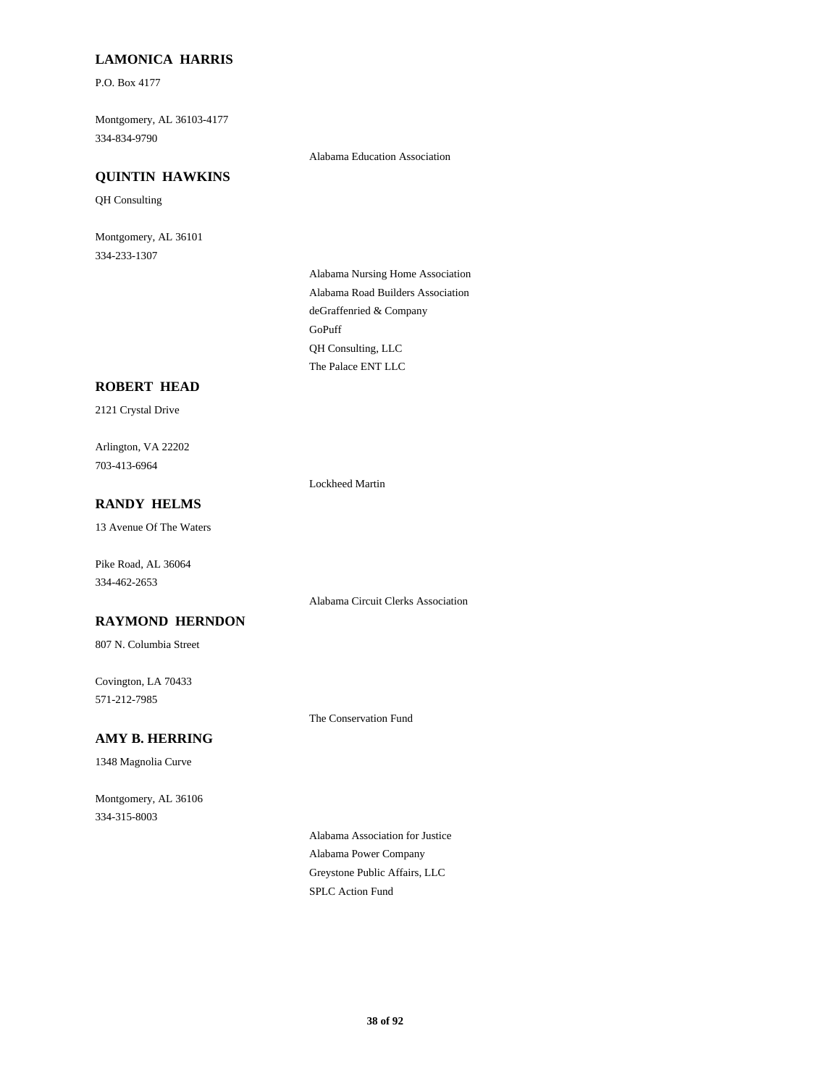# **LAMONICA HARRIS**

P.O. Box 4177

Montgomery, AL 36103-4177 334-834-9790

### **QUINTIN HAWKINS**

QH Consulting

Montgomery, AL 36101 334-233-1307

Alabama Education Association

Alabama Nursing Home Association Alabama Road Builders Association deGraffenried & Company GoPuff QH Consulting, LLC The Palace ENT LLC

### **ROBERT HEAD**

2121 Crystal Drive

Arlington, VA 22202 703-413-6964

Lockheed Martin

# **RANDY HELMS**

13 Avenue Of The Waters

Pike Road, AL 36064 334-462-2653

**RAYMOND HERNDON**

807 N. Columbia Street

Covington, LA 70433 571-212-7985

The Conservation Fund

Alabama Circuit Clerks Association

# **AMY B. HERRING**

1348 Magnolia Curve

Montgomery, AL 36106 334-315-8003

> Alabama Association for Justice Alabama Power Company Greystone Public Affairs, LLC SPLC Action Fund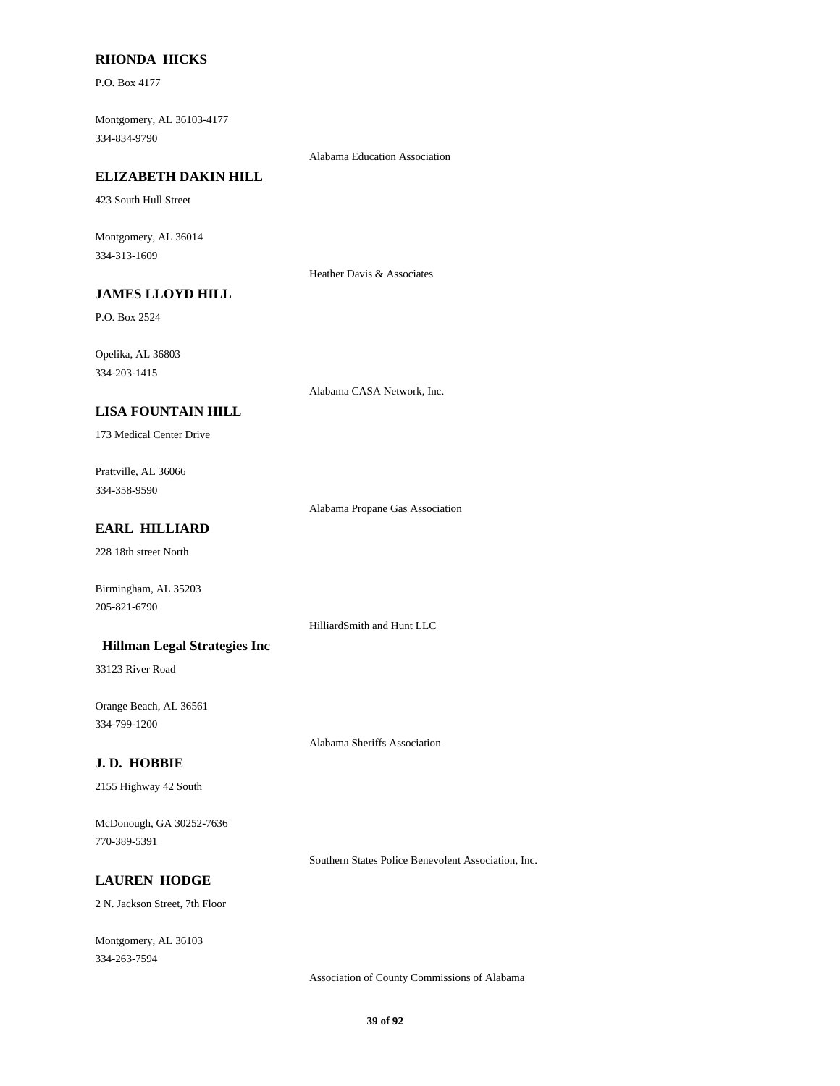# **RHONDA HICKS**

P.O. Box 4177

Montgomery, AL 36103-4177 334-834-9790

Alabama Education Association

### **ELIZABETH DAKIN HILL**

423 South Hull Street

Montgomery, AL 36014 334-313-1609

Heather Davis & Associates

# **JAMES LLOYD HILL**

P.O. Box 2524

Opelika, AL 36803 334-203-1415

Alabama CASA Network, Inc.

# **LISA FOUNTAIN HILL**

173 Medical Center Drive

Prattville, AL 36066 334-358-9590

Alabama Propane Gas Association

# **EARL HILLIARD**

228 18th street North

Birmingham, AL 35203 205-821-6790

HilliardSmith and Hunt LLC

### **Hillman Legal Strategies Inc**

33123 River Road

Orange Beach, AL 36561 334-799-1200

Alabama Sheriffs Association

# **J. D. HOBBIE**

2155 Highway 42 South

McDonough, GA 30252-7636 770-389-5391

Southern States Police Benevolent Association, Inc.

# **LAUREN HODGE**

2 N. Jackson Street, 7th Floor

Montgomery, AL 36103 334-263-7594

Association of County Commissions of Alabama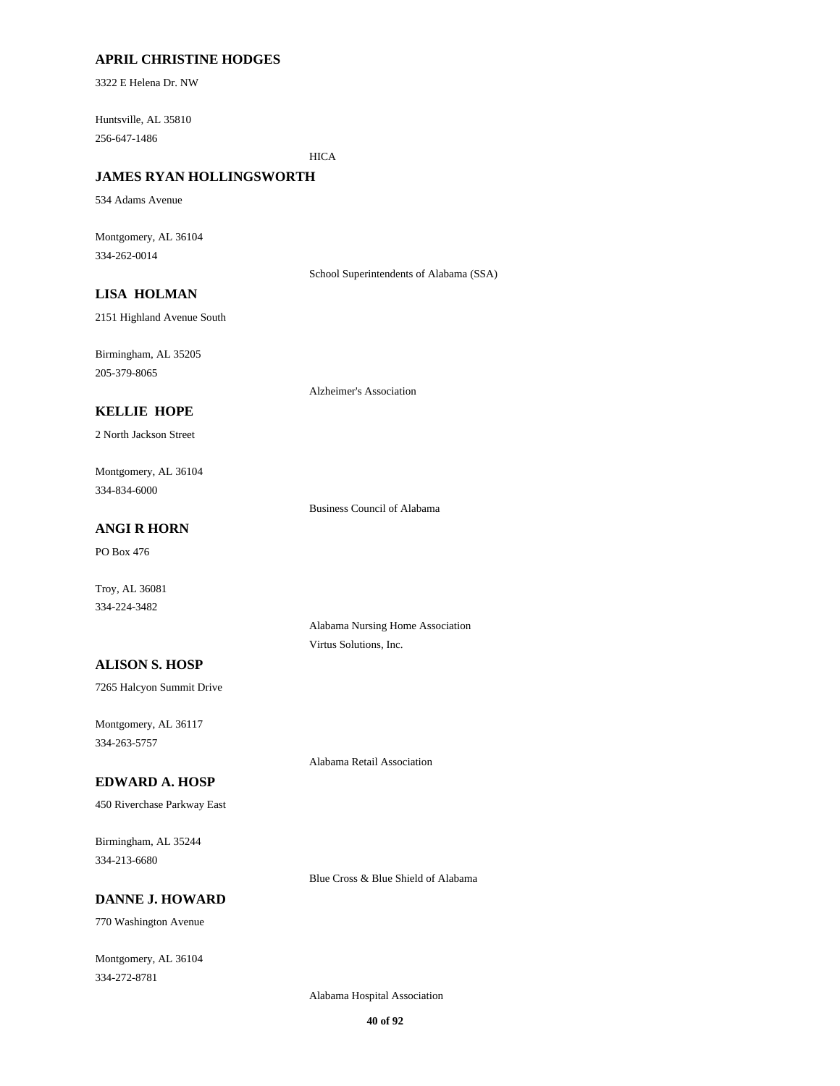# **APRIL CHRISTINE HODGES**

3322 E Helena Dr. NW

Huntsville, AL 35810 256-647-1486

**HICA** 

# **JAMES RYAN HOLLINGSWORTH**

534 Adams Avenue

Montgomery, AL 36104 334-262-0014

School Superintendents of Alabama (SSA)

# **LISA HOLMAN**

2151 Highland Avenue South

Birmingham, AL 35205 205-379-8065

Alzheimer's Association

### **KELLIE HOPE**

2 North Jackson Street

Montgomery, AL 36104 334-834-6000

Business Council of Alabama

# **ANGI R HORN**

PO Box 476

Troy, AL 36081 334-224-3482

> Alabama Nursing Home Association Virtus Solutions, Inc.

# **ALISON S. HOSP**

7265 Halcyon Summit Drive

Montgomery, AL 36117 334-263-5757

Alabama Retail Association

#### **EDWARD A. HOSP**

450 Riverchase Parkway East

Birmingham, AL 35244 334-213-6680

**DANNE J. HOWARD**

770 Washington Avenue

Montgomery, AL 36104 334-272-8781

Alabama Hospital Association

Blue Cross & Blue Shield of Alabama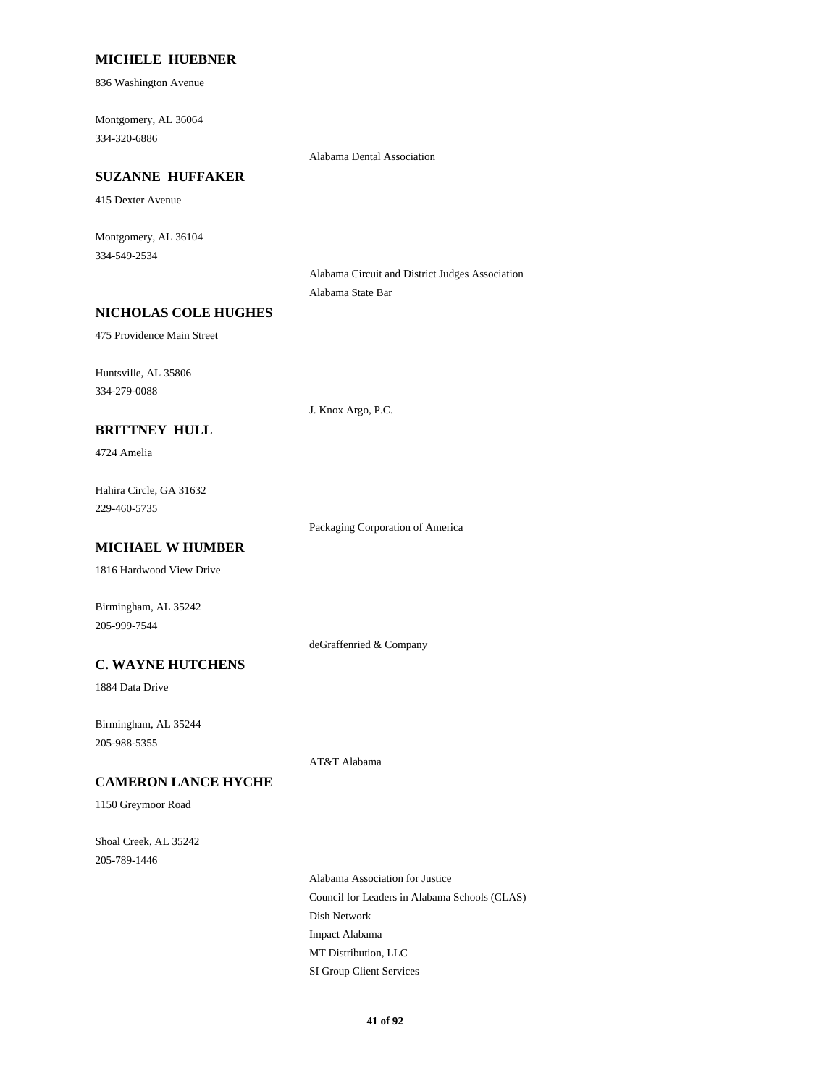### **MICHELE HUEBNER**

836 Washington Avenue

Montgomery, AL 36064 334-320-6886

Alabama Dental Association

### **SUZANNE HUFFAKER**

415 Dexter Avenue

Montgomery, AL 36104 334-549-2534

> Alabama Circuit and District Judges Association Alabama State Bar

#### **NICHOLAS COLE HUGHES**

475 Providence Main Street

Huntsville, AL 35806 334-279-0088

J. Knox Argo, P.C.

# **BRITTNEY HULL**

4724 Amelia

Hahira Circle, GA 31632 229-460-5735

Packaging Corporation of America

# **MICHAEL W HUMBER**

1816 Hardwood View Drive

Birmingham, AL 35242 205-999-7544

deGraffenried & Company

# **C. WAYNE HUTCHENS**

1884 Data Drive

Birmingham, AL 35244 205-988-5355

AT&T Alabama

#### **CAMERON LANCE HYCHE**

1150 Greymoor Road

Shoal Creek, AL 35242 205-789-1446

> Alabama Association for Justice Council for Leaders in Alabama Schools (CLAS) Dish Network Impact Alabama MT Distribution, LLC SI Group Client Services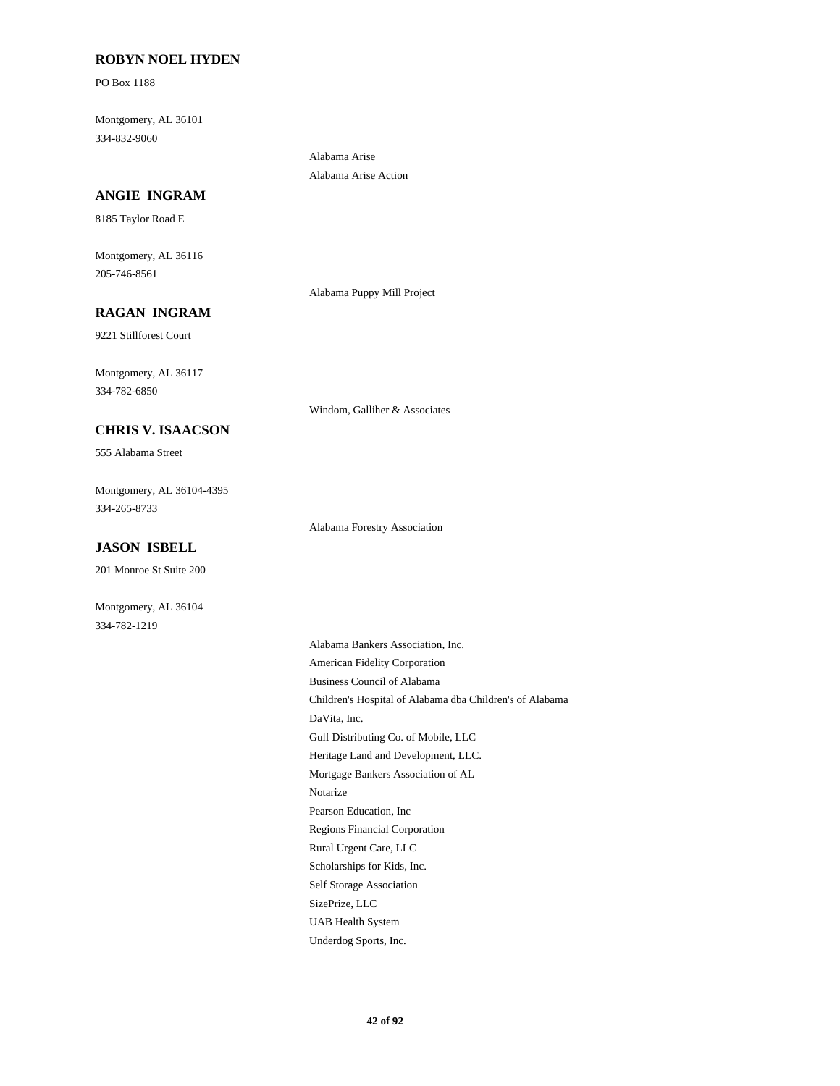# **ROBYN NOEL HYDEN**

PO Box 1188

Montgomery, AL 36101 334-832-9060

### **ANGIE INGRAM**

8185 Taylor Road E

Montgomery, AL 36116 205-746-8561

Alabama Puppy Mill Project

Alabama Arise Alabama Arise Action

# **RAGAN INGRAM**

9221 Stillforest Court

Montgomery, AL 36117 334-782-6850

### **CHRIS V. ISAACSON**

555 Alabama Street

Montgomery, AL 36104-4395 334-265-8733

### **JASON ISBELL**

201 Monroe St Suite 200

Montgomery, AL 36104 334-782-1219

Windom, Galliher & Associates

Alabama Forestry Association

Alabama Bankers Association, Inc. American Fidelity Corporation Business Council of Alabama Children's Hospital of Alabama dba Children's of Alabama DaVita, Inc. Gulf Distributing Co. of Mobile, LLC Heritage Land and Development, LLC. Mortgage Bankers Association of AL Notarize Pearson Education, Inc Regions Financial Corporation Rural Urgent Care, LLC Scholarships for Kids, Inc. Self Storage Association SizePrize, LLC UAB Health System Underdog Sports, Inc.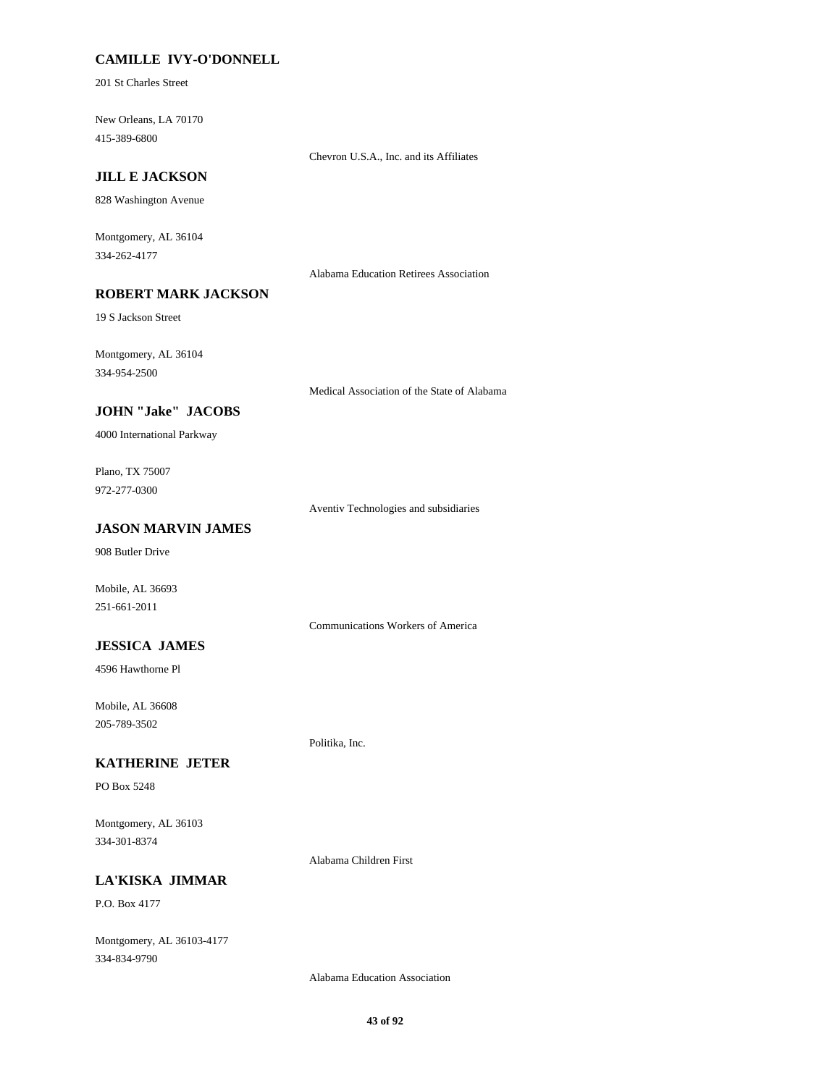# **CAMILLE IVY-O'DONNELL**

201 St Charles Street

New Orleans, LA 70170 415-389-6800

Chevron U.S.A., Inc. and its Affiliates

# **JILL E JACKSON**

828 Washington Avenue

Montgomery, AL 36104 334-262-4177

Alabama Education Retirees Association

# **ROBERT MARK JACKSON**

19 S Jackson Street

Montgomery, AL 36104 334-954-2500

Medical Association of the State of Alabama

# **JOHN "Jake" JACOBS**

4000 International Parkway

Plano, TX 75007 972-277-0300

Aventiv Technologies and subsidiaries

# **JASON MARVIN JAMES**

908 Butler Drive

Mobile, AL 36693 251-661-2011

Communications Workers of America

# **JESSICA JAMES**

4596 Hawthorne Pl

Mobile, AL 36608 205-789-3502

#### **KATHERINE JETER**

PO Box 5248

Montgomery, AL 36103 334-301-8374

Alabama Children First

Politika, Inc.

# **LA'KISKA JIMMAR**

P.O. Box 4177

Montgomery, AL 36103-4177 334-834-9790

Alabama Education Association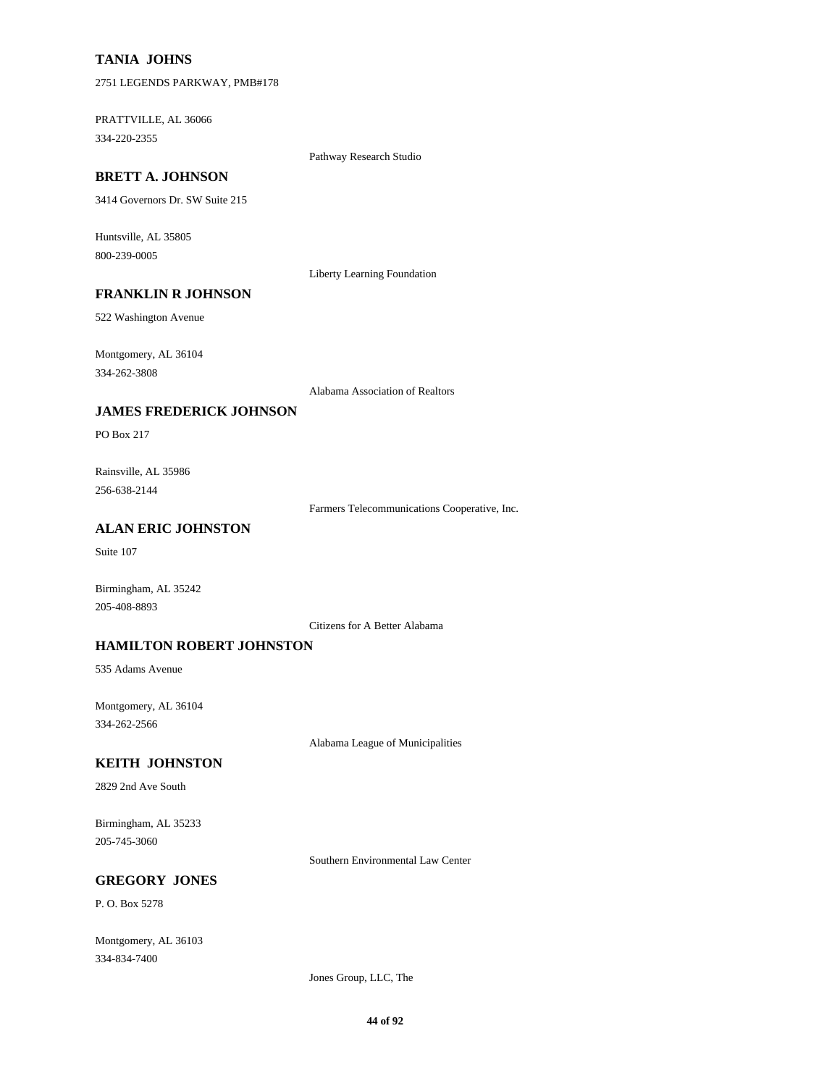# **TANIA JOHNS**

2751 LEGENDS PARKWAY, PMB#178

PRATTVILLE, AL 36066 334-220-2355

Pathway Research Studio

# **BRETT A. JOHNSON**

3414 Governors Dr. SW Suite 215

Huntsville, AL 35805 800-239-0005

Liberty Learning Foundation

# **FRANKLIN R JOHNSON**

522 Washington Avenue

Montgomery, AL 36104 334-262-3808

Alabama Association of Realtors

#### **JAMES FREDERICK JOHNSON**

PO Box 217

Rainsville, AL 35986 256-638-2144

Farmers Telecommunications Cooperative, Inc.

# **ALAN ERIC JOHNSTON**

Suite 107

Birmingham, AL 35242 205-408-8893

Citizens for A Better Alabama

# **HAMILTON ROBERT JOHNSTON**

535 Adams Avenue

Montgomery, AL 36104 334-262-2566

Alabama League of Municipalities

# **KEITH JOHNSTON**

2829 2nd Ave South

Birmingham, AL 35233 205-745-3060

Southern Environmental Law Center

# **GREGORY JONES**

P. O. Box 5278

Montgomery, AL 36103 334-834-7400

Jones Group, LLC, The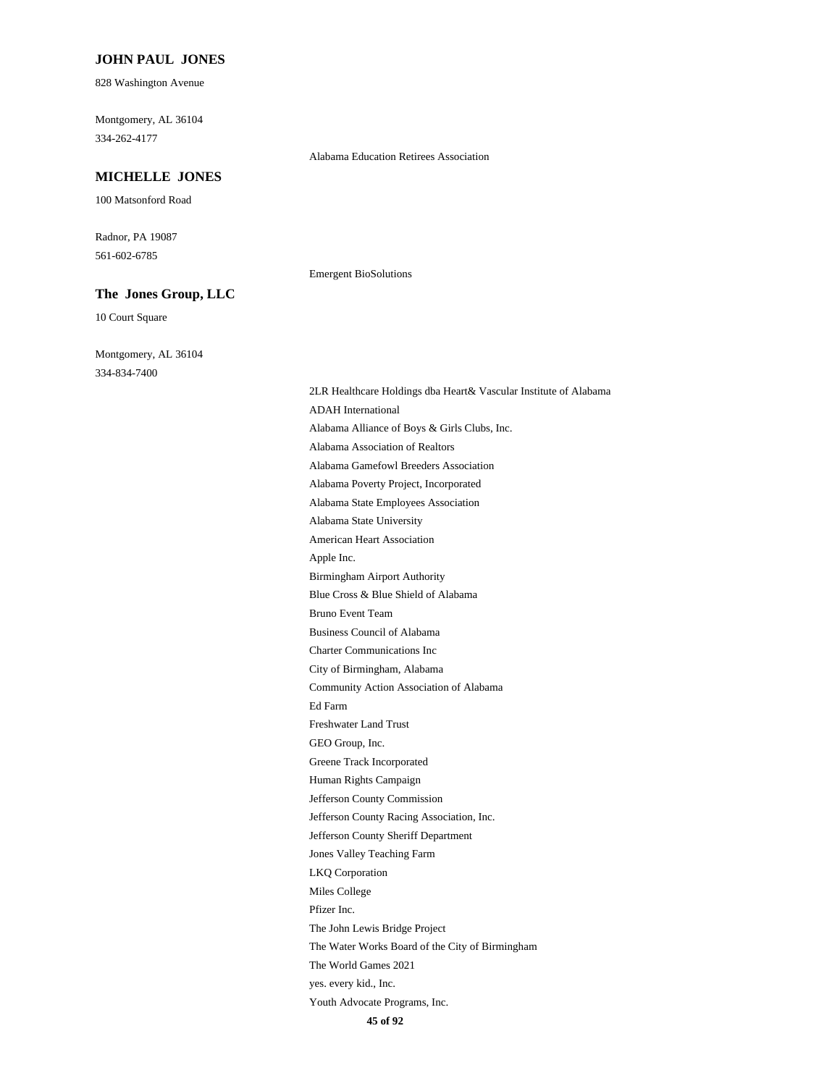#### **JOHN PAUL JONES**

828 Washington Avenue

Montgomery, AL 36104 334-262-4177

#### **MICHELLE JONES**

100 Matsonford Road

Radnor, PA 19087 561-602-6785

#### **The Jones Group, LLC**

10 Court Square

Montgomery, AL 36104 334-834-7400

Alabama Education Retirees Association

Emergent BioSolutions

2LR Healthcare Holdings dba Heart& Vascular Institute of Alabama ADAH International Alabama Alliance of Boys & Girls Clubs, Inc. Alabama Association of Realtors Alabama Gamefowl Breeders Association Alabama Poverty Project, Incorporated Alabama State Employees Association Alabama State University American Heart Association Apple Inc. Birmingham Airport Authority Blue Cross & Blue Shield of Alabama Bruno Event Team Business Council of Alabama Charter Communications Inc City of Birmingham, Alabama Community Action Association of Alabama Ed Farm Freshwater Land Trust GEO Group, Inc. Greene Track Incorporated Human Rights Campaign Jefferson County Commission Jefferson County Racing Association, Inc. Jefferson County Sheriff Department Jones Valley Teaching Farm LKQ Corporation Miles College Pfizer Inc. The John Lewis Bridge Project The Water Works Board of the City of Birmingham The World Games 2021 yes. every kid., Inc.

Youth Advocate Programs, Inc.

**45 of 92**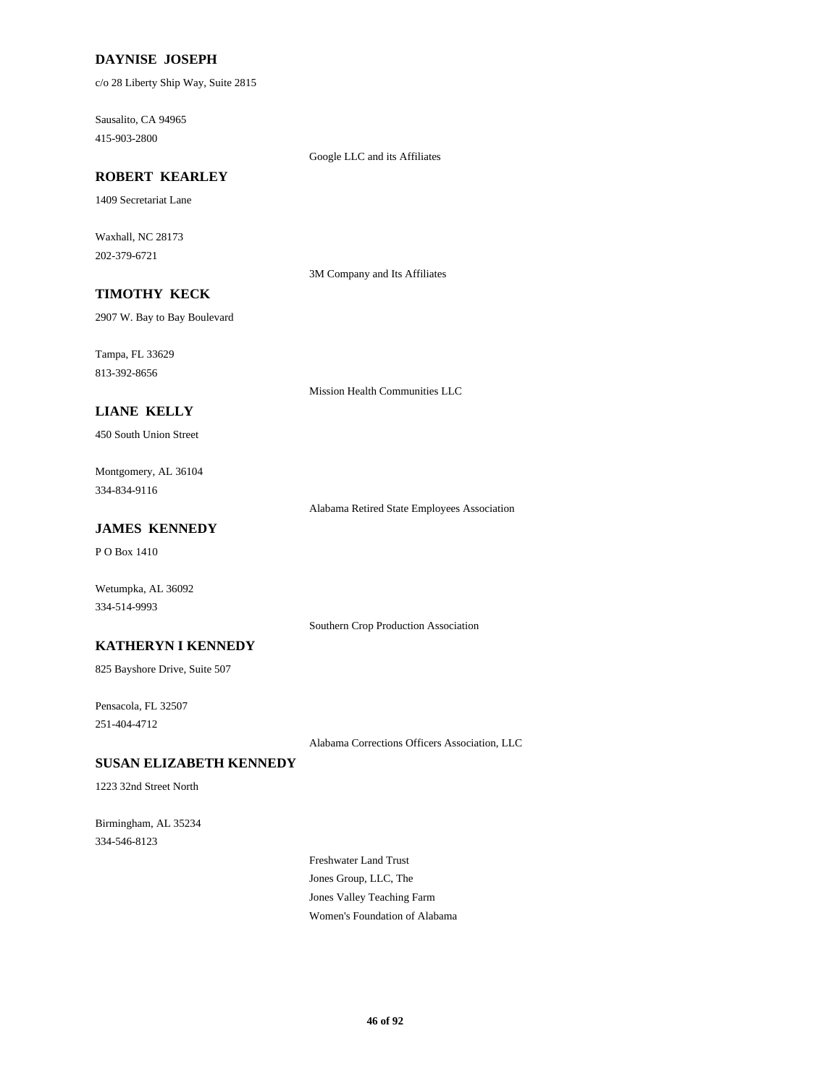# **DAYNISE JOSEPH**

c/o 28 Liberty Ship Way, Suite 2815

Sausalito, CA 94965 415-903-2800

Google LLC and its Affiliates

# **ROBERT KEARLEY**

1409 Secretariat Lane

Waxhall, NC 28173 202-379-6721

3M Company and Its Affiliates

# **TIMOTHY KECK**

2907 W. Bay to Bay Boulevard

Tampa, FL 33629 813-392-8656

Mission Health Communities LLC

# **LIANE KELLY**

450 South Union Street

Montgomery, AL 36104 334-834-9116

Alabama Retired State Employees Association

# **JAMES KENNEDY**

P O Box 1410

Wetumpka, AL 36092 334-514-9993

Southern Crop Production Association

### **KATHERYN I KENNEDY**

825 Bayshore Drive, Suite 507

Pensacola, FL 32507 251-404-4712

Alabama Corrections Officers Association, LLC

#### **SUSAN ELIZABETH KENNEDY**

1223 32nd Street North

Birmingham, AL 35234 334-546-8123

> Freshwater Land Trust Jones Group, LLC, The Jones Valley Teaching Farm Women's Foundation of Alabama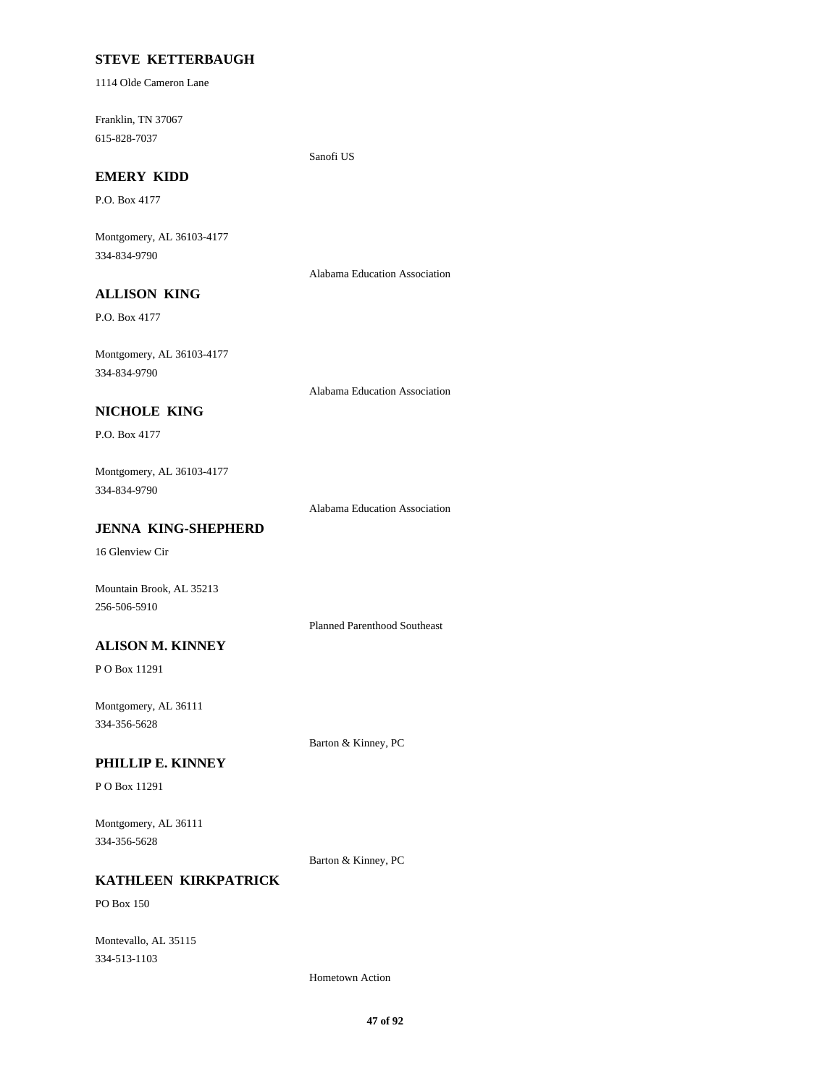# **STEVE KETTERBAUGH**

1114 Olde Cameron Lane

Franklin, TN 37067 615-828-7037

Sanofi US

# **EMERY KIDD**

P.O. Box 4177

Montgomery, AL 36103-4177 334-834-9790

Alabama Education Association

# **ALLISON KING**

P.O. Box 4177

Montgomery, AL 36103-4177 334-834-9790

Alabama Education Association

# **NICHOLE KING**

P.O. Box 4177

# Montgomery, AL 36103-4177 334-834-9790

Alabama Education Association

### **JENNA KING-SHEPHERD**

16 Glenview Cir

Mountain Brook, AL 35213 256-506-5910

Planned Parenthood Southeast

# **ALISON M. KINNEY**

P O Box 11291

Montgomery, AL 36111 334-356-5628

Barton & Kinney, PC

# **PHILLIP E. KINNEY**

P O Box 11291

Montgomery, AL 36111 334-356-5628

Barton & Kinney, PC

# **KATHLEEN KIRKPATRICK**

PO Box 150

Montevallo, AL 35115 334-513-1103

Hometown Action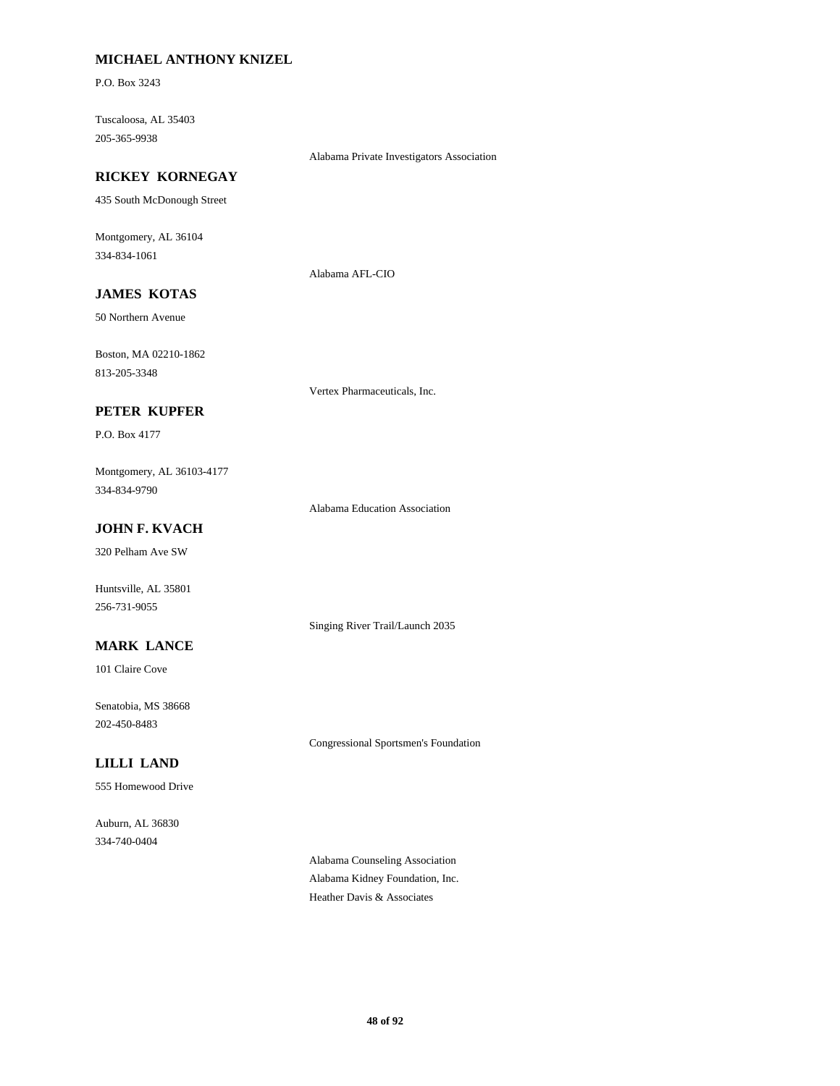# **MICHAEL ANTHONY KNIZEL**

P.O. Box 3243

Tuscaloosa, AL 35403 205-365-9938

Alabama Private Investigators Association

# **RICKEY KORNEGAY**

435 South McDonough Street

Montgomery, AL 36104 334-834-1061

Alabama AFL-CIO

# **JAMES KOTAS**

50 Northern Avenue

Boston, MA 02210-1862 813-205-3348

Vertex Pharmaceuticals, Inc.

# **PETER KUPFER**

P.O. Box 4177

Montgomery, AL 36103-4177 334-834-9790

Alabama Education Association

Singing River Trail/Launch 2035

# **JOHN F. KVACH**

320 Pelham Ave SW

Huntsville, AL 35801 256-731-9055

# **MARK LANCE**

101 Claire Cove

Senatobia, MS 38668 202-450-8483

Congressional Sportsmen's Foundation

# **LILLI LAND**

555 Homewood Drive

Auburn, AL 36830 334-740-0404

> Alabama Counseling Association Alabama Kidney Foundation, Inc. Heather Davis & Associates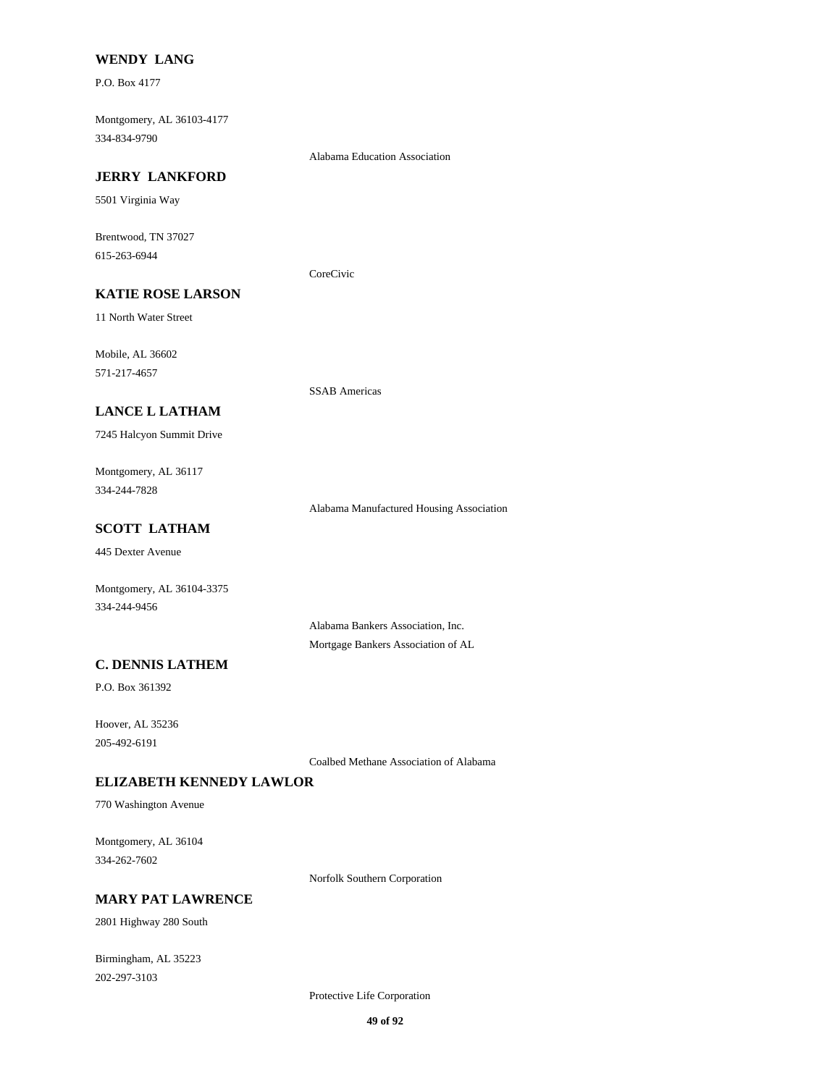### **WENDY LANG**

P.O. Box 4177

Montgomery, AL 36103-4177 334-834-9790

Alabama Education Association

#### **JERRY LANKFORD**

5501 Virginia Way

Brentwood, TN 37027 615-263-6944

CoreCivic

# **KATIE ROSE LARSON**

11 North Water Street

Mobile, AL 36602 571-217-4657

SSAB Americas

# **LANCE L LATHAM**

7245 Halcyon Summit Drive

Montgomery, AL 36117 334-244-7828

Alabama Manufactured Housing Association

# **SCOTT LATHAM**

445 Dexter Avenue

Montgomery, AL 36104-3375 334-244-9456

> Alabama Bankers Association, Inc. Mortgage Bankers Association of AL

# **C. DENNIS LATHEM**

P.O. Box 361392

Hoover, AL 35236 205-492-6191

Coalbed Methane Association of Alabama

# **ELIZABETH KENNEDY LAWLOR**

770 Washington Avenue

Montgomery, AL 36104 334-262-7602

Norfolk Southern Corporation

# **MARY PAT LAWRENCE**

2801 Highway 280 South

Birmingham, AL 35223 202-297-3103

Protective Life Corporation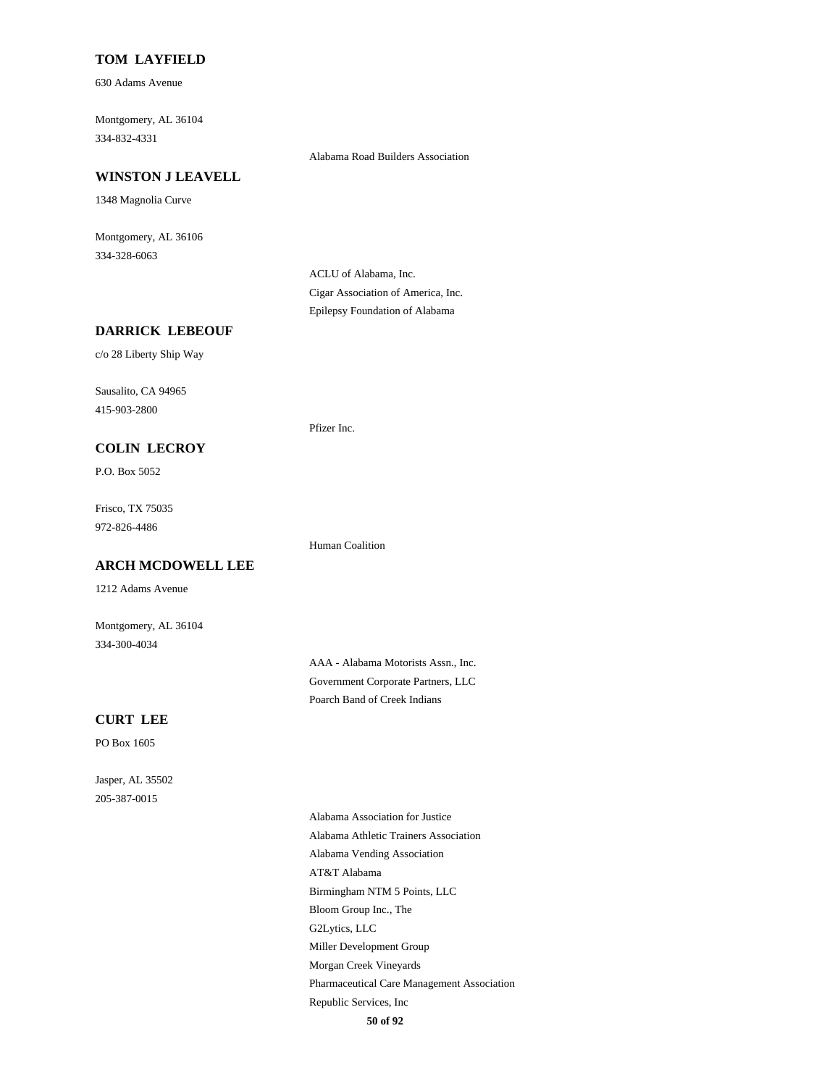### **TOM LAYFIELD**

630 Adams Avenue

Montgomery, AL 36104 334-832-4331

#### **WINSTON J LEAVELL**

1348 Magnolia Curve

Montgomery, AL 36106 334-328-6063

> ACLU of Alabama, Inc. Cigar Association of America, Inc. Epilepsy Foundation of Alabama

Pfizer Inc.

Human Coalition

Alabama Road Builders Association

# **DARRICK LEBEOUF**

c/o 28 Liberty Ship Way

Sausalito, CA 94965 415-903-2800

#### **COLIN LECROY**

P.O. Box 5052

Frisco, TX 75035 972-826-4486

# **ARCH MCDOWELL LEE**

1212 Adams Avenue

Montgomery, AL 36104 334-300-4034

> AAA - Alabama Motorists Assn., Inc. Government Corporate Partners, LLC Poarch Band of Creek Indians

#### **CURT LEE**

PO Box 1605

Jasper, AL 35502 205-387-0015

> Alabama Association for Justice Alabama Athletic Trainers Association Alabama Vending Association AT&T Alabama Birmingham NTM 5 Points, LLC Bloom Group Inc., The G2Lytics, LLC Miller Development Group Morgan Creek Vineyards Pharmaceutical Care Management Association Republic Services, Inc **50 of 92**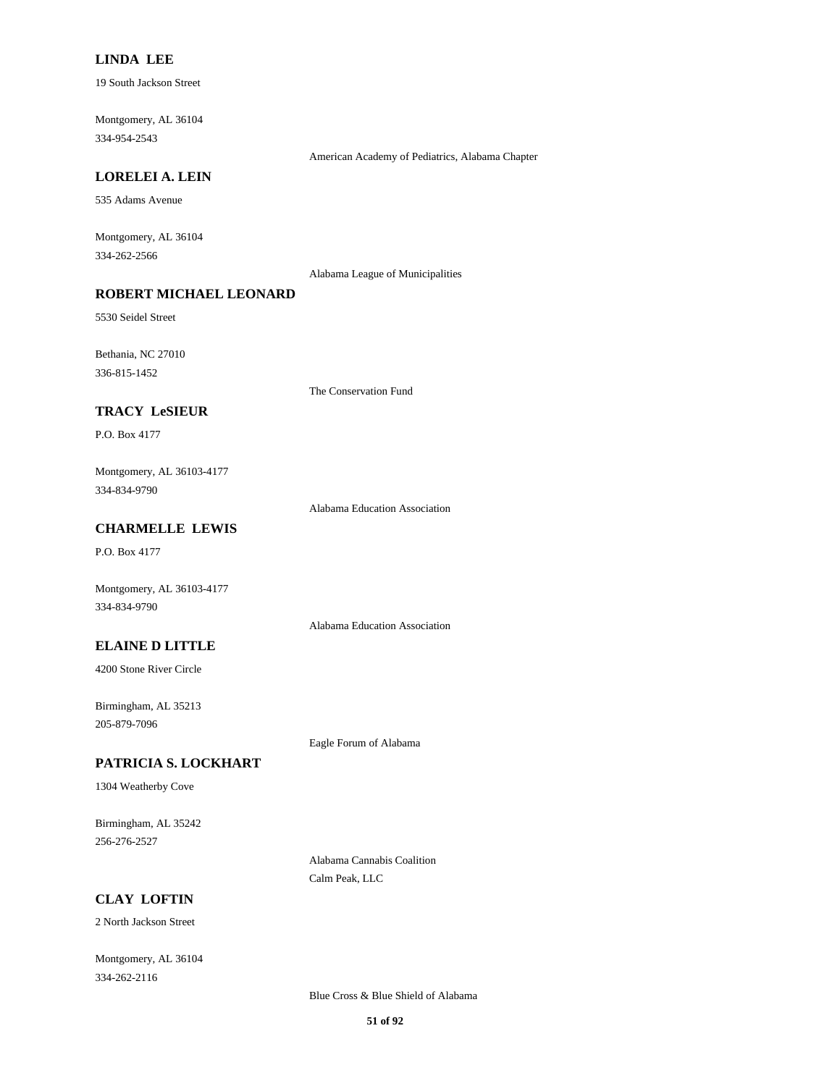# **LINDA LEE**

19 South Jackson Street

Montgomery, AL 36104 334-954-2543

American Academy of Pediatrics, Alabama Chapter

#### **LORELEI A. LEIN**

535 Adams Avenue

Montgomery, AL 36104 334-262-2566

Alabama League of Municipalities

# **ROBERT MICHAEL LEONARD**

5530 Seidel Street

Bethania, NC 27010 336-815-1452

The Conservation Fund

### **TRACY LeSIEUR**

P.O. Box 4177

Montgomery, AL 36103-4177 334-834-9790

Alabama Education Association

### **CHARMELLE LEWIS**

P.O. Box 4177

Montgomery, AL 36103-4177 334-834-9790

Alabama Education Association

#### **ELAINE D LITTLE**

4200 Stone River Circle

Birmingham, AL 35213 205-879-7096

Eagle Forum of Alabama

# **PATRICIA S. LOCKHART**

1304 Weatherby Cove

Birmingham, AL 35242 256-276-2527

> Alabama Cannabis Coalition Calm Peak, LLC

# **CLAY LOFTIN**

2 North Jackson Street

Montgomery, AL 36104 334-262-2116

Blue Cross & Blue Shield of Alabama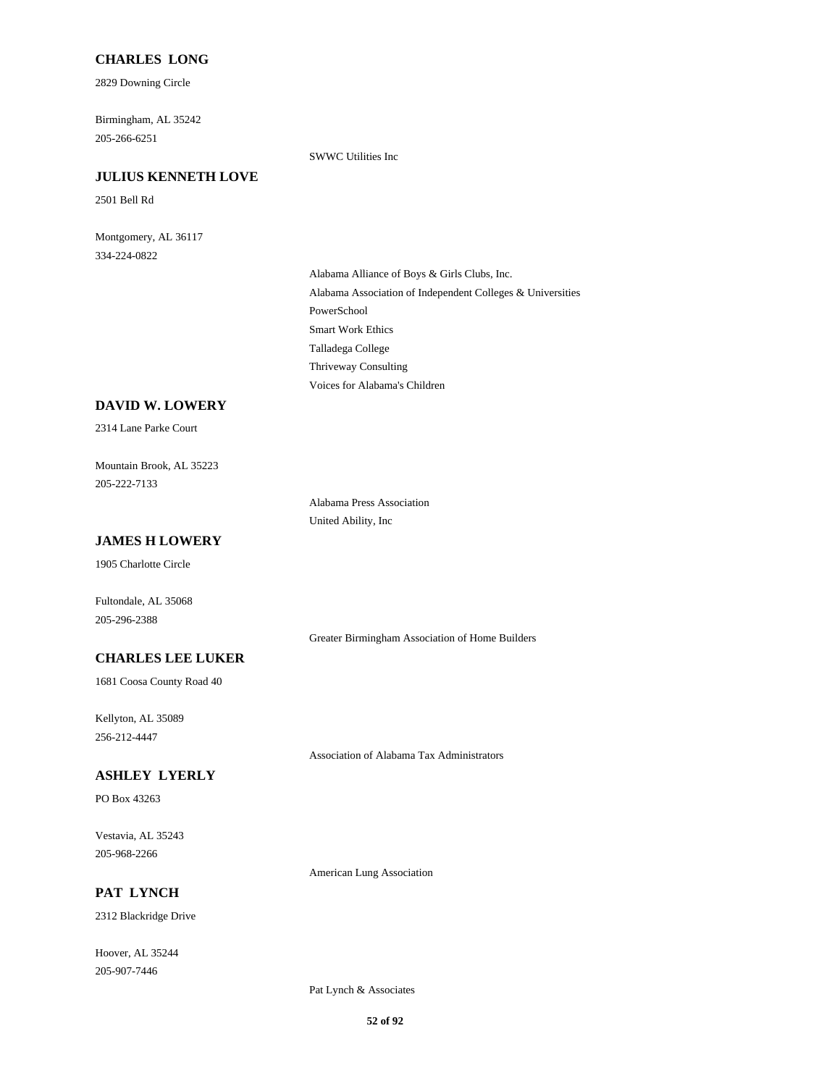# **CHARLES LONG**

2829 Downing Circle

Birmingham, AL 35242 205-266-6251

SWWC Utilities Inc

#### **JULIUS KENNETH LOVE**

2501 Bell Rd

Montgomery, AL 36117 334-224-0822

> Alabama Alliance of Boys & Girls Clubs, Inc. Alabama Association of Independent Colleges & Universities PowerSchool Smart Work Ethics Talladega College Thriveway Consulting Voices for Alabama's Children

#### **DAVID W. LOWERY**

2314 Lane Parke Court

Mountain Brook, AL 35223 205-222-7133

> Alabama Press Association United Ability, Inc

# **JAMES H LOWERY**

1905 Charlotte Circle

Fultondale, AL 35068 205-296-2388

Greater Birmingham Association of Home Builders

# **CHARLES LEE LUKER**

1681 Coosa County Road 40

Kellyton, AL 35089 256-212-4447

Association of Alabama Tax Administrators

### **ASHLEY LYERLY**

PO Box 43263

Vestavia, AL 35243 205-968-2266

**PAT LYNCH**

2312 Blackridge Drive

Hoover, AL 35244 205-907-7446

American Lung Association

Pat Lynch & Associates

**52 of 92**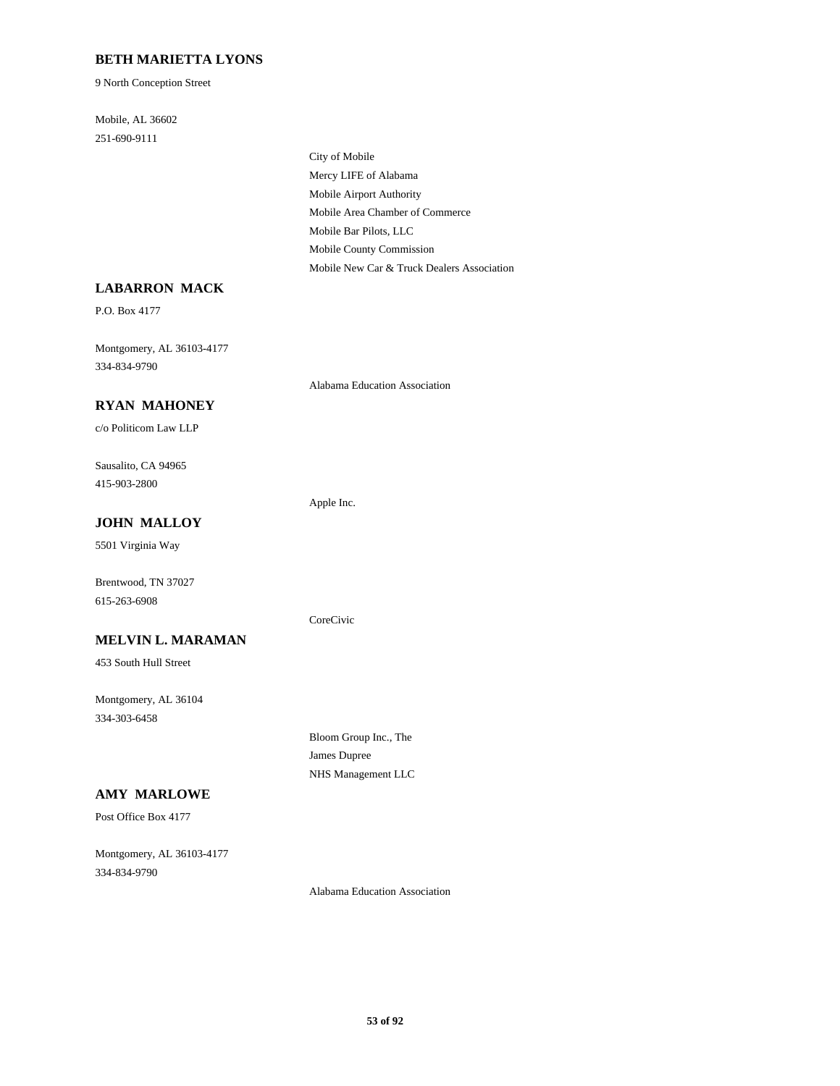# **BETH MARIETTA LYONS**

9 North Conception Street

Mobile, AL 36602 251-690-9111

> City of Mobile Mercy LIFE of Alabama Mobile Airport Authority Mobile Area Chamber of Commerce Mobile Bar Pilots, LLC Mobile County Commission Mobile New Car & Truck Dealers Association

Alabama Education Association

Apple Inc.

CoreCivic

# **LABARRON MACK**

P.O. Box 4177

Montgomery, AL 36103-4177 334-834-9790

#### **RYAN MAHONEY**

c/o Politicom Law LLP

Sausalito, CA 94965 415-903-2800

#### **JOHN MALLOY**

5501 Virginia Way

Brentwood, TN 37027 615-263-6908

### **MELVIN L. MARAMAN**

453 South Hull Street

Montgomery, AL 36104 334-303-6458

> Bloom Group Inc., The James Dupree NHS Management LLC

# **AMY MARLOWE**

Post Office Box 4177

Montgomery, AL 36103-4177 334-834-9790

Alabama Education Association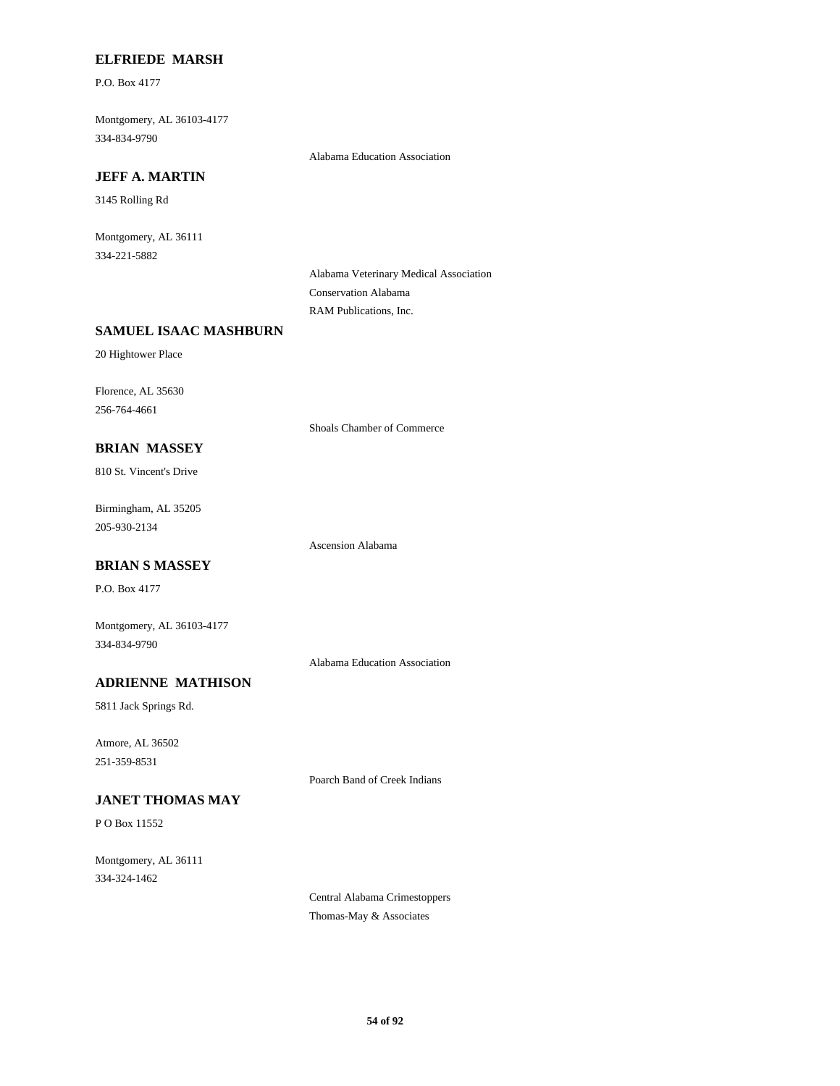### **ELFRIEDE MARSH**

P.O. Box 4177

Montgomery, AL 36103-4177 334-834-9790

Alabama Education Association

# **JEFF A. MARTIN**

3145 Rolling Rd

Montgomery, AL 36111 334-221-5882

> Alabama Veterinary Medical Association Conservation Alabama RAM Publications, Inc.

# **SAMUEL ISAAC MASHBURN**

20 Hightower Place

Florence, AL 35630 256-764-4661

Shoals Chamber of Commerce

# **BRIAN MASSEY**

810 St. Vincent's Drive

Birmingham, AL 35205 205-930-2134

Ascension Alabama

# **BRIAN S MASSEY**

P.O. Box 4177

Montgomery, AL 36103-4177 334-834-9790

Alabama Education Association

# **ADRIENNE MATHISON**

5811 Jack Springs Rd.

Atmore, AL 36502 251-359-8531

Poarch Band of Creek Indians

# **JANET THOMAS MAY**

P O Box 11552

Montgomery, AL 36111 334-324-1462

> Central Alabama Crimestoppers Thomas-May & Associates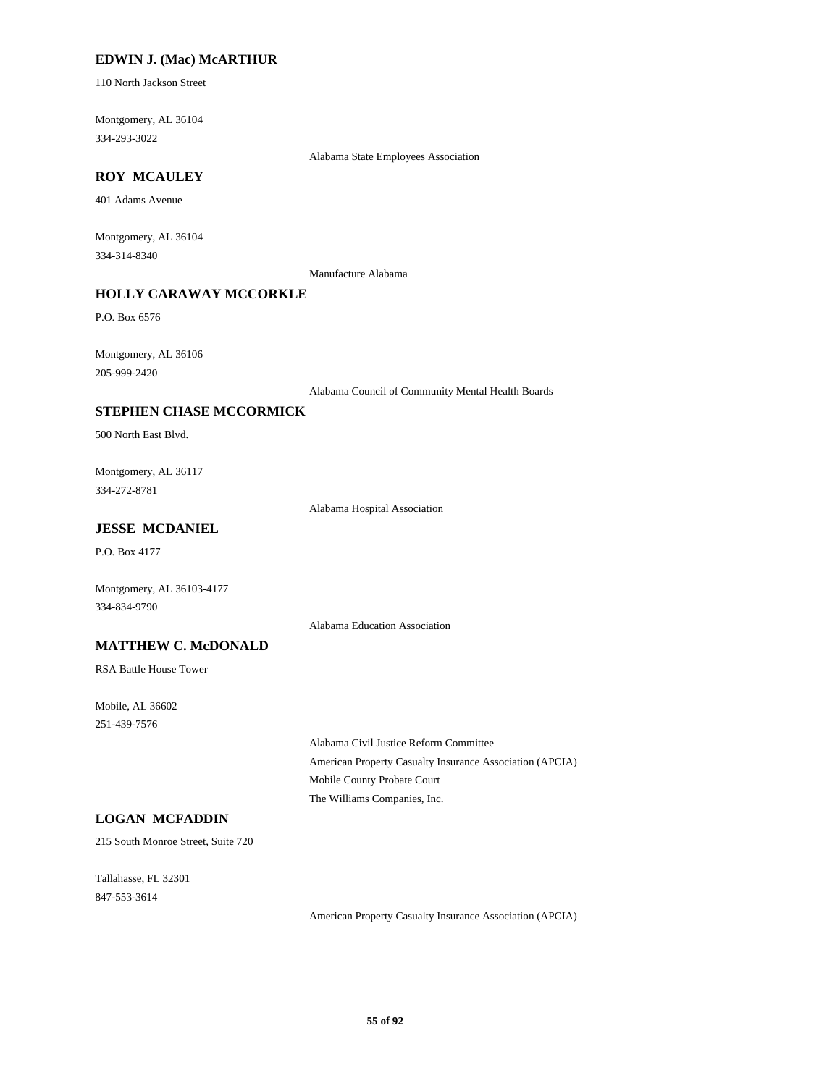# **EDWIN J. (Mac) McARTHUR**

110 North Jackson Street

Montgomery, AL 36104 334-293-3022

Alabama State Employees Association

# **ROY MCAULEY**

401 Adams Avenue

Montgomery, AL 36104 334-314-8340

Manufacture Alabama

# **HOLLY CARAWAY MCCORKLE**

P.O. Box 6576

Montgomery, AL 36106 205-999-2420

Alabama Council of Community Mental Health Boards

### **STEPHEN CHASE MCCORMICK**

500 North East Blvd.

Montgomery, AL 36117 334-272-8781

Alabama Hospital Association

# **JESSE MCDANIEL**

P.O. Box 4177

Montgomery, AL 36103-4177 334-834-9790

Alabama Education Association

### **MATTHEW C. McDONALD**

RSA Battle House Tower

Mobile, AL 36602 251-439-7576

> Alabama Civil Justice Reform Committee American Property Casualty Insurance Association (APCIA) Mobile County Probate Court The Williams Companies, Inc.

# **LOGAN MCFADDIN**

215 South Monroe Street, Suite 720

Tallahasse, FL 32301 847-553-3614

American Property Casualty Insurance Association (APCIA)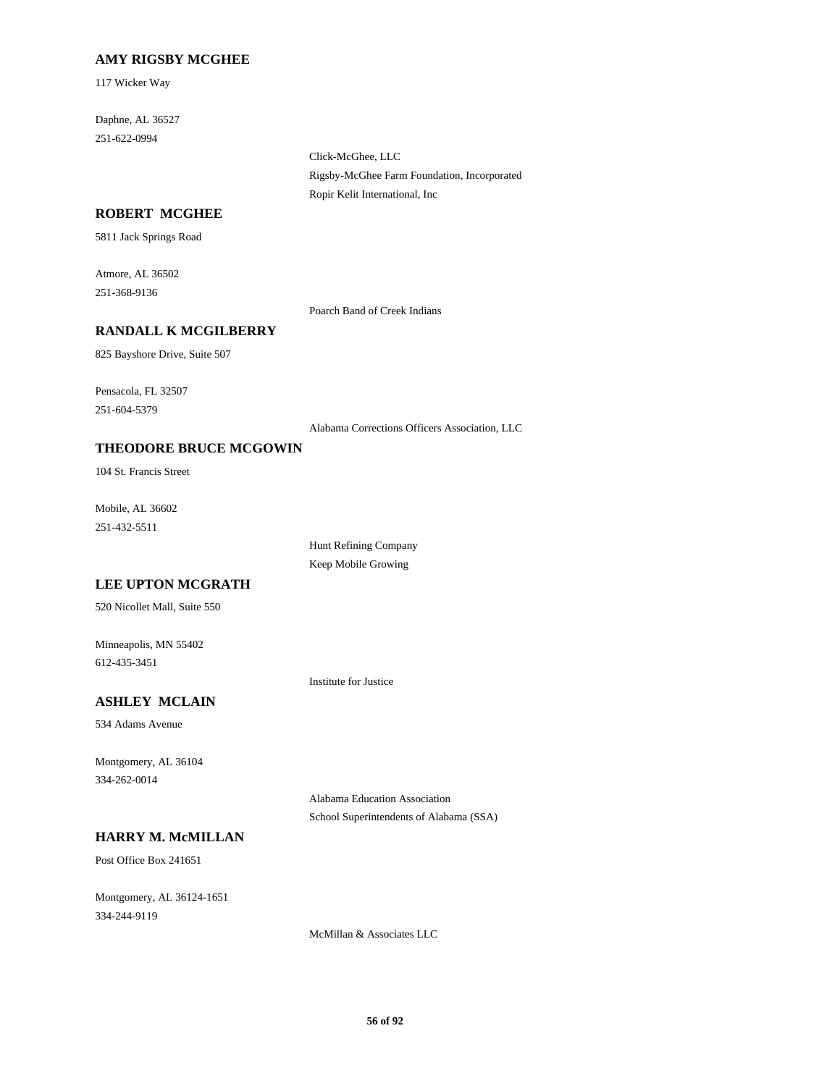### **AMY RIGSBY MCGHEE**

117 Wicker Way

Daphne, AL 36527 251-622-0994

> Click-McGhee, LLC Rigsby-McGhee Farm Foundation, Incorporated Ropir Kelit International, Inc

### **ROBERT MCGHEE**

5811 Jack Springs Road

Atmore, AL 36502 251-368-9136

Poarch Band of Creek Indians

# **RANDALL K MCGILBERRY**

825 Bayshore Drive, Suite 507

Pensacola, FL 32507 251-604-5379

Alabama Corrections Officers Association, LLC

### **THEODORE BRUCE MCGOWIN**

104 St. Francis Street

Mobile, AL 36602 251-432-5511

> Hunt Refining Company Keep Mobile Growing

### **LEE UPTON MCGRATH**

520 Nicollet Mall, Suite 550

Minneapolis, MN 55402 612-435-3451

Institute for Justice

# **ASHLEY MCLAIN**

534 Adams Avenue

Montgomery, AL 36104 334-262-0014

> Alabama Education Association School Superintendents of Alabama (SSA)

# **HARRY M. McMILLAN**

Post Office Box 241651

Montgomery, AL 36124-1651 334-244-9119

McMillan & Associates LLC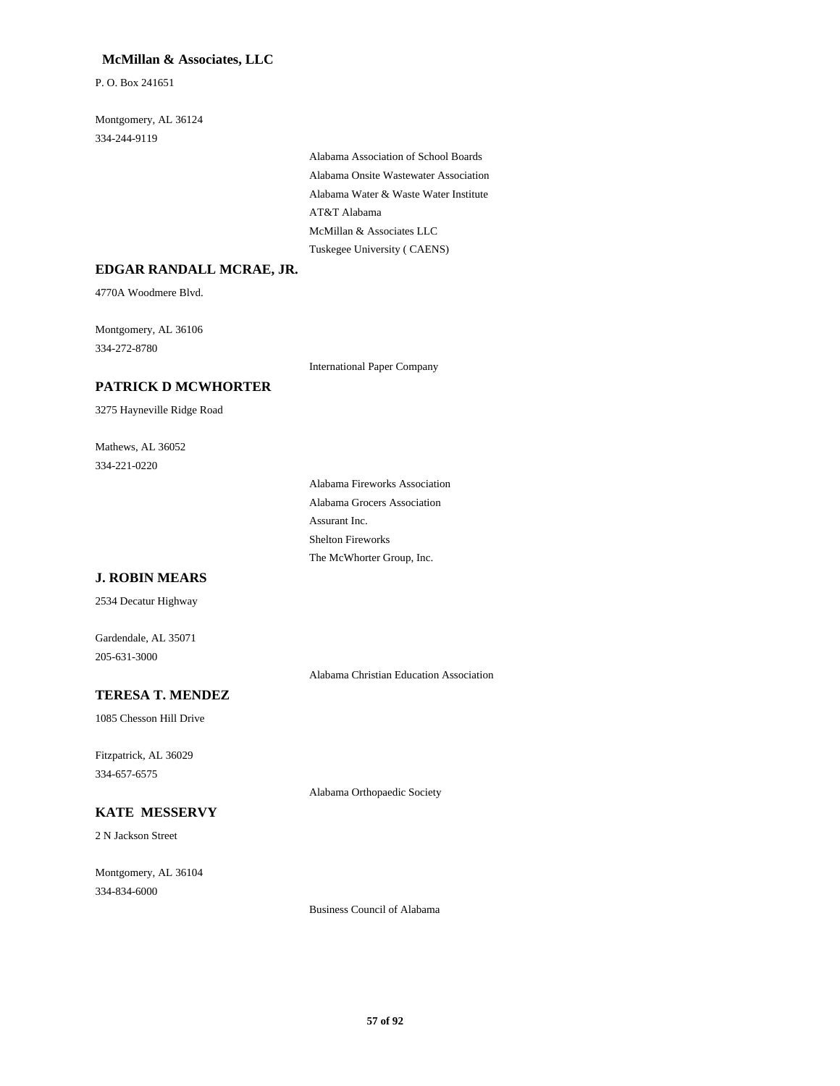# **McMillan & Associates, LLC**

P. O. Box 241651

Montgomery, AL 36124 334-244-9119

> Alabama Association of School Boards Alabama Onsite Wastewater Association Alabama Water & Waste Water Institute AT&T Alabama McMillan & Associates LLC Tuskegee University ( CAENS)

#### **EDGAR RANDALL MCRAE, JR.**

4770A Woodmere Blvd.

Montgomery, AL 36106 334-272-8780

International Paper Company

# **PATRICK D MCWHORTER**

3275 Hayneville Ridge Road

Mathews, AL 36052 334-221-0220

> Alabama Fireworks Association Alabama Grocers Association Assurant Inc. Shelton Fireworks The McWhorter Group, Inc.

### **J. ROBIN MEARS**

2534 Decatur Highway

Gardendale, AL 35071 205-631-3000

Alabama Christian Education Association

#### **TERESA T. MENDEZ**

1085 Chesson Hill Drive

Fitzpatrick, AL 36029 334-657-6575

Alabama Orthopaedic Society

#### **KATE MESSERVY**

2 N Jackson Street

Montgomery, AL 36104 334-834-6000

Business Council of Alabama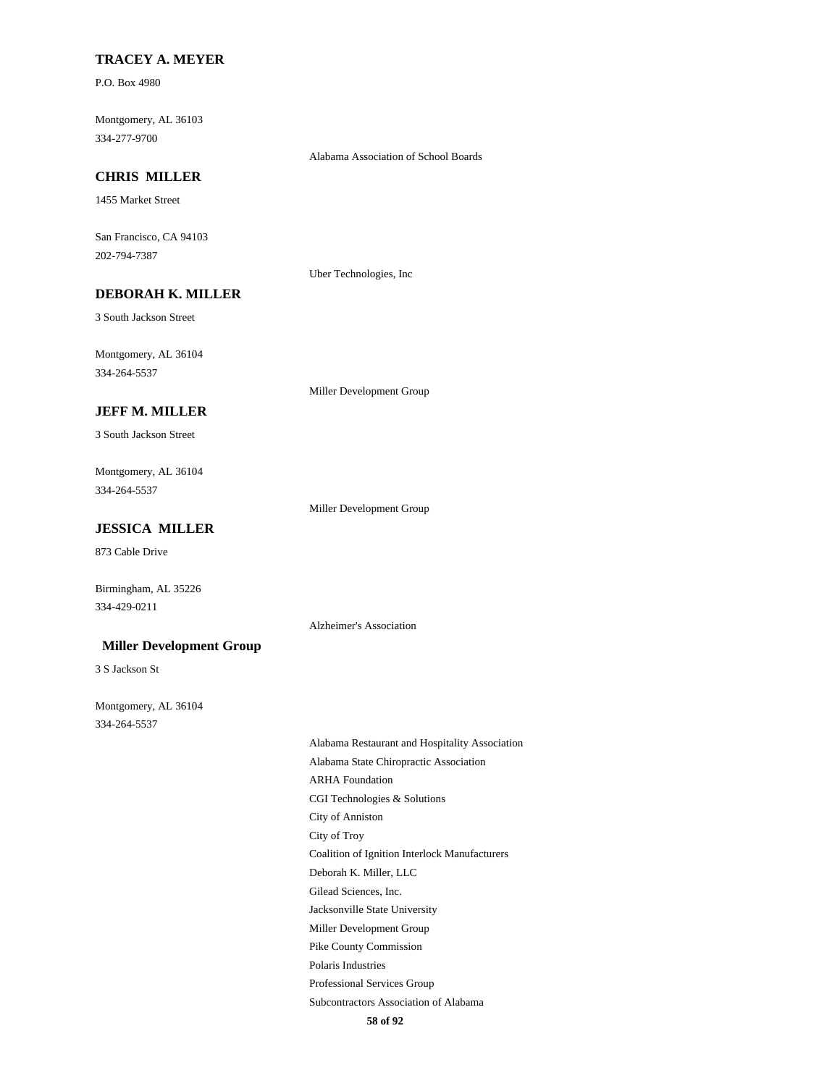### **TRACEY A. MEYER**

P.O. Box 4980

Montgomery, AL 36103 334-277-9700

Alabama Association of School Boards

# **CHRIS MILLER**

1455 Market Street

San Francisco, CA 94103 202-794-7387

Uber Technologies, Inc

# **DEBORAH K. MILLER**

3 South Jackson Street

Montgomery, AL 36104 334-264-5537

Miller Development Group

### **JEFF M. MILLER**

3 South Jackson Street

Montgomery, AL 36104 334-264-5537

Miller Development Group

Alzheimer's Association

# **JESSICA MILLER**

873 Cable Drive

Birmingham, AL 35226 334-429-0211

#### **Miller Development Group**

3 S Jackson St

Montgomery, AL 36104 334-264-5537

> Alabama Restaurant and Hospitality Association Alabama State Chiropractic Association ARHA Foundation CGI Technologies & Solutions City of Anniston City of Troy Coalition of Ignition Interlock Manufacturers Deborah K. Miller, LLC Gilead Sciences, Inc. Jacksonville State University Miller Development Group Pike County Commission Polaris Industries Professional Services Group Subcontractors Association of Alabama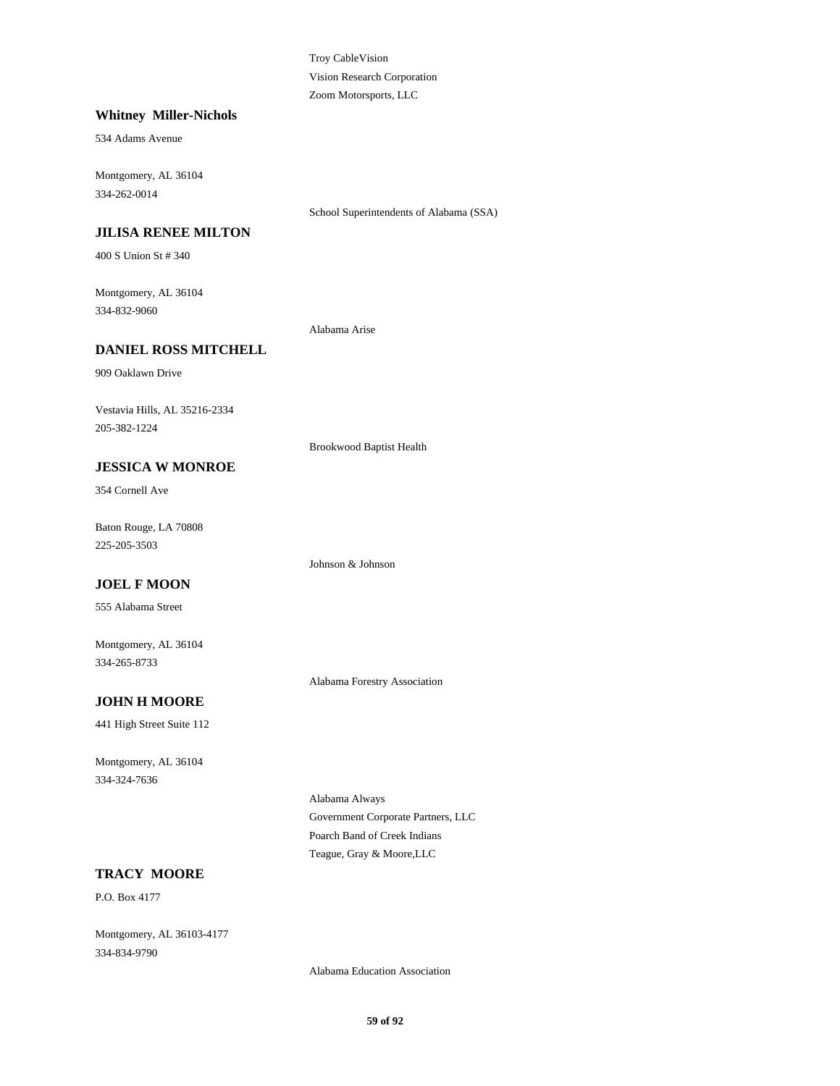Troy CableVision Vision Research Corporation Zoom Motorsports, LLC

#### **Whitney Miller-Nichols**

534 Adams Avenue

Montgomery, AL 36104 334-262-0014

School Superintendents of Alabama (SSA)

# **JILISA RENEE MILTON**

400 S Union St # 340

Montgomery, AL 36104 334-832-9060

Alabama Arise

# **DANIEL ROSS MITCHELL**

909 Oaklawn Drive

Vestavia Hills, AL 35216-2334 205-382-1224

Brookwood Baptist Health

Johnson & Johnson

# **JESSICA W MONROE**

354 Cornell Ave

Baton Rouge, LA 70808 225-205-3503

### **JOEL F MOON**

555 Alabama Street

Montgomery, AL 36104 334-265-8733

Alabama Forestry Association

# **JOHN H MOORE**

441 High Street Suite 112

Montgomery, AL 36104 334-324-7636

> Alabama Always Government Corporate Partners, LLC Poarch Band of Creek Indians Teague, Gray & Moore,LLC

# **TRACY MOORE**

P.O. Box 4177

Montgomery, AL 36103-4177 334-834-9790

Alabama Education Association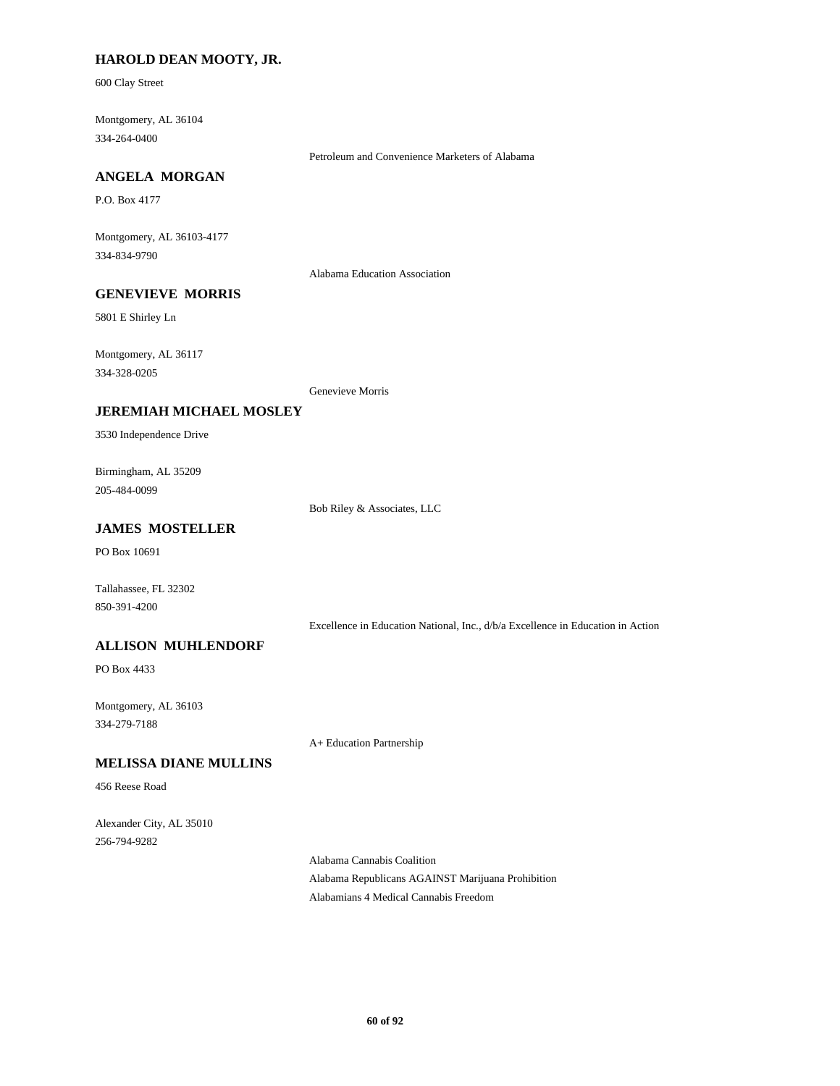# **HAROLD DEAN MOOTY, JR.**

600 Clay Street

Montgomery, AL 36104 334-264-0400

Petroleum and Convenience Marketers of Alabama

# **ANGELA MORGAN**

P.O. Box 4177

Montgomery, AL 36103-4177 334-834-9790

Alabama Education Association

# **GENEVIEVE MORRIS**

5801 E Shirley Ln

Montgomery, AL 36117 334-328-0205

Genevieve Morris

### **JEREMIAH MICHAEL MOSLEY**

3530 Independence Drive

Birmingham, AL 35209 205-484-0099

Bob Riley & Associates, LLC

# **JAMES MOSTELLER**

PO Box 10691

Tallahassee, FL 32302 850-391-4200

Excellence in Education National, Inc., d/b/a Excellence in Education in Action

### **ALLISON MUHLENDORF**

PO Box 4433

Montgomery, AL 36103 334-279-7188

A+ Education Partnership

# **MELISSA DIANE MULLINS**

456 Reese Road

Alexander City, AL 35010 256-794-9282

> Alabama Cannabis Coalition Alabama Republicans AGAINST Marijuana Prohibition Alabamians 4 Medical Cannabis Freedom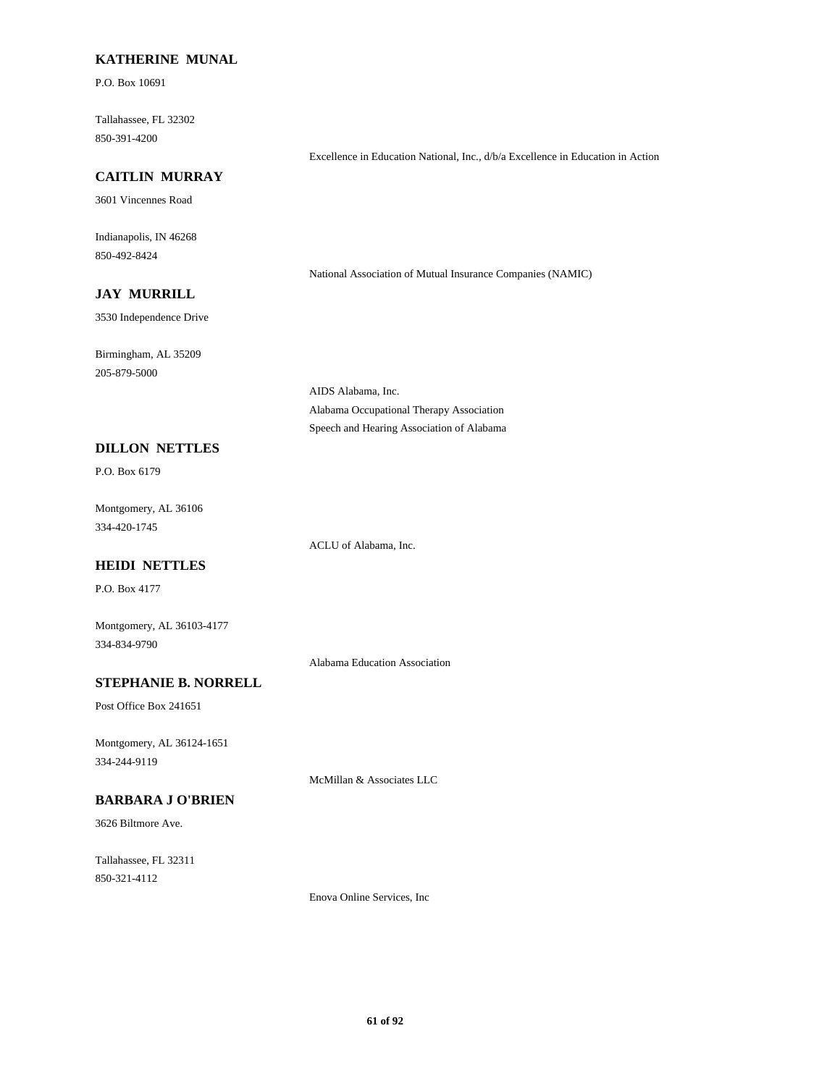### **KATHERINE MUNAL**

P.O. Box 10691

Tallahassee, FL 32302 850-391-4200

#### **CAITLIN MURRAY**

3601 Vincennes Road

Indianapolis, IN 46268 850-492-8424

National Association of Mutual Insurance Companies (NAMIC)

Excellence in Education National, Inc., d/b/a Excellence in Education in Action

# **JAY MURRILL**

3530 Independence Drive

Birmingham, AL 35209 205-879-5000

**DILLON NETTLES**

P.O. Box 6179

Montgomery, AL 36106 334-420-1745

ACLU of Alabama, Inc.

AIDS Alabama, Inc.

Alabama Occupational Therapy Association Speech and Hearing Association of Alabama

# **HEIDI NETTLES**

P.O. Box 4177

Montgomery, AL 36103-4177 334-834-9790

Alabama Education Association

# **STEPHANIE B. NORRELL**

Post Office Box 241651

Montgomery, AL 36124-1651 334-244-9119

McMillan & Associates LLC

# **BARBARA J O'BRIEN**

3626 Biltmore Ave.

Tallahassee, FL 32311 850-321-4112

Enova Online Services, Inc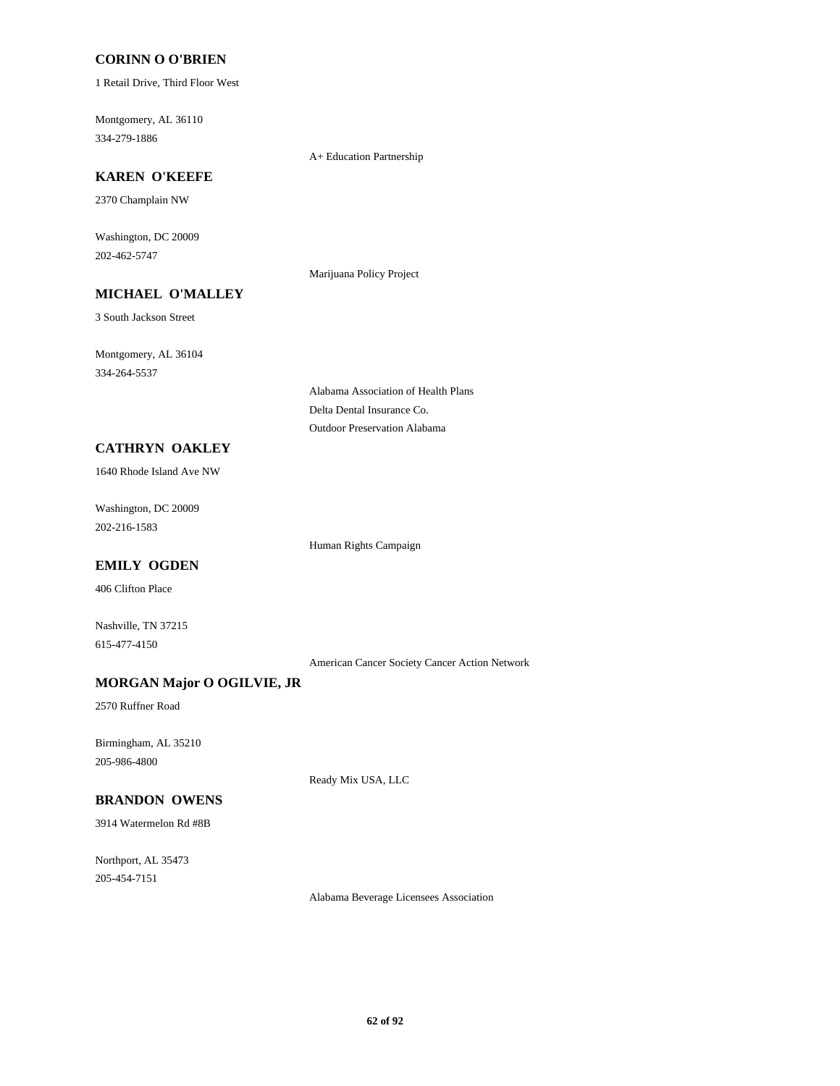### **CORINN O O'BRIEN**

1 Retail Drive, Third Floor West

Montgomery, AL 36110 334-279-1886

A+ Education Partnership

# **KAREN O'KEEFE**

2370 Champlain NW

Washington, DC 20009 202-462-5747

Marijuana Policy Project

3 South Jackson Street

**MICHAEL O'MALLEY**

Montgomery, AL 36104 334-264-5537

> Alabama Association of Health Plans Delta Dental Insurance Co. Outdoor Preservation Alabama

# **CATHRYN OAKLEY**

1640 Rhode Island Ave NW

Washington, DC 20009 202-216-1583

Human Rights Campaign

# **EMILY OGDEN**

406 Clifton Place

Nashville, TN 37215 615-477-4150

American Cancer Society Cancer Action Network

# **MORGAN Major O OGILVIE, JR**

2570 Ruffner Road

Birmingham, AL 35210 205-986-4800

Ready Mix USA, LLC

# **BRANDON OWENS**

3914 Watermelon Rd #8B

Northport, AL 35473 205-454-7151

Alabama Beverage Licensees Association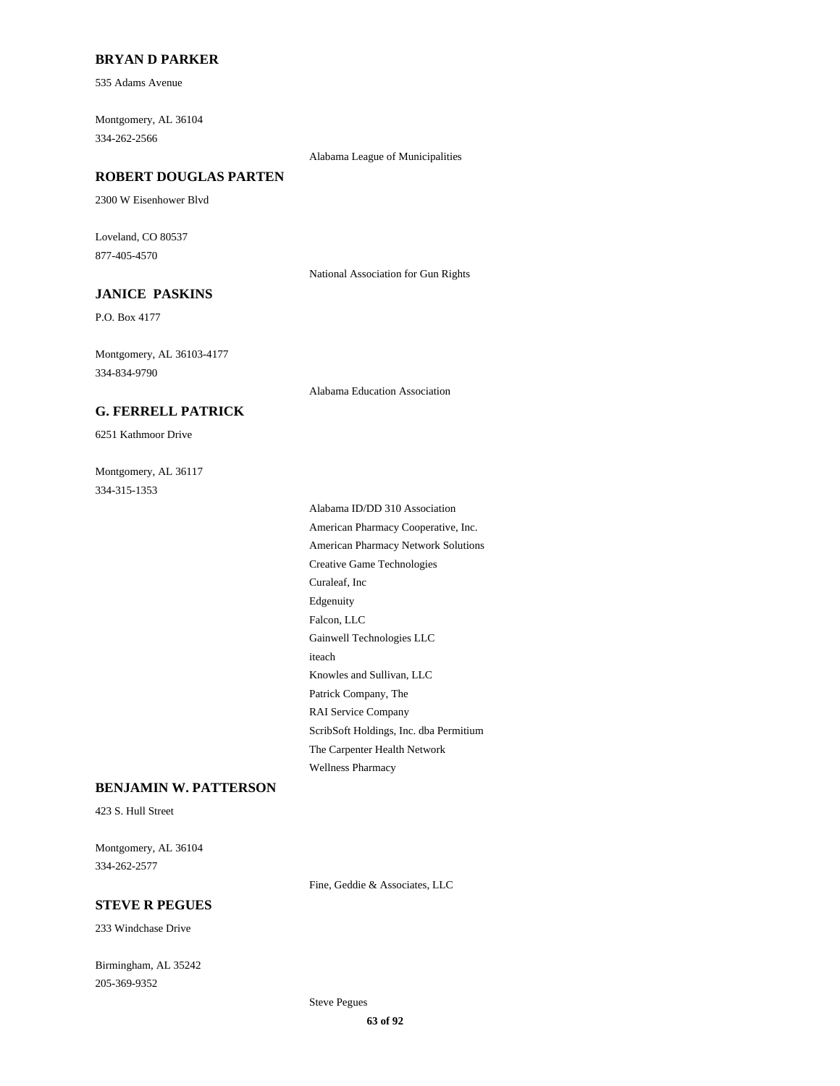### **BRYAN D PARKER**

535 Adams Avenue

Montgomery, AL 36104 334-262-2566

Alabama League of Municipalities

### **ROBERT DOUGLAS PARTEN**

2300 W Eisenhower Blvd

Loveland, CO 80537 877-405-4570

National Association for Gun Rights

# **JANICE PASKINS**

P.O. Box 4177

Montgomery, AL 36103-4177 334-834-9790

Alabama Education Association

# **G. FERRELL PATRICK**

6251 Kathmoor Drive

Montgomery, AL 36117 334-315-1353

> Alabama ID/DD 310 Association American Pharmacy Cooperative, Inc. American Pharmacy Network Solutions Creative Game Technologies Curaleaf, Inc Edgenuity Falcon, LLC Gainwell Technologies LLC iteach Knowles and Sullivan, LLC Patrick Company, The RAI Service Company ScribSoft Holdings, Inc. dba Permitium The Carpenter Health Network Wellness Pharmacy

### **BENJAMIN W. PATTERSON**

423 S. Hull Street

Montgomery, AL 36104 334-262-2577

Fine, Geddie & Associates, LLC

# **STEVE R PEGUES**

233 Windchase Drive

Birmingham, AL 35242 205-369-9352

Steve Pegues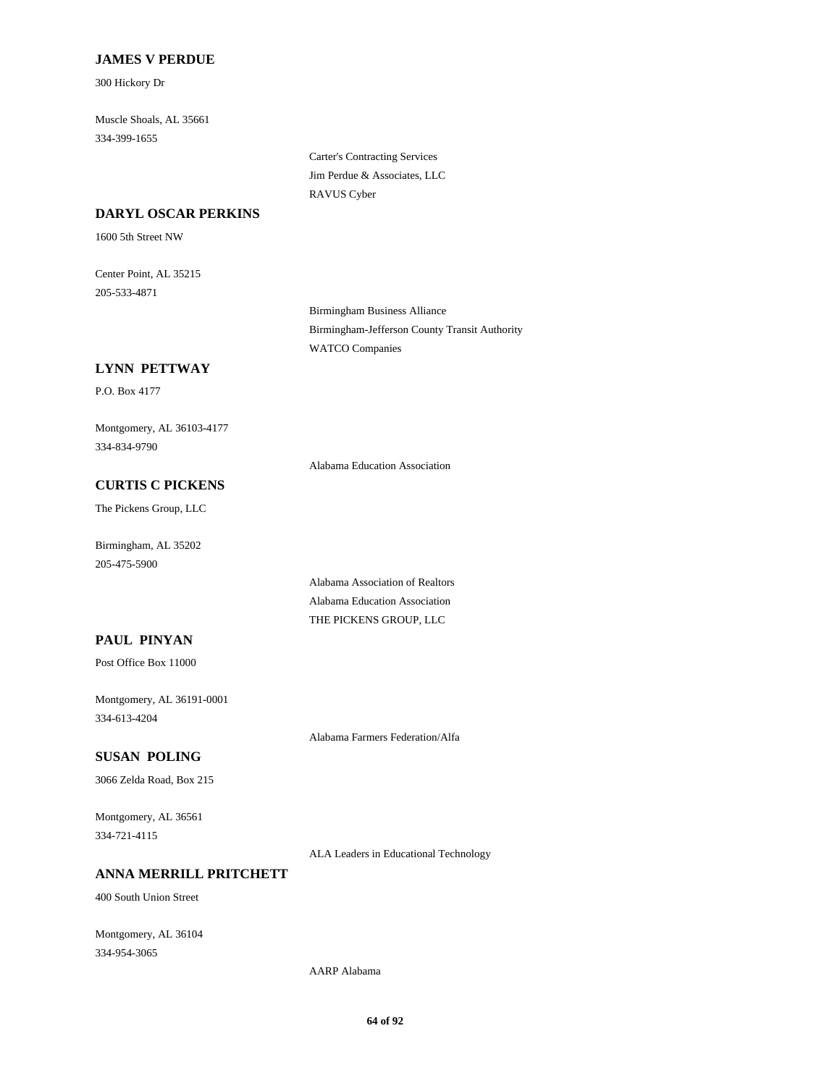### **JAMES V PERDUE**

300 Hickory Dr

Muscle Shoals, AL 35661 334-399-1655

> Carter's Contracting Services Jim Perdue & Associates, LLC RAVUS Cyber

### **DARYL OSCAR PERKINS**

1600 5th Street NW

Center Point, AL 35215 205-533-4871

> Birmingham Business Alliance Birmingham-Jefferson County Transit Authority WATCO Companies

# **LYNN PETTWAY**

P.O. Box 4177

Montgomery, AL 36103-4177 334-834-9790

Alabama Education Association

Alabama Association of Realtors Alabama Education Association THE PICKENS GROUP, LLC

# **CURTIS C PICKENS**

The Pickens Group, LLC

Birmingham, AL 35202 205-475-5900

### **PAUL PINYAN**

Post Office Box 11000

Montgomery, AL 36191-0001 334-613-4204

Alabama Farmers Federation/Alfa

# **SUSAN POLING**

3066 Zelda Road, Box 215

Montgomery, AL 36561 334-721-4115

ALA Leaders in Educational Technology

# **ANNA MERRILL PRITCHETT**

400 South Union Street

Montgomery, AL 36104 334-954-3065

AARP Alabama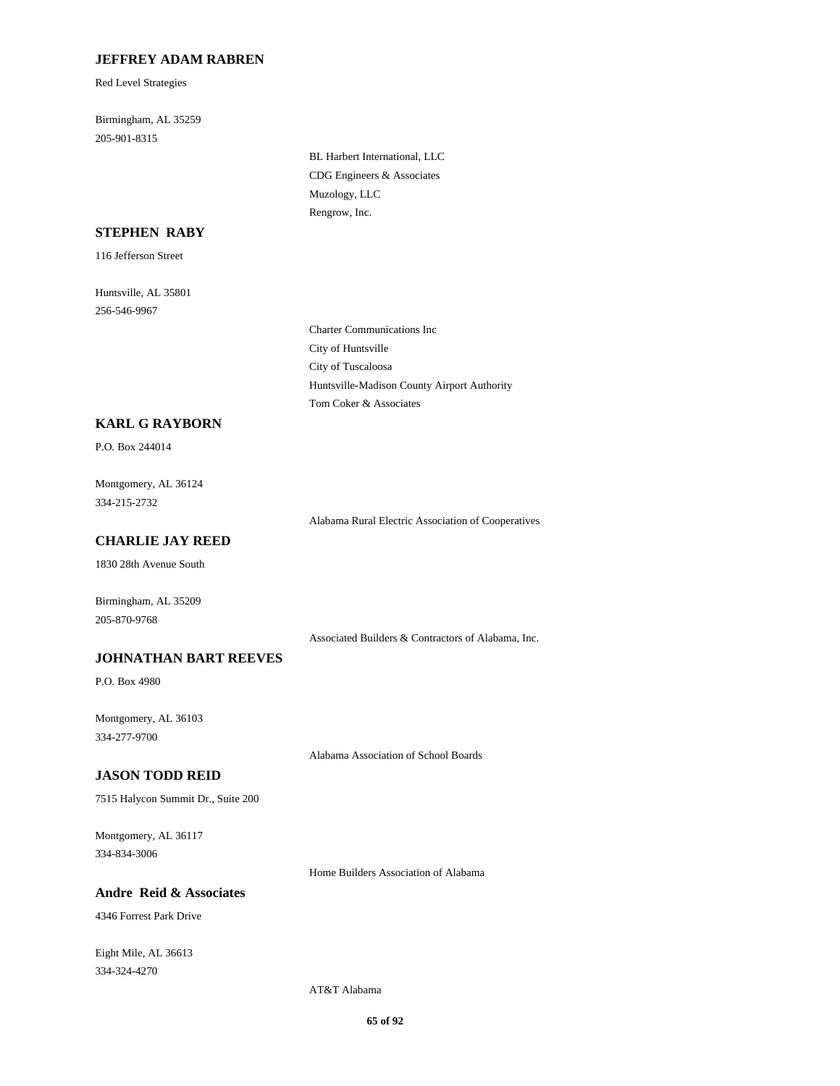# **JEFFREY ADAM RABREN**

Red Level Strategies

Birmingham, AL 35259 205-901-8315

> BL Harbert International, LLC CDG Engineers & Associates Muzology, LLC Rengrow, Inc.

#### **STEPHEN RABY**

116 Jefferson Street

Huntsville, AL 35801 256-546-9967

> Charter Communications Inc City of Huntsville City of Tuscaloosa Huntsville-Madison County Airport Authority Tom Coker & Associates

#### **KARL G RAYBORN**

P.O. Box 244014

Montgomery, AL 36124 334-215-2732

Alabama Rural Electric Association of Cooperatives

#### **CHARLIE JAY REED**

1830 28th Avenue South

Birmingham, AL 35209 205-870-9768

Associated Builders & Contractors of Alabama, Inc.

### **JOHNATHAN BART REEVES**

P.O. Box 4980

Montgomery, AL 36103 334-277-9700

Alabama Association of School Boards

### **JASON TODD REID**

7515 Halycon Summit Dr., Suite 200

Montgomery, AL 36117 334-834-3006

Home Builders Association of Alabama

# **Andre Reid & Associates**

4346 Forrest Park Drive

Eight Mile, AL 36613 334-324-4270

AT&T Alabama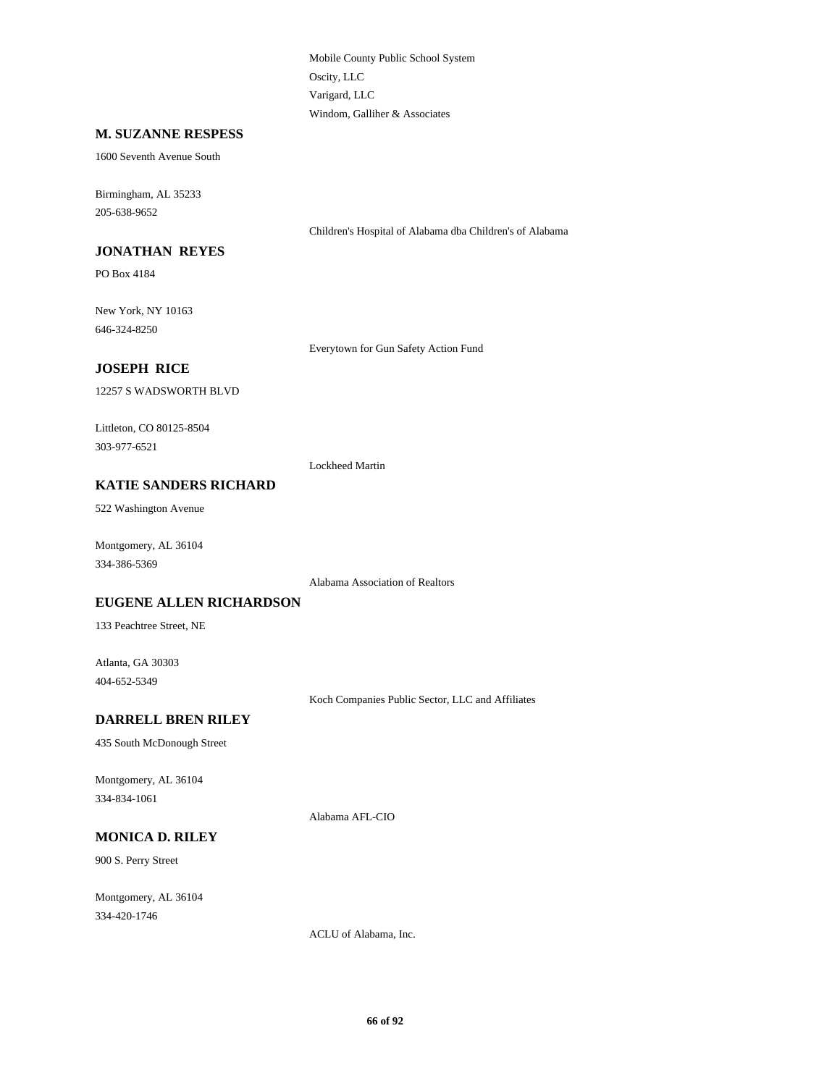Mobile County Public School System Oscity, LLC Varigard, LLC Windom, Galliher & Associates

#### **M. SUZANNE RESPESS**

1600 Seventh Avenue South

Birmingham, AL 35233 205-638-9652

Children's Hospital of Alabama dba Children's of Alabama

# **JONATHAN REYES**

PO Box 4184

New York, NY 10163 646-324-8250

Everytown for Gun Safety Action Fund

### **JOSEPH RICE**

12257 S WADSWORTH BLVD

Littleton, CO 80125-8504 303-977-6521

Lockheed Martin

# **KATIE SANDERS RICHARD**

522 Washington Avenue

Montgomery, AL 36104 334-386-5369

Alabama Association of Realtors

#### **EUGENE ALLEN RICHARDSON**

133 Peachtree Street, NE

Atlanta, GA 30303 404-652-5349

Koch Companies Public Sector, LLC and Affiliates

#### **DARRELL BREN RILEY**

435 South McDonough Street

Montgomery, AL 36104 334-834-1061

Alabama AFL-CIO

# **MONICA D. RILEY**

900 S. Perry Street

Montgomery, AL 36104 334-420-1746

ACLU of Alabama, Inc.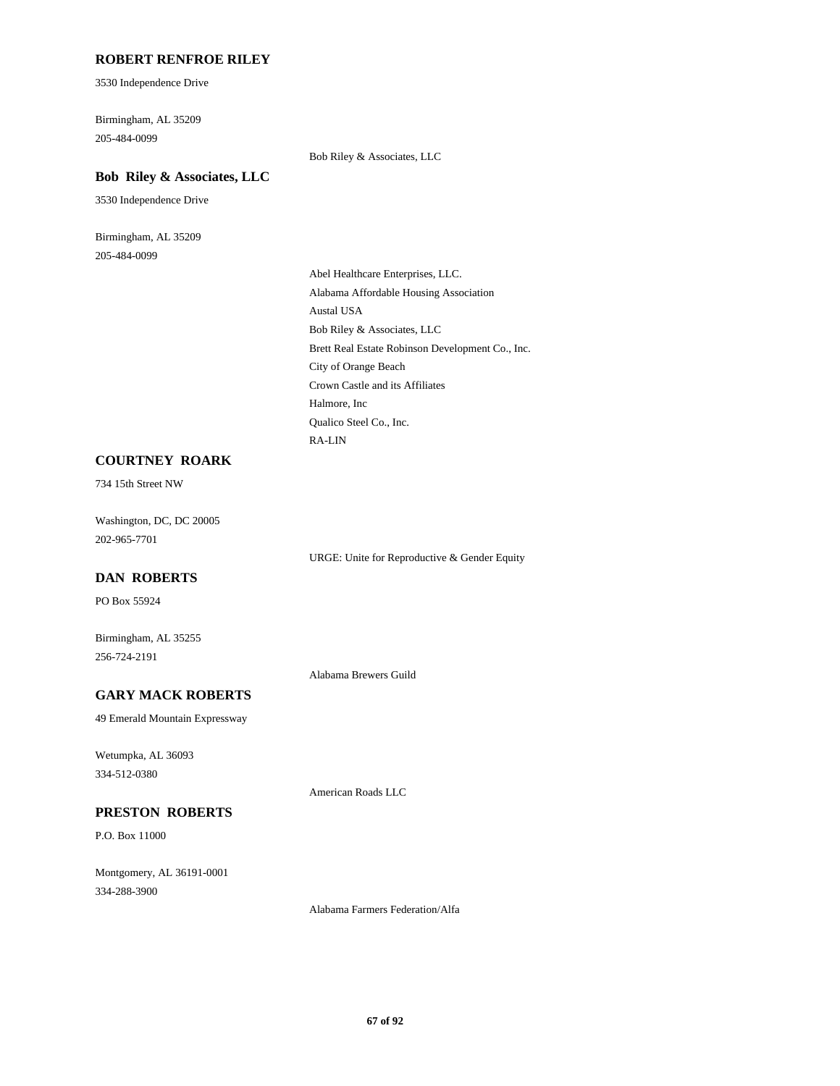# **ROBERT RENFROE RILEY**

3530 Independence Drive

Birmingham, AL 35209 205-484-0099

Bob Riley & Associates, LLC

### **Bob Riley & Associates, LLC**

3530 Independence Drive

Birmingham, AL 35209 205-484-0099

> Abel Healthcare Enterprises, LLC. Alabama Affordable Housing Association Austal USA Bob Riley & Associates, LLC Brett Real Estate Robinson Development Co., Inc. City of Orange Beach Crown Castle and its Affiliates Halmore, Inc Qualico Steel Co., Inc. RA-LIN

# **COURTNEY ROARK**

734 15th Street NW

Washington, DC, DC 20005 202-965-7701

URGE: Unite for Reproductive & Gender Equity

#### **DAN ROBERTS**

PO Box 55924

Birmingham, AL 35255 256-724-2191

Alabama Brewers Guild

American Roads LLC

#### **GARY MACK ROBERTS**

49 Emerald Mountain Expressway

Wetumpka, AL 36093 334-512-0380

#### **PRESTON ROBERTS**

P.O. Box 11000

Montgomery, AL 36191-0001 334-288-3900

Alabama Farmers Federation/Alfa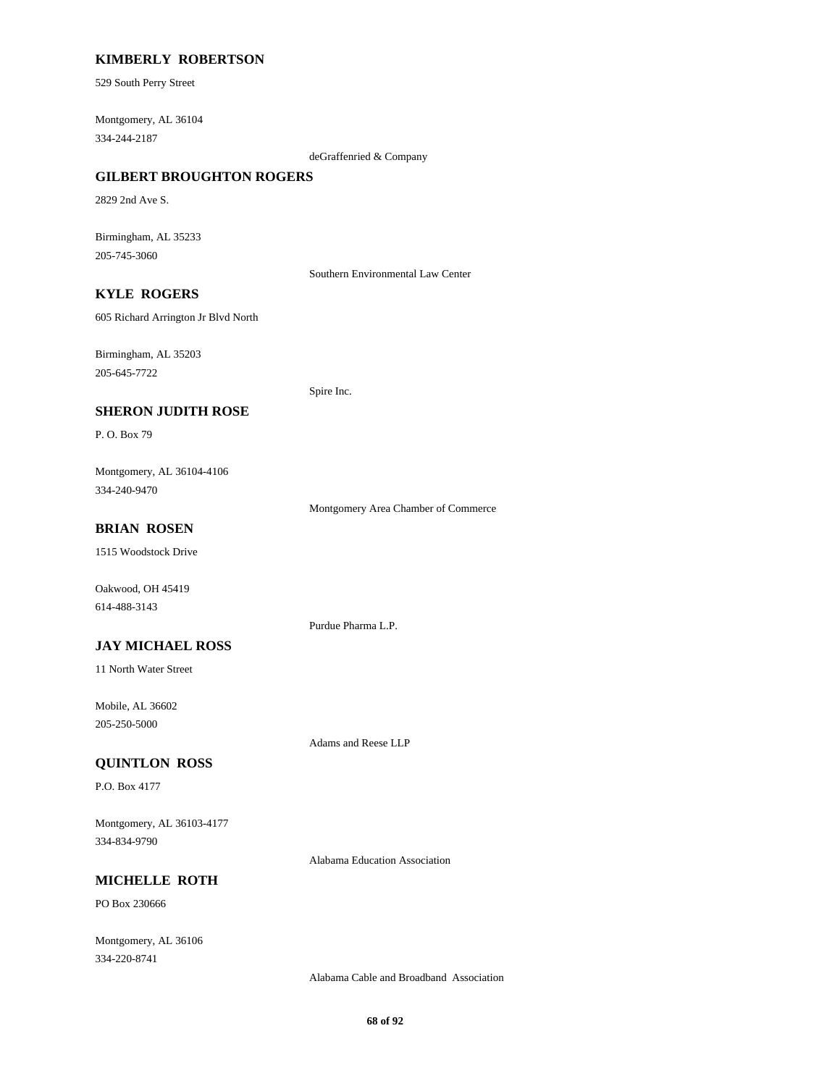# **KIMBERLY ROBERTSON**

529 South Perry Street

Montgomery, AL 36104 334-244-2187

deGraffenried & Company

# **GILBERT BROUGHTON ROGERS**

2829 2nd Ave S.

Birmingham, AL 35233 205-745-3060

Southern Environmental Law Center

# **KYLE ROGERS**

605 Richard Arrington Jr Blvd North

Birmingham, AL 35203 205-645-7722

Spire Inc.

### **SHERON JUDITH ROSE**

P. O. Box 79

Montgomery, AL 36104-4106 334-240-9470

Montgomery Area Chamber of Commerce

### **BRIAN ROSEN**

1515 Woodstock Drive

Oakwood, OH 45419 614-488-3143

Purdue Pharma L.P.

### **JAY MICHAEL ROSS**

11 North Water Street

Mobile, AL 36602 205-250-5000

Adams and Reese LLP

# **QUINTLON ROSS**

P.O. Box 4177

Montgomery, AL 36103-4177 334-834-9790

Alabama Education Association

# **MICHELLE ROTH**

PO Box 230666

Montgomery, AL 36106 334-220-8741

Alabama Cable and Broadband Association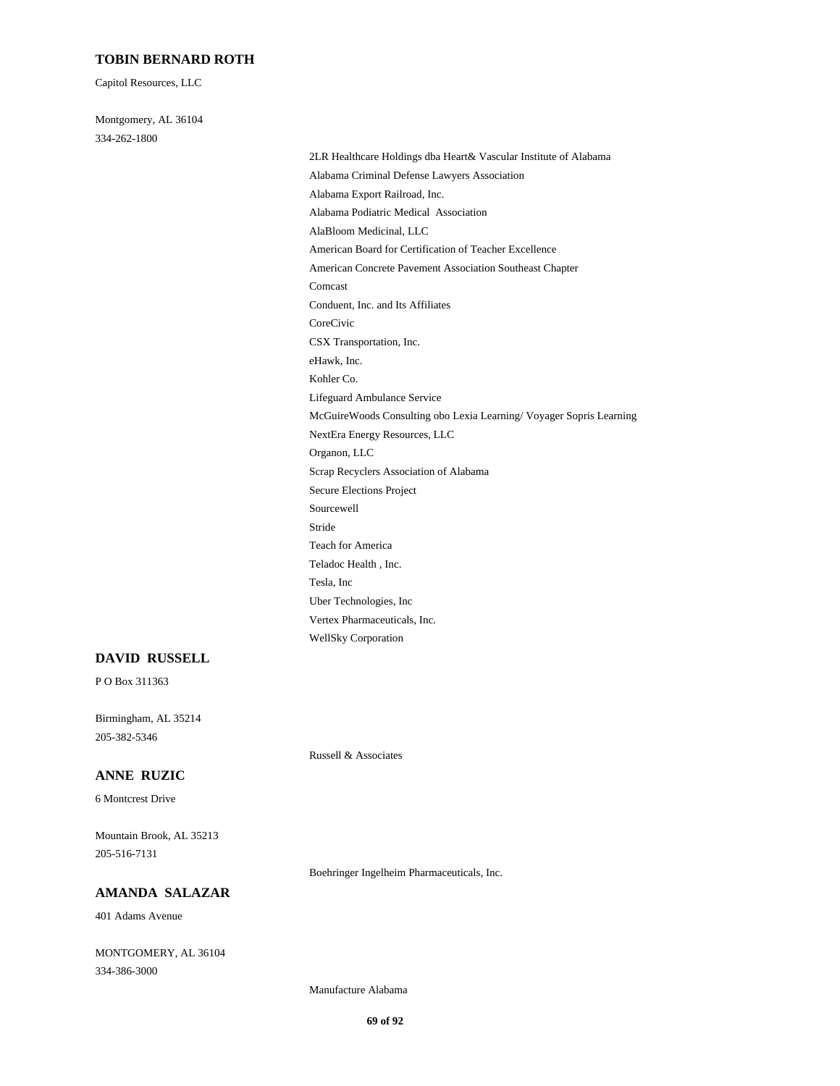# **TOBIN BERNARD ROTH**

Capitol Resources, LLC

Montgomery, AL 36104 334-262-1800

> 2LR Healthcare Holdings dba Heart& Vascular Institute of Alabama Alabama Criminal Defense Lawyers Association Alabama Export Railroad, Inc. Alabama Podiatric Medical Association AlaBloom Medicinal, LLC American Board for Certification of Teacher Excellence American Concrete Pavement Association Southeast Chapter Comcast Conduent, Inc. and Its Affiliates CoreCivic CSX Transportation, Inc. eHawk, Inc. Kohler Co. Lifeguard Ambulance Service McGuireWoods Consulting obo Lexia Learning/ Voyager Sopris Learning NextEra Energy Resources, LLC Organon, LLC Scrap Recyclers Association of Alabama Secure Elections Project Sourcewell Stride Teach for America Teladoc Health , Inc. Tesla, Inc Uber Technologies, Inc Vertex Pharmaceuticals, Inc. WellSky Corporation

#### **DAVID RUSSELL**

P O Box 311363

Birmingham, AL 35214 205-382-5346

Russell & Associates

### **ANNE RUZIC**

6 Montcrest Drive

Mountain Brook, AL 35213 205-516-7131

Boehringer Ingelheim Pharmaceuticals, Inc.

# **AMANDA SALAZAR**

401 Adams Avenue

MONTGOMERY, AL 36104 334-386-3000

Manufacture Alabama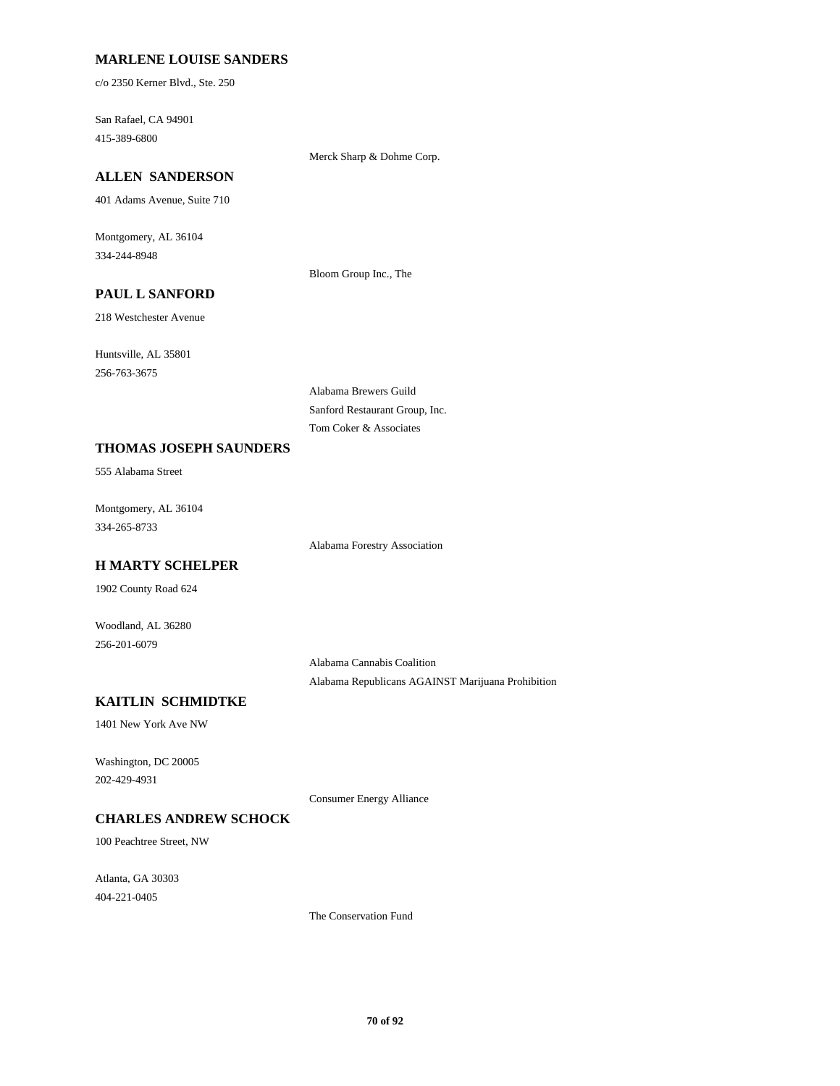### **MARLENE LOUISE SANDERS**

c/o 2350 Kerner Blvd., Ste. 250

San Rafael, CA 94901 415-389-6800

Merck Sharp & Dohme Corp.

# **ALLEN SANDERSON**

401 Adams Avenue, Suite 710

Montgomery, AL 36104 334-244-8948

Bloom Group Inc., The

# **PAUL L SANFORD**

218 Westchester Avenue

Huntsville, AL 35801 256-763-3675

> Alabama Brewers Guild Sanford Restaurant Group, Inc. Tom Coker & Associates

#### **THOMAS JOSEPH SAUNDERS**

555 Alabama Street

Montgomery, AL 36104 334-265-8733

Alabama Forestry Association

# **H MARTY SCHELPER**

1902 County Road 624

Woodland, AL 36280 256-201-6079

> Alabama Cannabis Coalition Alabama Republicans AGAINST Marijuana Prohibition

# **KAITLIN SCHMIDTKE**

1401 New York Ave NW

Washington, DC 20005 202-429-4931

Consumer Energy Alliance

# **CHARLES ANDREW SCHOCK**

100 Peachtree Street, NW

Atlanta, GA 30303 404-221-0405

The Conservation Fund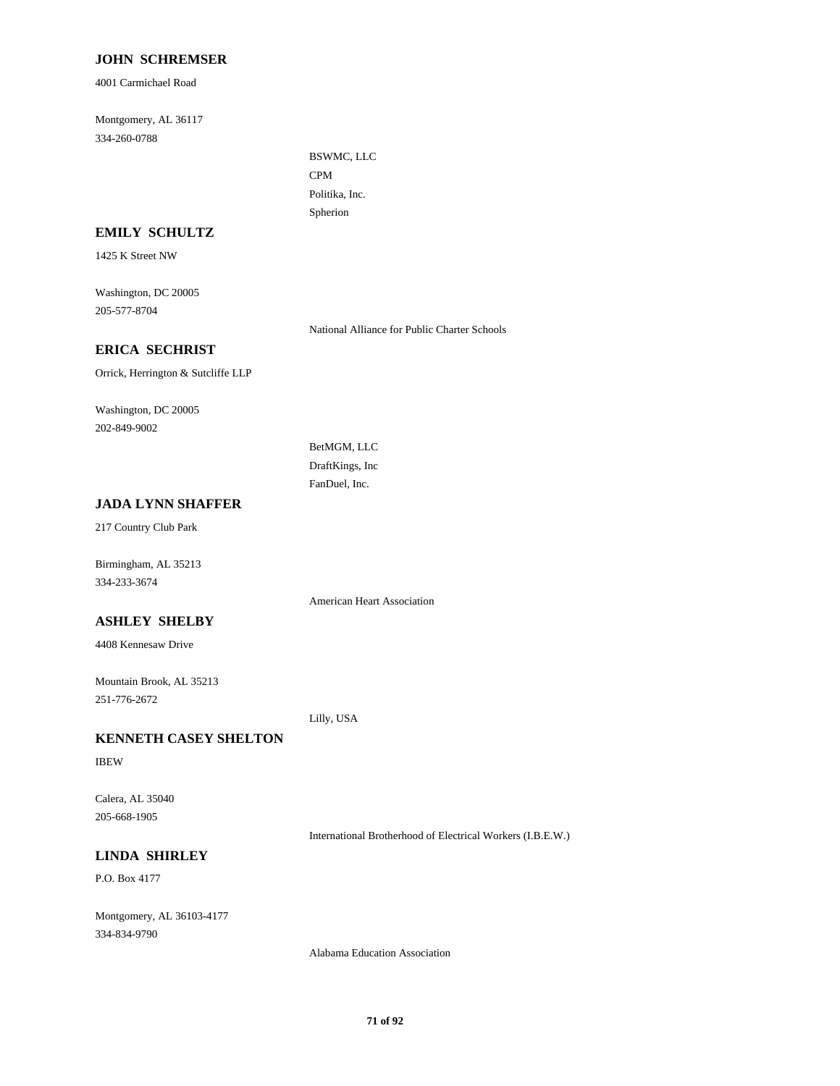# **JOHN SCHREMSER**

4001 Carmichael Road

Montgomery, AL 36117 334-260-0788

> BSWMC, LLC CPM Politika, Inc. Spherion

### **EMILY SCHULTZ**

1425 K Street NW

Washington, DC 20005 205-577-8704

National Alliance for Public Charter Schools

# **ERICA SECHRIST**

Orrick, Herrington & Sutcliffe LLP

Washington, DC 20005 202-849-9002

> BetMGM, LLC DraftKings, Inc FanDuel, Inc.

# **JADA LYNN SHAFFER**

217 Country Club Park

Birmingham, AL 35213 334-233-3674

American Heart Association

# **ASHLEY SHELBY**

4408 Kennesaw Drive

Mountain Brook, AL 35213 251-776-2672

Lilly, USA

# **KENNETH CASEY SHELTON**

IBEW

Calera, AL 35040 205-668-1905

International Brotherhood of Electrical Workers (I.B.E.W.)

# **LINDA SHIRLEY**

P.O. Box 4177

Montgomery, AL 36103-4177 334-834-9790

Alabama Education Association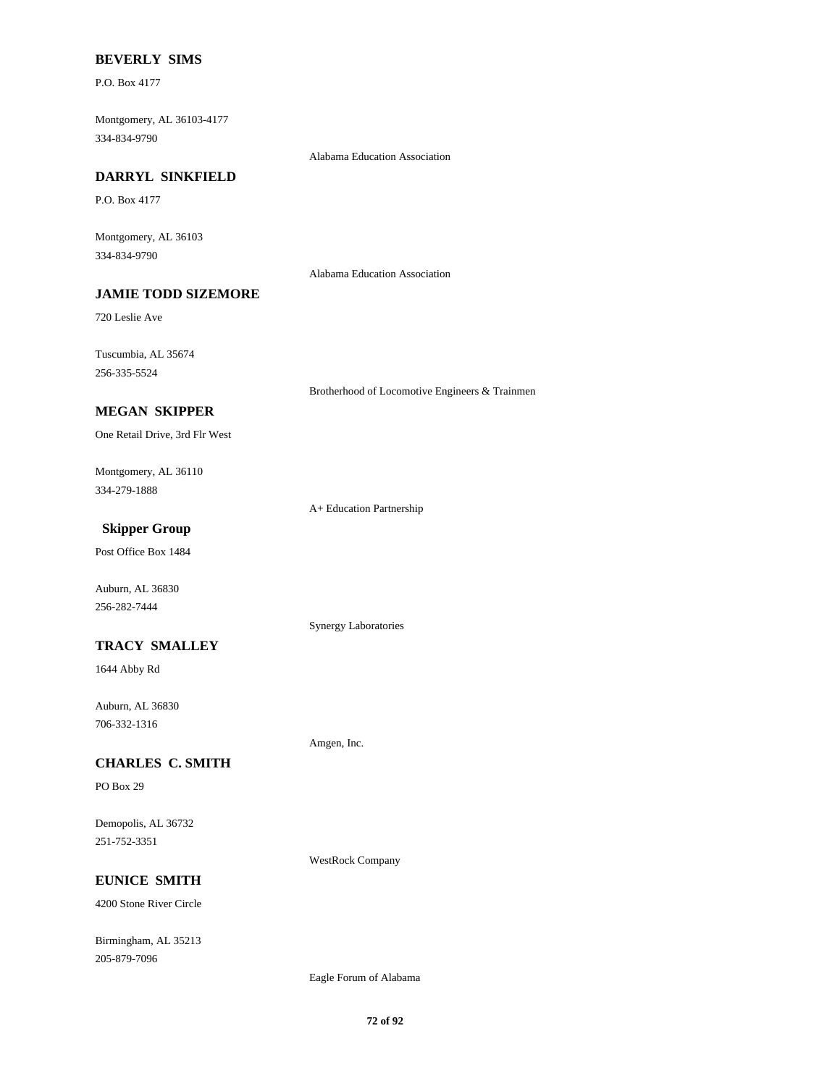### **BEVERLY SIMS**

P.O. Box 4177

Montgomery, AL 36103-4177 334-834-9790

Alabama Education Association

# **DARRYL SINKFIELD**

P.O. Box 4177

Montgomery, AL 36103 334-834-9790

Alabama Education Association

# **JAMIE TODD SIZEMORE**

720 Leslie Ave

Tuscumbia, AL 35674 256-335-5524

Brotherhood of Locomotive Engineers & Trainmen

# **MEGAN SKIPPER**

One Retail Drive, 3rd Flr West

Montgomery, AL 36110 334-279-1888

A+ Education Partnership

Synergy Laboratories

Amgen, Inc.

# **Skipper Group**

Post Office Box 1484

Auburn, AL 36830 256-282-7444

### **TRACY SMALLEY**

1644 Abby Rd

Auburn, AL 36830 706-332-1316

# **CHARLES C. SMITH**

PO Box 29

Demopolis, AL 36732 251-752-3351

WestRock Company

# **EUNICE SMITH**

4200 Stone River Circle

Birmingham, AL 35213 205-879-7096

Eagle Forum of Alabama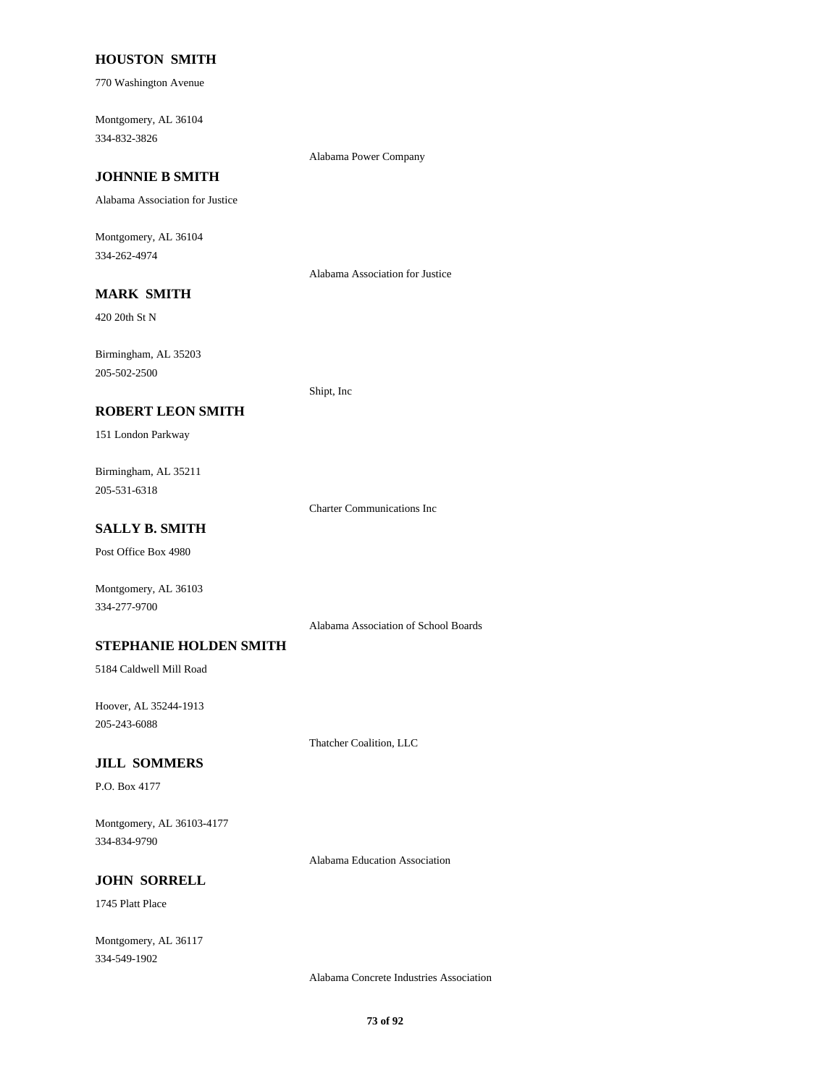### **HOUSTON SMITH**

770 Washington Avenue

Montgomery, AL 36104 334-832-3826

Alabama Power Company

# **JOHNNIE B SMITH**

Alabama Association for Justice

Montgomery, AL 36104 334-262-4974

Alabama Association for Justice

# **MARK SMITH**

420 20th St N

Birmingham, AL 35203 205-502-2500

Shipt, Inc

### **ROBERT LEON SMITH**

151 London Parkway

Birmingham, AL 35211 205-531-6318

Charter Communications Inc

# **SALLY B. SMITH**

Post Office Box 4980

Montgomery, AL 36103 334-277-9700

Alabama Association of School Boards

#### **STEPHANIE HOLDEN SMITH**

5184 Caldwell Mill Road

Hoover, AL 35244-1913 205-243-6088

Thatcher Coalition, LLC

#### **JILL SOMMERS**

P.O. Box 4177

Montgomery, AL 36103-4177 334-834-9790

Alabama Education Association

## **JOHN SORRELL**

1745 Platt Place

Montgomery, AL 36117 334-549-1902

Alabama Concrete Industries Association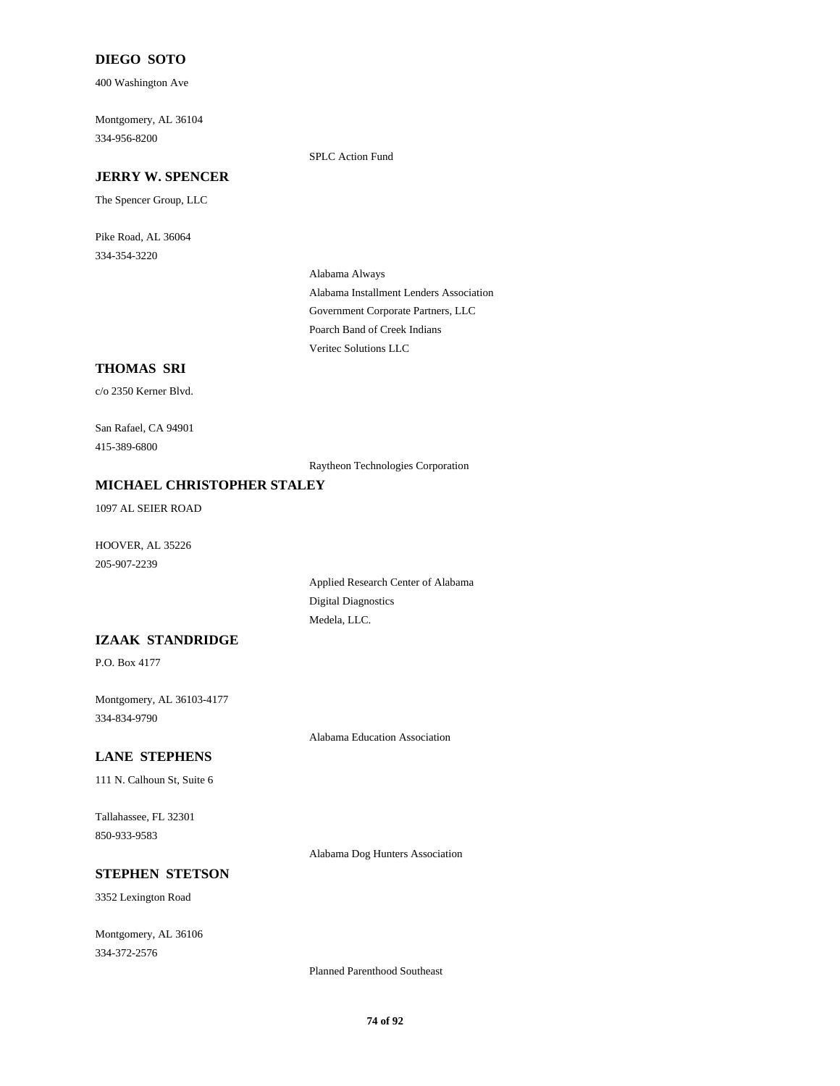## **DIEGO SOTO**

400 Washington Ave

Montgomery, AL 36104 334-956-8200

SPLC Action Fund

# **JERRY W. SPENCER**

The Spencer Group, LLC

Pike Road, AL 36064 334-354-3220

> Alabama Always Alabama Installment Lenders Association Government Corporate Partners, LLC Poarch Band of Creek Indians Veritec Solutions LLC

# **THOMAS SRI**

c/o 2350 Kerner Blvd.

San Rafael, CA 94901 415-389-6800

Raytheon Technologies Corporation

### **MICHAEL CHRISTOPHER STALEY**

1097 AL SEIER ROAD

HOOVER, AL 35226 205-907-2239

> Applied Research Center of Alabama Digital Diagnostics Medela, LLC.

### **IZAAK STANDRIDGE**

P.O. Box 4177

Montgomery, AL 36103-4177 334-834-9790

Alabama Education Association

# **LANE STEPHENS**

111 N. Calhoun St, Suite 6

Tallahassee, FL 32301 850-933-9583

Alabama Dog Hunters Association

# **STEPHEN STETSON**

3352 Lexington Road

Montgomery, AL 36106 334-372-2576

Planned Parenthood Southeast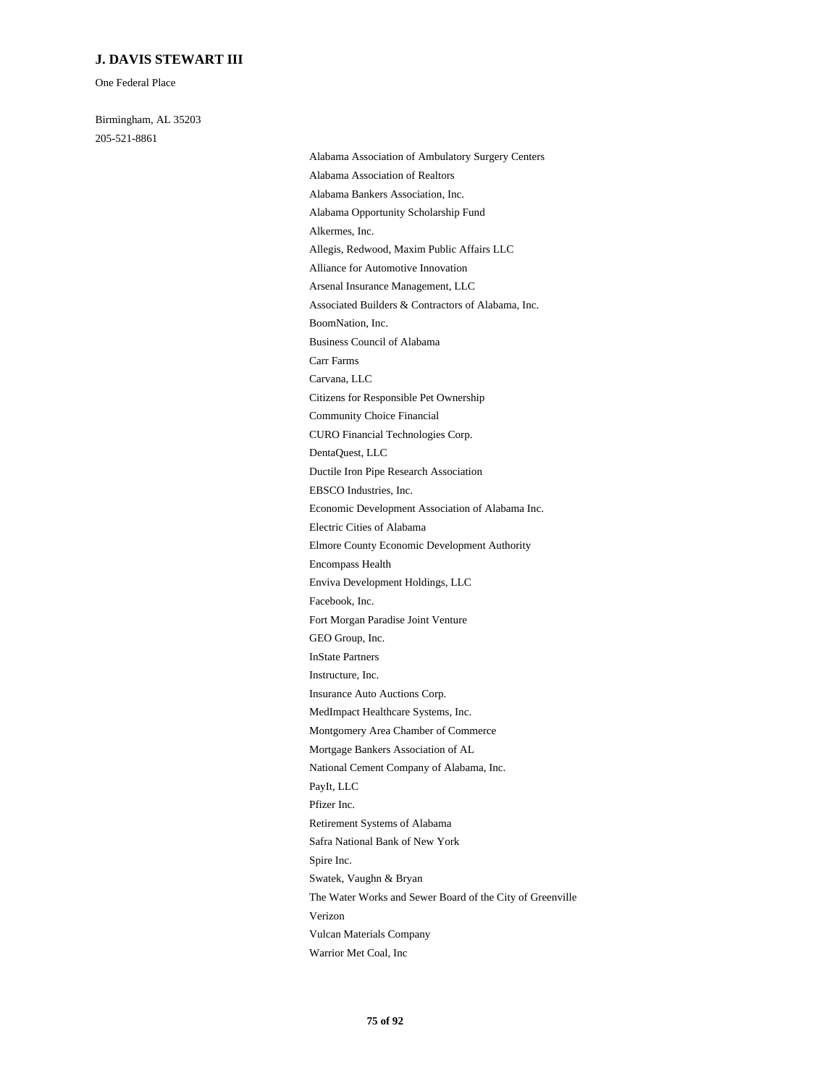# **J. DAVIS STEWART III**

One Federal Place

Birmingham, AL 35203 205-521-8861

Alabama Association of Ambulatory Surgery Centers Alabama Association of Realtors Alabama Bankers Association, Inc. Alabama Opportunity Scholarship Fund Alkermes, Inc. Allegis, Redwood, Maxim Public Affairs LLC Alliance for Automotive Innovation Arsenal Insurance Management, LLC Associated Builders & Contractors of Alabama, Inc. BoomNation, Inc. Business Council of Alabama Carr Farms Carvana, LLC Citizens for Responsible Pet Ownership Community Choice Financial CURO Financial Technologies Corp. DentaQuest, LLC Ductile Iron Pipe Research Association EBSCO Industries, Inc. Economic Development Association of Alabama Inc. Electric Cities of Alabama Elmore County Economic Development Authority Encompass Health Enviva Development Holdings, LLC Facebook, Inc. Fort Morgan Paradise Joint Venture GEO Group, Inc. InState Partners Instructure, Inc. Insurance Auto Auctions Corp. MedImpact Healthcare Systems, Inc. Montgomery Area Chamber of Commerce Mortgage Bankers Association of AL National Cement Company of Alabama, Inc. PayIt, LLC Pfizer Inc. Retirement Systems of Alabama Safra National Bank of New York Spire Inc. Swatek, Vaughn & Bryan The Water Works and Sewer Board of the City of Greenville Verizon Vulcan Materials Company Warrior Met Coal, Inc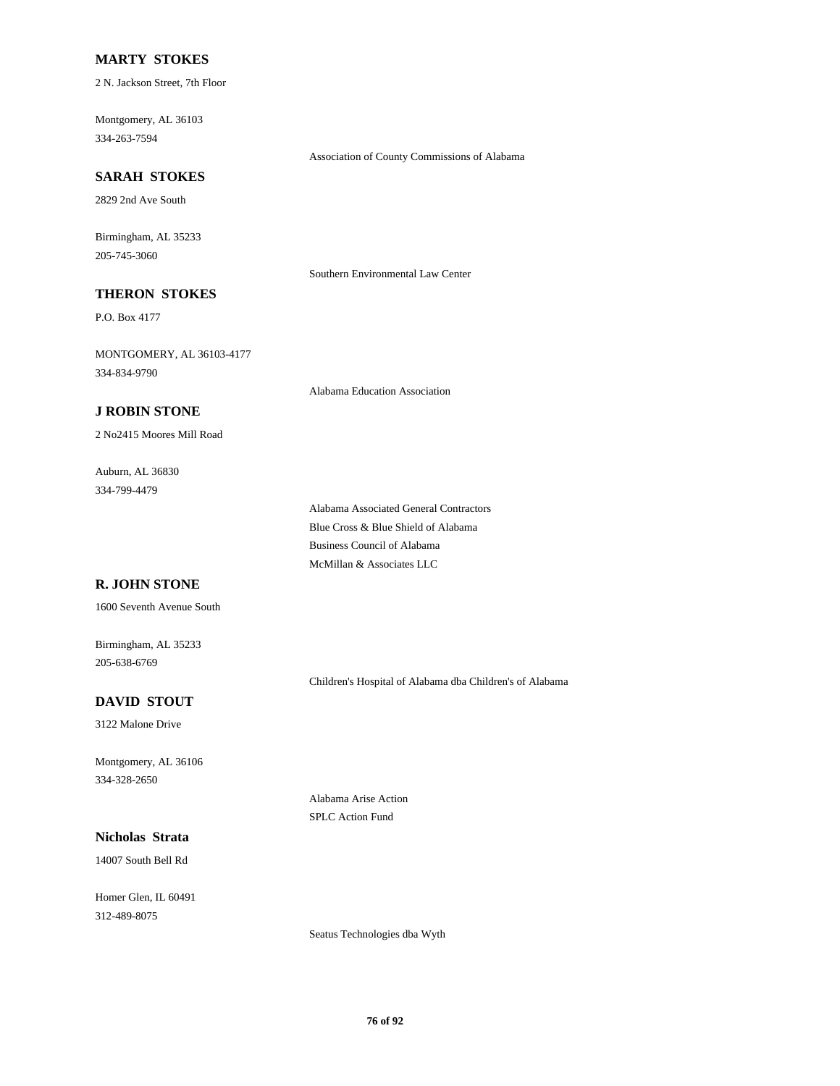### **MARTY STOKES**

2 N. Jackson Street, 7th Floor

Montgomery, AL 36103 334-263-7594

#### **SARAH STOKES**

2829 2nd Ave South

Birmingham, AL 35233 205-745-3060

Southern Environmental Law Center

Association of County Commissions of Alabama

# **THERON STOKES**

P.O. Box 4177

MONTGOMERY, AL 36103-4177 334-834-9790

Alabama Education Association

## **J ROBIN STONE**

2 No2415 Moores Mill Road

Auburn, AL 36830 334-799-4479

> Alabama Associated General Contractors Blue Cross & Blue Shield of Alabama Business Council of Alabama McMillan & Associates LLC

# **R. JOHN STONE**

1600 Seventh Avenue South

Birmingham, AL 35233 205-638-6769

Children's Hospital of Alabama dba Children's of Alabama

# **DAVID STOUT**

3122 Malone Drive

Montgomery, AL 36106 334-328-2650

**Nicholas Strata**

14007 South Bell Rd

Homer Glen, IL 60491 312-489-8075

Alabama Arise Action SPLC Action Fund

Seatus Technologies dba Wyth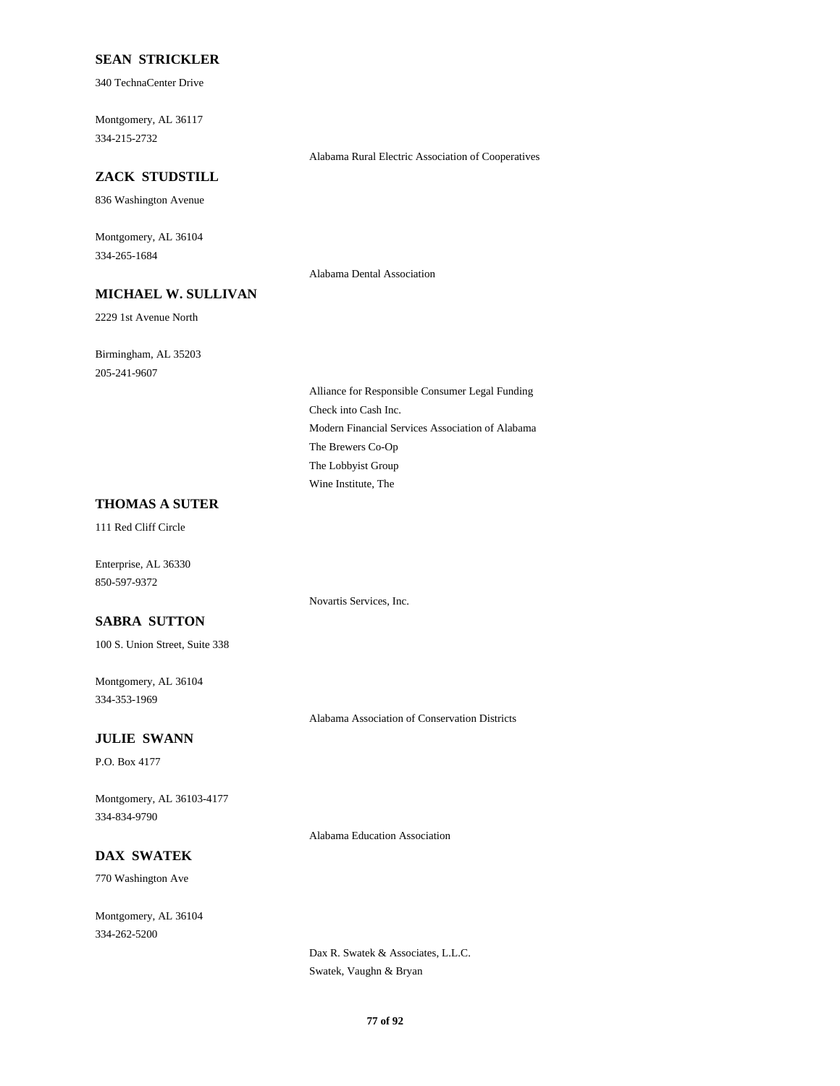### **SEAN STRICKLER**

340 TechnaCenter Drive

Montgomery, AL 36117 334-215-2732

# **ZACK STUDSTILL**

836 Washington Avenue

Montgomery, AL 36104 334-265-1684

# **MICHAEL W. SULLIVAN**

2229 1st Avenue North

Birmingham, AL 35203 205-241-9607

> Alliance for Responsible Consumer Legal Funding Check into Cash Inc. Modern Financial Services Association of Alabama The Brewers Co-Op The Lobbyist Group Wine Institute, The

### **THOMAS A SUTER**

111 Red Cliff Circle

Enterprise, AL 36330 850-597-9372

# **SABRA SUTTON**

100 S. Union Street, Suite 338

Montgomery, AL 36104 334-353-1969

Alabama Association of Conservation Districts

#### **JULIE SWANN**

P.O. Box 4177

Montgomery, AL 36103-4177 334-834-9790

Alabama Education Association

Novartis Services, Inc.

# **DAX SWATEK**

770 Washington Ave

Montgomery, AL 36104 334-262-5200

> Dax R. Swatek & Associates, L.L.C. Swatek, Vaughn & Bryan

Alabama Rural Electric Association of Cooperatives

Alabama Dental Association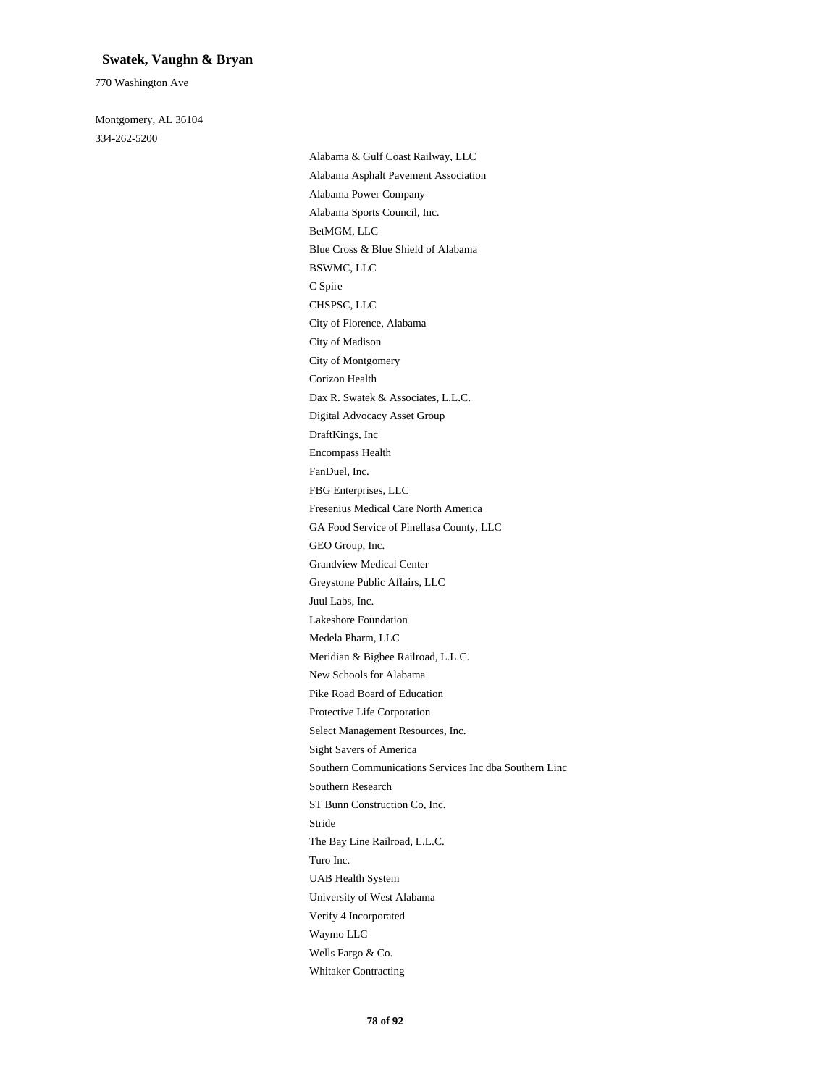#### **Swatek, Vaughn & Bryan**

770 Washington Ave

Montgomery, AL 36104 334-262-5200

> Alabama & Gulf Coast Railway, LLC Alabama Asphalt Pavement Association Alabama Power Company Alabama Sports Council, Inc. BetMGM, LLC Blue Cross & Blue Shield of Alabama BSWMC, LLC C Spire CHSPSC, LLC City of Florence, Alabama City of Madison City of Montgomery Corizon Health Dax R. Swatek & Associates, L.L.C. Digital Advocacy Asset Group DraftKings, Inc Encompass Health FanDuel, Inc. FBG Enterprises, LLC Fresenius Medical Care North America GA Food Service of Pinellasa County, LLC GEO Group, Inc. Grandview Medical Center Greystone Public Affairs, LLC Juul Labs, Inc. Lakeshore Foundation Medela Pharm, LLC Meridian & Bigbee Railroad, L.L.C. New Schools for Alabama Pike Road Board of Education Protective Life Corporation Select Management Resources, Inc. Sight Savers of America Southern Communications Services Inc dba Southern Linc Southern Research ST Bunn Construction Co, Inc. Stride The Bay Line Railroad, L.L.C. Turo Inc. UAB Health System University of West Alabama Verify 4 Incorporated Waymo LLC Wells Fargo & Co. Whitaker Contracting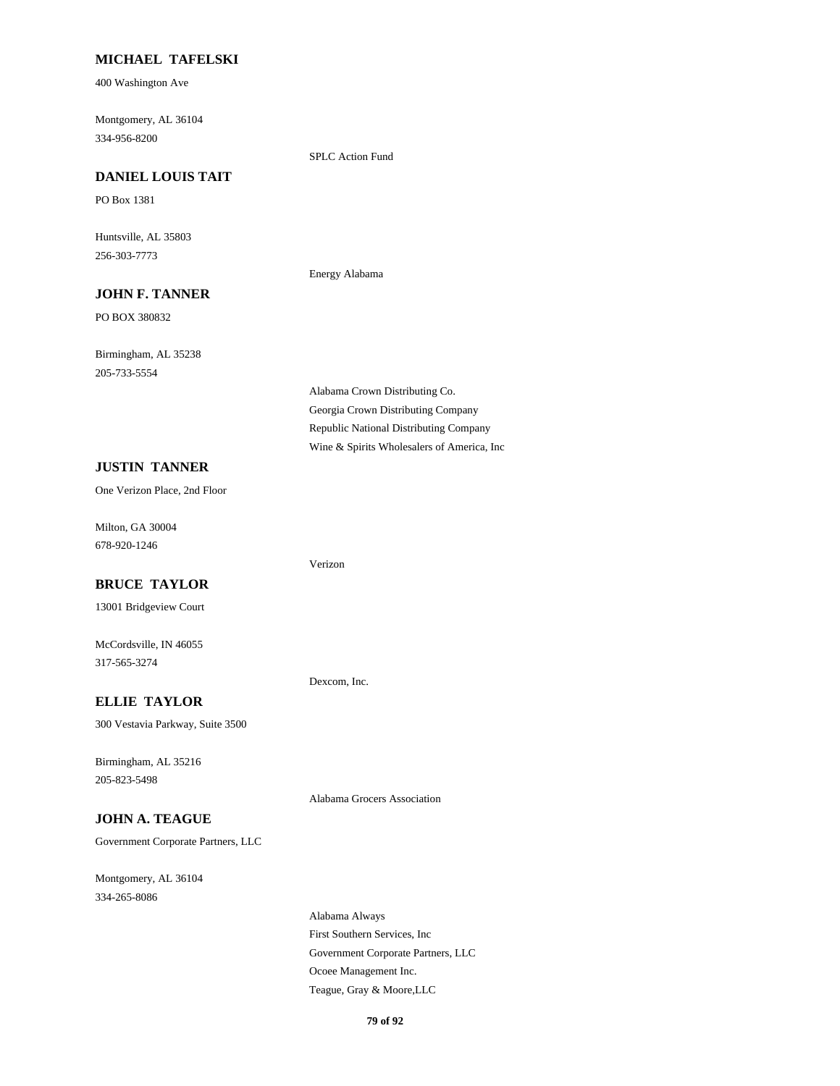# **MICHAEL TAFELSKI**

400 Washington Ave

Montgomery, AL 36104 334-956-8200

SPLC Action Fund

Energy Alabama

# **DANIEL LOUIS TAIT**

PO Box 1381

Huntsville, AL 35803 256-303-7773

### **JOHN F. TANNER**

PO BOX 380832

Birmingham, AL 35238 205-733-5554

# **JUSTIN TANNER**

One Verizon Place, 2nd Floor

Milton, GA 30004 678-920-1246

#### **BRUCE TAYLOR**

13001 Bridgeview Court

McCordsville, IN 46055 317-565-3274

### **ELLIE TAYLOR**

300 Vestavia Parkway, Suite 3500

Birmingham, AL 35216 205-823-5498

### **JOHN A. TEAGUE**

Government Corporate Partners, LLC

Montgomery, AL 36104 334-265-8086

Alabama Crown Distributing Co. Georgia Crown Distributing Company Republic National Distributing Company Wine & Spirits Wholesalers of America, Inc

Verizon

Dexcom, Inc.

Alabama Grocers Association

Alabama Always First Southern Services, Inc Government Corporate Partners, LLC Ocoee Management Inc. Teague, Gray & Moore,LLC

**79 of 92**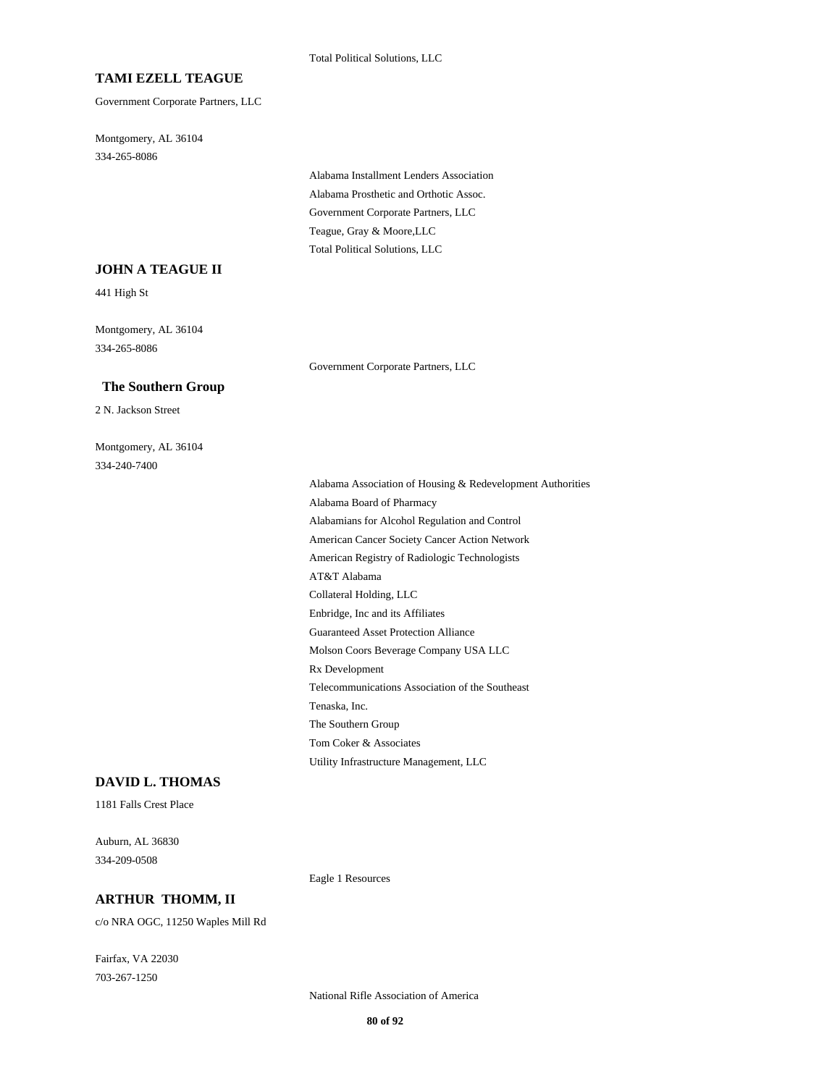### **TAMI EZELL TEAGUE**

Government Corporate Partners, LLC

Montgomery, AL 36104 334-265-8086

> Alabama Installment Lenders Association Alabama Prosthetic and Orthotic Assoc. Government Corporate Partners, LLC Teague, Gray & Moore,LLC Total Political Solutions, LLC

#### **JOHN A TEAGUE II**

441 High St

Montgomery, AL 36104 334-265-8086

#### **The Southern Group**

2 N. Jackson Street

Montgomery, AL 36104 334-240-7400

Government Corporate Partners, LLC

Alabama Association of Housing & Redevelopment Authorities Alabama Board of Pharmacy Alabamians for Alcohol Regulation and Control American Cancer Society Cancer Action Network American Registry of Radiologic Technologists AT&T Alabama Collateral Holding, LLC Enbridge, Inc and its Affiliates Guaranteed Asset Protection Alliance Molson Coors Beverage Company USA LLC Rx Development Telecommunications Association of the Southeast Tenaska, Inc. The Southern Group Tom Coker & Associates Utility Infrastructure Management, LLC

#### **DAVID L. THOMAS**

1181 Falls Crest Place

Auburn, AL 36830 334-209-0508

**ARTHUR THOMM, II**

c/o NRA OGC, 11250 Waples Mill Rd

Fairfax, VA 22030 703-267-1250

National Rifle Association of America

Eagle 1 Resources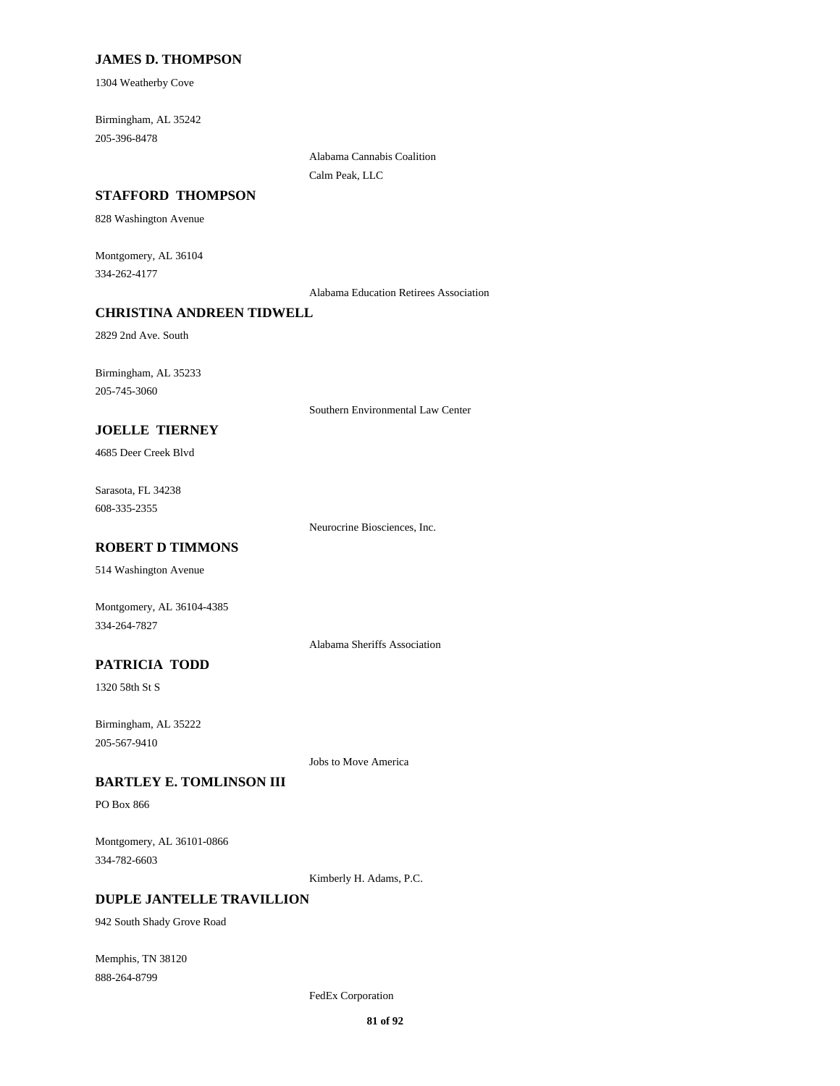### **JAMES D. THOMPSON**

1304 Weatherby Cove

Birmingham, AL 35242 205-396-8478

#### **STAFFORD THOMPSON**

828 Washington Avenue

Montgomery, AL 36104 334-262-4177

Alabama Education Retirees Association

Alabama Cannabis Coalition

Calm Peak, LLC

# **CHRISTINA ANDREEN TIDWELL**

2829 2nd Ave. South

Birmingham, AL 35233 205-745-3060

Southern Environmental Law Center

# **JOELLE TIERNEY**

4685 Deer Creek Blvd

Sarasota, FL 34238 608-335-2355

Neurocrine Biosciences, Inc.

# **ROBERT D TIMMONS**

514 Washington Avenue

Montgomery, AL 36104-4385 334-264-7827

Alabama Sheriffs Association

# **PATRICIA TODD**

1320 58th St S

Birmingham, AL 35222 205-567-9410

Jobs to Move America

#### **BARTLEY E. TOMLINSON III**

PO Box 866

Montgomery, AL 36101-0866 334-782-6603

Kimberly H. Adams, P.C.

# **DUPLE JANTELLE TRAVILLION**

942 South Shady Grove Road

Memphis, TN 38120 888-264-8799

FedEx Corporation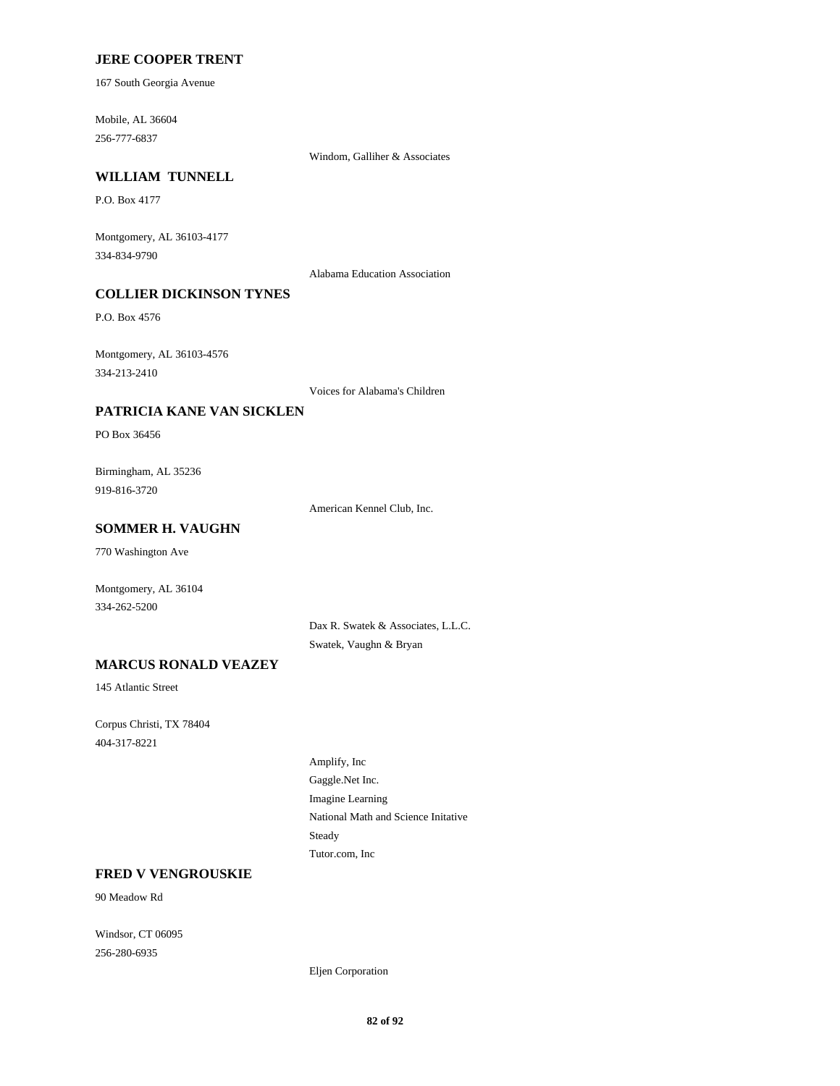### **JERE COOPER TRENT**

167 South Georgia Avenue

Mobile, AL 36604 256-777-6837

Windom, Galliher & Associates

# **WILLIAM TUNNELL**

P.O. Box 4177

Montgomery, AL 36103-4177 334-834-9790

Alabama Education Association

# **COLLIER DICKINSON TYNES**

P.O. Box 4576

Montgomery, AL 36103-4576 334-213-2410

Voices for Alabama's Children

## **PATRICIA KANE VAN SICKLEN**

PO Box 36456

Birmingham, AL 35236 919-816-3720

American Kennel Club, Inc.

# **SOMMER H. VAUGHN**

770 Washington Ave

Montgomery, AL 36104 334-262-5200

> Dax R. Swatek & Associates, L.L.C. Swatek, Vaughn & Bryan

# **MARCUS RONALD VEAZEY**

145 Atlantic Street

Corpus Christi, TX 78404 404-317-8221

> Amplify, Inc Gaggle.Net Inc. Imagine Learning National Math and Science Initative Steady Tutor.com, Inc

### **FRED V VENGROUSKIE**

90 Meadow Rd

Windsor, CT 06095 256-280-6935

Eljen Corporation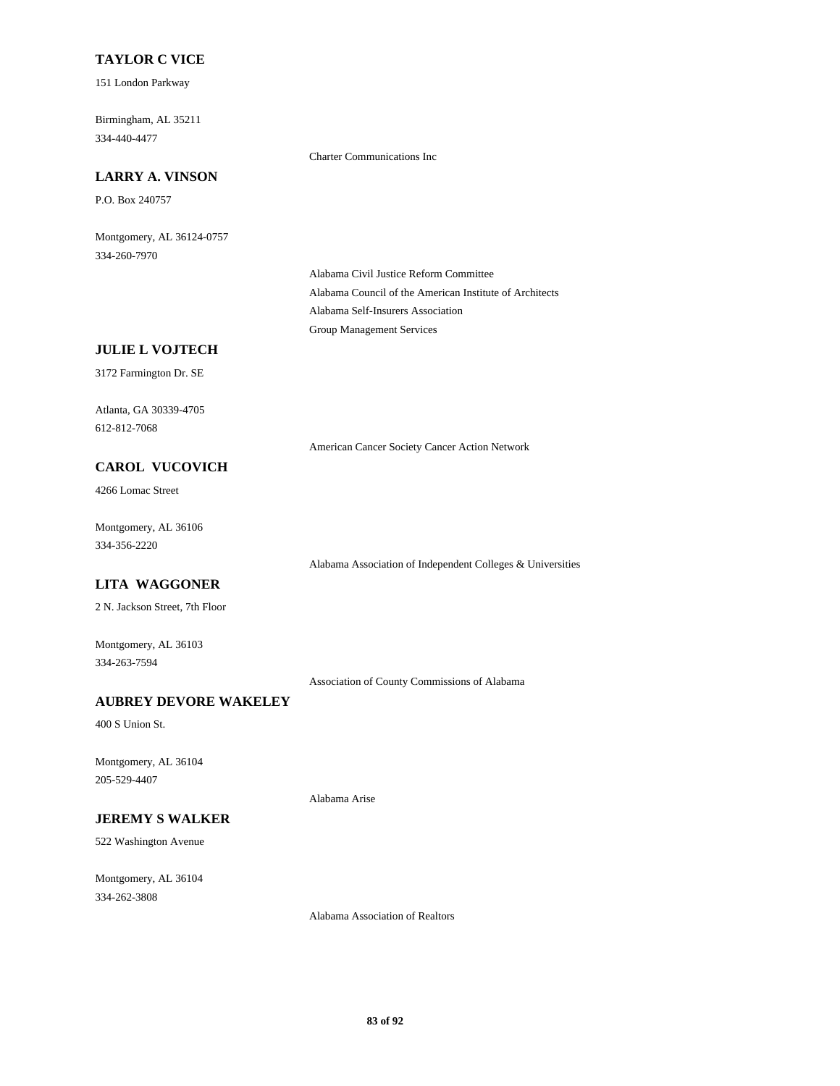# **TAYLOR C VICE**

151 London Parkway

Birmingham, AL 35211 334-440-4477

Charter Communications Inc

# **LARRY A. VINSON**

P.O. Box 240757

Montgomery, AL 36124-0757 334-260-7970

> Alabama Civil Justice Reform Committee Alabama Council of the American Institute of Architects Alabama Self-Insurers Association Group Management Services

# **JULIE L VOJTECH**

3172 Farmington Dr. SE

Atlanta, GA 30339-4705 612-812-7068

American Cancer Society Cancer Action Network

Alabama Association of Independent Colleges & Universities

# **CAROL VUCOVICH**

4266 Lomac Street

Montgomery, AL 36106 334-356-2220

# **LITA WAGGONER**

2 N. Jackson Street, 7th Floor

Montgomery, AL 36103 334-263-7594

Association of County Commissions of Alabama

# **AUBREY DEVORE WAKELEY**

400 S Union St.

Montgomery, AL 36104 205-529-4407

# **JEREMY S WALKER**

522 Washington Avenue

Montgomery, AL 36104 334-262-3808

Alabama Association of Realtors

Alabama Arise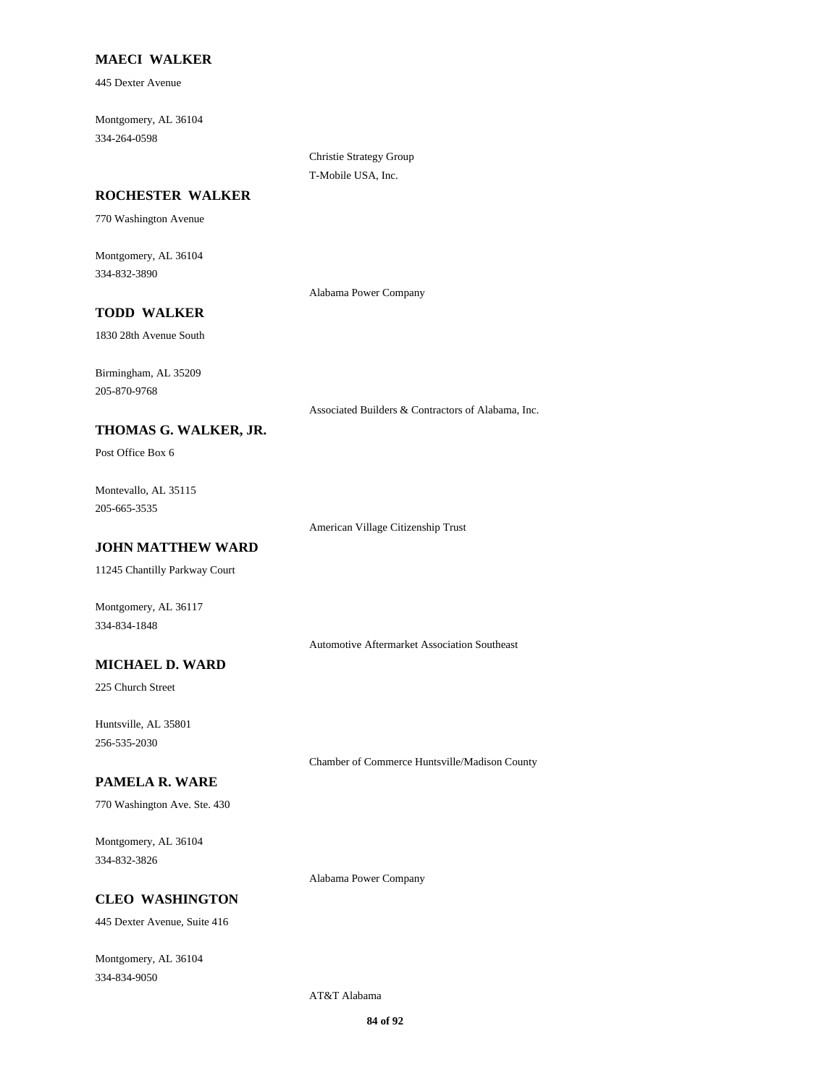# **MAECI WALKER**

445 Dexter Avenue

Montgomery, AL 36104 334-264-0598

> Christie Strategy Group T-Mobile USA, Inc.

#### **ROCHESTER WALKER**

770 Washington Avenue

Montgomery, AL 36104 334-832-3890

Alabama Power Company

# **TODD WALKER**

1830 28th Avenue South

Birmingham, AL 35209 205-870-9768

Associated Builders & Contractors of Alabama, Inc.

# **THOMAS G. WALKER, JR.**

Post Office Box 6

Montevallo, AL 35115 205-665-3535

American Village Citizenship Trust

# **JOHN MATTHEW WARD**

11245 Chantilly Parkway Court

Montgomery, AL 36117 334-834-1848

Automotive Aftermarket Association Southeast

# **MICHAEL D. WARD**

225 Church Street

Huntsville, AL 35801 256-535-2030

Chamber of Commerce Huntsville/Madison County

#### **PAMELA R. WARE**

770 Washington Ave. Ste. 430

Montgomery, AL 36104 334-832-3826

Alabama Power Company

# **CLEO WASHINGTON**

445 Dexter Avenue, Suite 416

Montgomery, AL 36104 334-834-9050

AT&T Alabama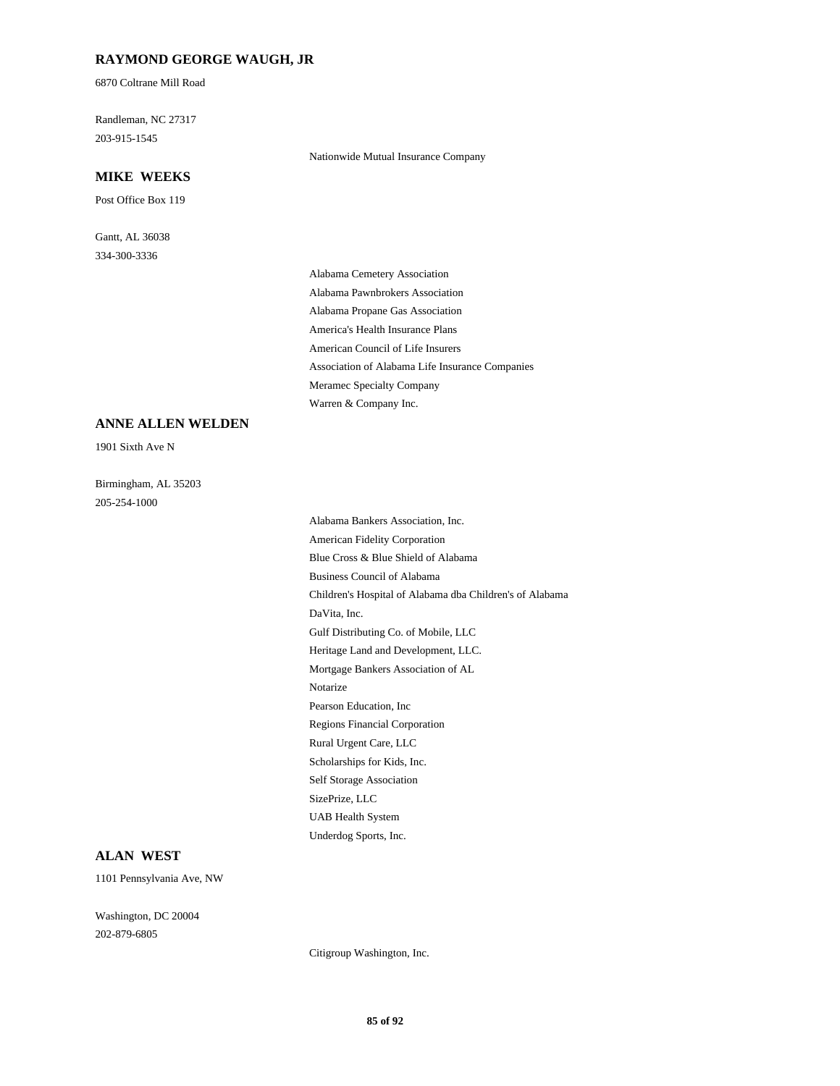# **RAYMOND GEORGE WAUGH, JR**

6870 Coltrane Mill Road

Randleman, NC 27317 203-915-1545

### **MIKE WEEKS**

Post Office Box 119

Gantt, AL 36038 334-300-3336

Nationwide Mutual Insurance Company

Alabama Cemetery Association Alabama Pawnbrokers Association Alabama Propane Gas Association America's Health Insurance Plans American Council of Life Insurers Association of Alabama Life Insurance Companies Meramec Specialty Company Warren & Company Inc.

#### **ANNE ALLEN WELDEN**

1901 Sixth Ave N

Birmingham, AL 35203 205-254-1000

Alabama Bankers Association, Inc. American Fidelity Corporation Blue Cross & Blue Shield of Alabama Business Council of Alabama Children's Hospital of Alabama dba Children's of Alabama DaVita, Inc. Gulf Distributing Co. of Mobile, LLC Heritage Land and Development, LLC. Mortgage Bankers Association of AL Notarize Pearson Education, Inc Regions Financial Corporation Rural Urgent Care, LLC Scholarships for Kids, Inc. Self Storage Association SizePrize, LLC UAB Health System Underdog Sports, Inc.

#### **ALAN WEST**

1101 Pennsylvania Ave, NW

Washington, DC 20004 202-879-6805

Citigroup Washington, Inc.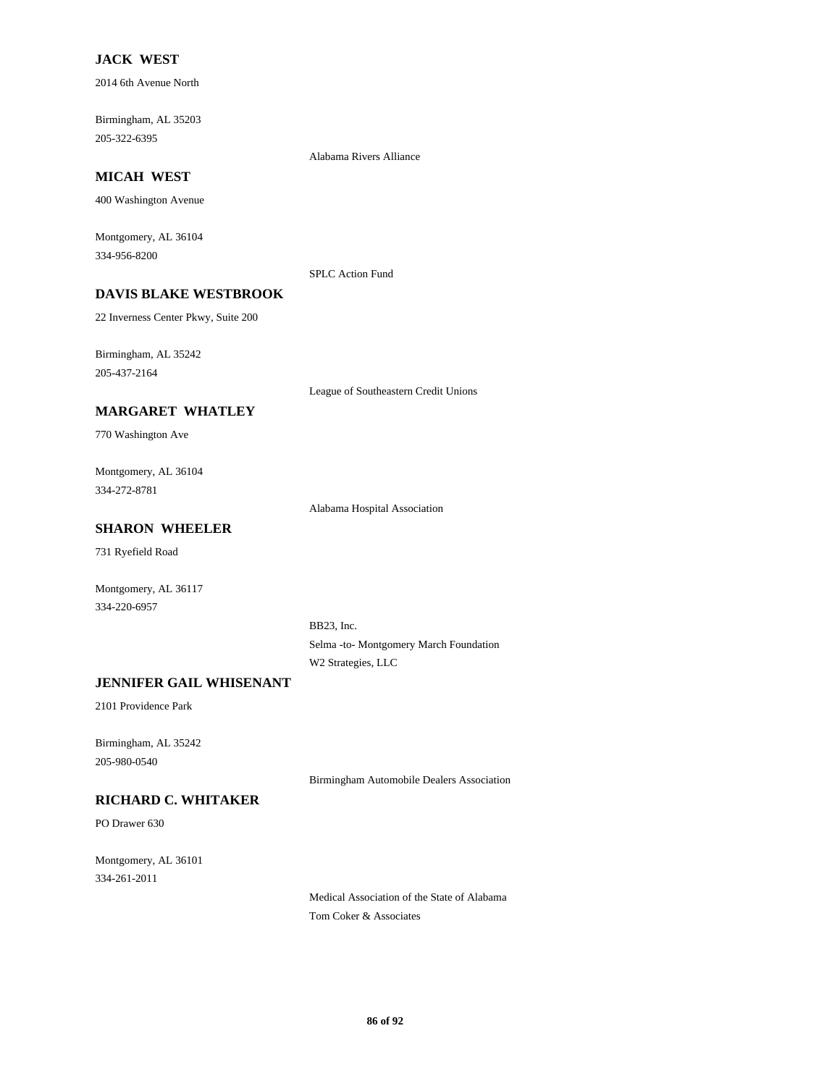# **JACK WEST**

2014 6th Avenue North

Birmingham, AL 35203 205-322-6395

**MICAH WEST**

400 Washington Avenue

Montgomery, AL 36104 334-956-8200

SPLC Action Fund

Alabama Rivers Alliance

# **DAVIS BLAKE WESTBROOK**

22 Inverness Center Pkwy, Suite 200

Birmingham, AL 35242 205-437-2164

League of Southeastern Credit Unions

### **MARGARET WHATLEY**

770 Washington Ave

Montgomery, AL 36104 334-272-8781

Alabama Hospital Association

# **SHARON WHEELER**

731 Ryefield Road

Montgomery, AL 36117 334-220-6957

> BB23, Inc. Selma -to- Montgomery March Foundation W2 Strategies, LLC

# **JENNIFER GAIL WHISENANT**

2101 Providence Park

Birmingham, AL 35242 205-980-0540

Birmingham Automobile Dealers Association

# **RICHARD C. WHITAKER**

PO Drawer 630

Montgomery, AL 36101 334-261-2011

> Medical Association of the State of Alabama Tom Coker & Associates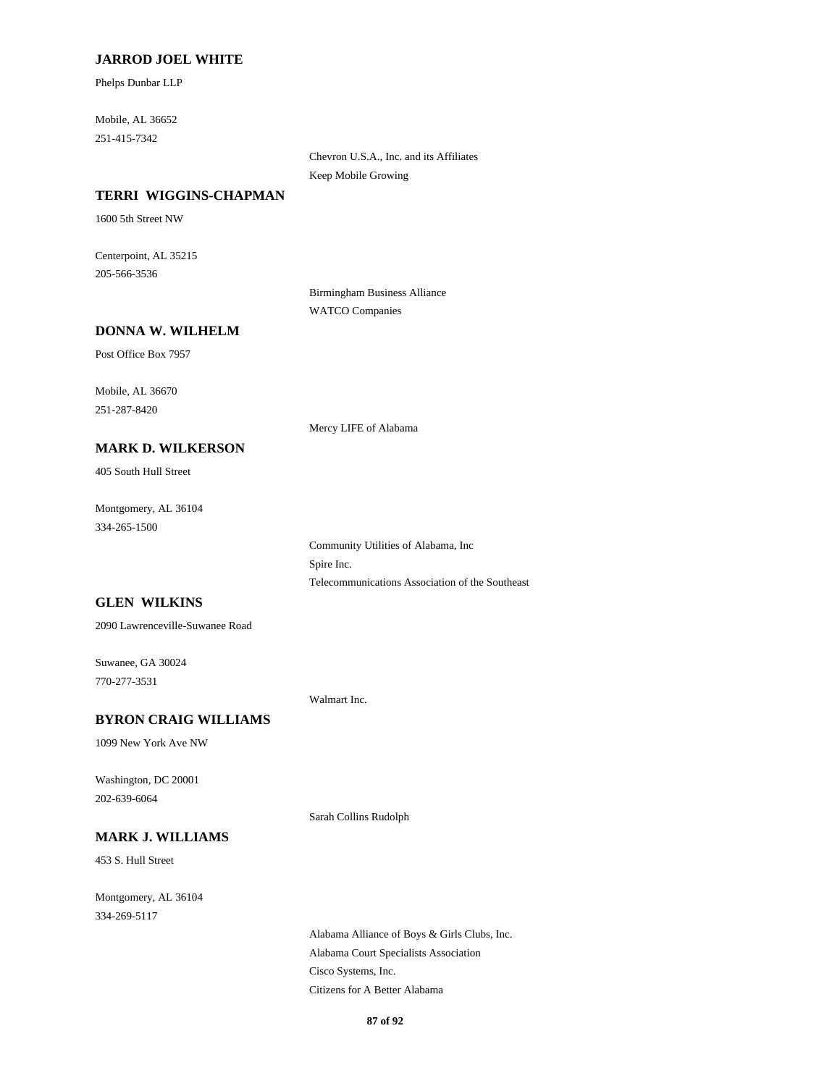### **JARROD JOEL WHITE**

Phelps Dunbar LLP

Mobile, AL 36652 251-415-7342

> Chevron U.S.A., Inc. and its Affiliates Keep Mobile Growing

#### **TERRI WIGGINS-CHAPMAN**

1600 5th Street NW

Centerpoint, AL 35215 205-566-3536

> Birmingham Business Alliance WATCO Companies

# **DONNA W. WILHELM**

Post Office Box 7957

Mobile, AL 36670 251-287-8420

Mercy LIFE of Alabama

#### **MARK D. WILKERSON**

405 South Hull Street

Montgomery, AL 36104 334-265-1500

> Community Utilities of Alabama, Inc Spire Inc. Telecommunications Association of the Southeast

# **GLEN WILKINS**

2090 Lawrenceville-Suwanee Road

Suwanee, GA 30024 770-277-3531

Walmart Inc.

#### **BYRON CRAIG WILLIAMS**

1099 New York Ave NW

Washington, DC 20001 202-639-6064

Sarah Collins Rudolph

# **MARK J. WILLIAMS**

453 S. Hull Street

Montgomery, AL 36104 334-269-5117

> Alabama Alliance of Boys & Girls Clubs, Inc. Alabama Court Specialists Association Cisco Systems, Inc. Citizens for A Better Alabama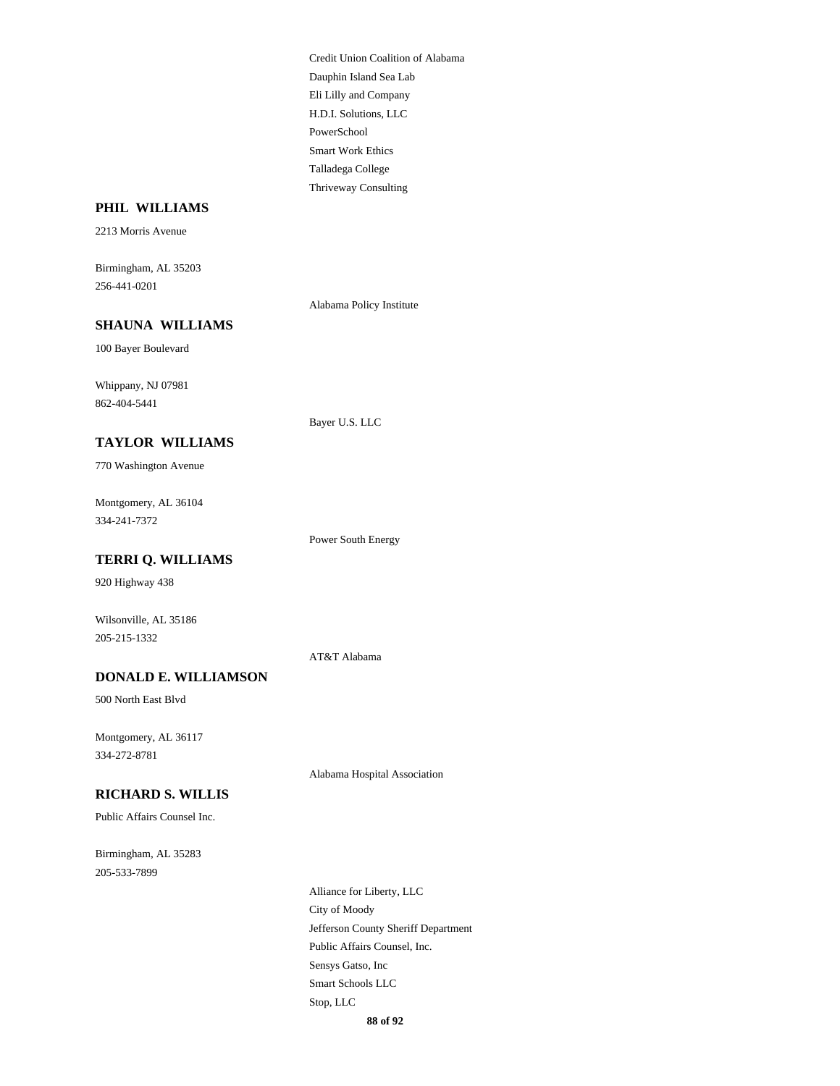Credit Union Coalition of Alabama Dauphin Island Sea Lab Eli Lilly and Company H.D.I. Solutions, LLC PowerSchool Smart Work Ethics Talladega College Thriveway Consulting

## **PHIL WILLIAMS**

2213 Morris Avenue

Birmingham, AL 35203 256-441-0201

Alabama Policy Institute

# **SHAUNA WILLIAMS**

100 Bayer Boulevard

Whippany, NJ 07981 862-404-5441

#### Bayer U.S. LLC

Power South Energy

AT&T Alabama

770 Washington Avenue

**TAYLOR WILLIAMS**

Montgomery, AL 36104 334-241-7372

#### **TERRI Q. WILLIAMS**

920 Highway 438

Wilsonville, AL 35186 205-215-1332

#### **DONALD E. WILLIAMSON**

500 North East Blvd

Montgomery, AL 36117 334-272-8781

Alabama Hospital Association

# **RICHARD S. WILLIS**

Public Affairs Counsel Inc.

Birmingham, AL 35283 205-533-7899

> Alliance for Liberty, LLC City of Moody Jefferson County Sheriff Department Public Affairs Counsel, Inc. Sensys Gatso, Inc Smart Schools LLC Stop, LLC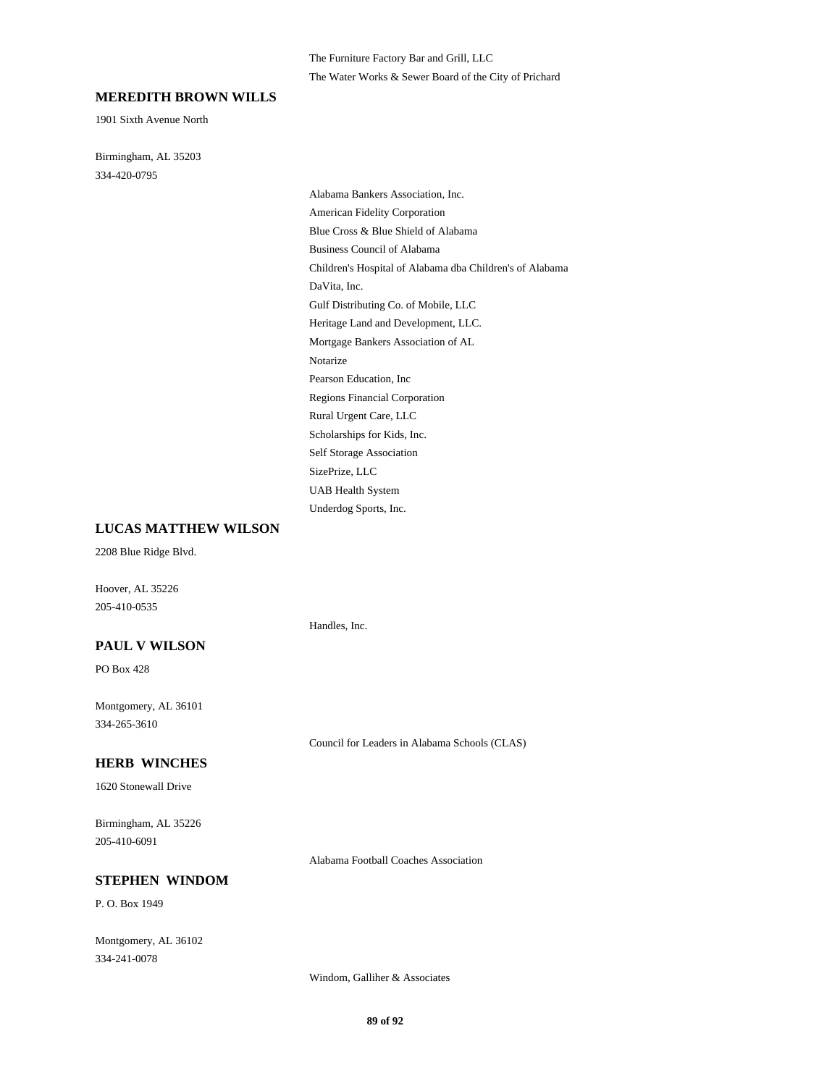#### **MEREDITH BROWN WILLS**

1901 Sixth Avenue North

Birmingham, AL 35203 334-420-0795

> Alabama Bankers Association, Inc. American Fidelity Corporation Blue Cross & Blue Shield of Alabama Business Council of Alabama Children's Hospital of Alabama dba Children's of Alabama DaVita, Inc. Gulf Distributing Co. of Mobile, LLC Heritage Land and Development, LLC. Mortgage Bankers Association of AL Notarize Pearson Education, Inc Regions Financial Corporation Rural Urgent Care, LLC Scholarships for Kids, Inc. Self Storage Association SizePrize, LLC UAB Health System Underdog Sports, Inc.

#### **LUCAS MATTHEW WILSON**

2208 Blue Ridge Blvd.

Hoover, AL 35226 205-410-0535

#### **PAUL V WILSON**

PO Box 428

Montgomery, AL 36101 334-265-3610

#### **HERB WINCHES**

1620 Stonewall Drive

Birmingham, AL 35226 205-410-6091

Alabama Football Coaches Association

Council for Leaders in Alabama Schools (CLAS)

Handles, Inc.

#### **STEPHEN WINDOM**

P. O. Box 1949

Montgomery, AL 36102 334-241-0078

Windom, Galliher & Associates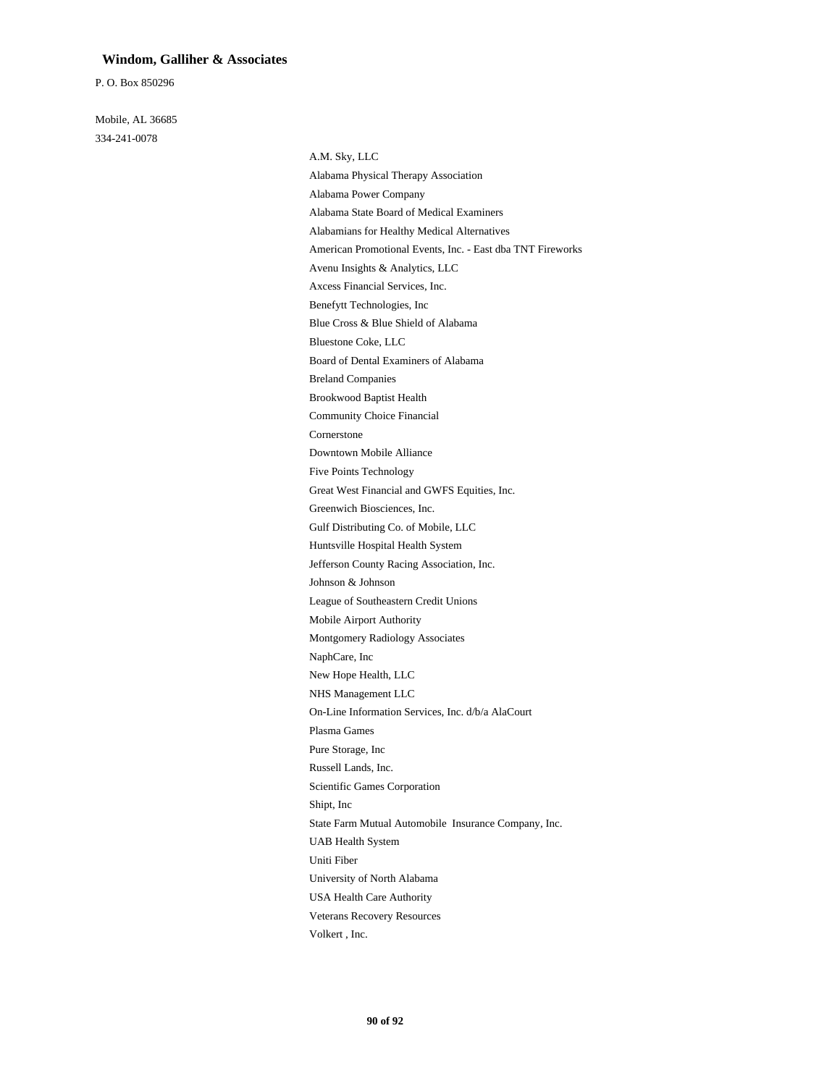#### **Windom, Galliher & Associates**

P. O. Box 850296

Mobile, AL 36685 334-241-0078

> A.M. Sky, LLC Alabama Physical Therapy Association Alabama Power Company Alabama State Board of Medical Examiners Alabamians for Healthy Medical Alternatives American Promotional Events, Inc. - East dba TNT Fireworks Avenu Insights & Analytics, LLC Axcess Financial Services, Inc. Benefytt Technologies, Inc Blue Cross & Blue Shield of Alabama Bluestone Coke, LLC Board of Dental Examiners of Alabama Breland Companies Brookwood Baptist Health Community Choice Financial Cornerstone Downtown Mobile Alliance Five Points Technology Great West Financial and GWFS Equities, Inc. Greenwich Biosciences, Inc. Gulf Distributing Co. of Mobile, LLC Huntsville Hospital Health System Jefferson County Racing Association, Inc. Johnson & Johnson League of Southeastern Credit Unions Mobile Airport Authority Montgomery Radiology Associates NaphCare, Inc New Hope Health, LLC NHS Management LLC On-Line Information Services, Inc. d/b/a AlaCourt Plasma Games Pure Storage, Inc Russell Lands, Inc. Scientific Games Corporation Shipt, Inc State Farm Mutual Automobile Insurance Company, Inc. UAB Health System Uniti Fiber University of North Alabama USA Health Care Authority Veterans Recovery Resources Volkert , Inc.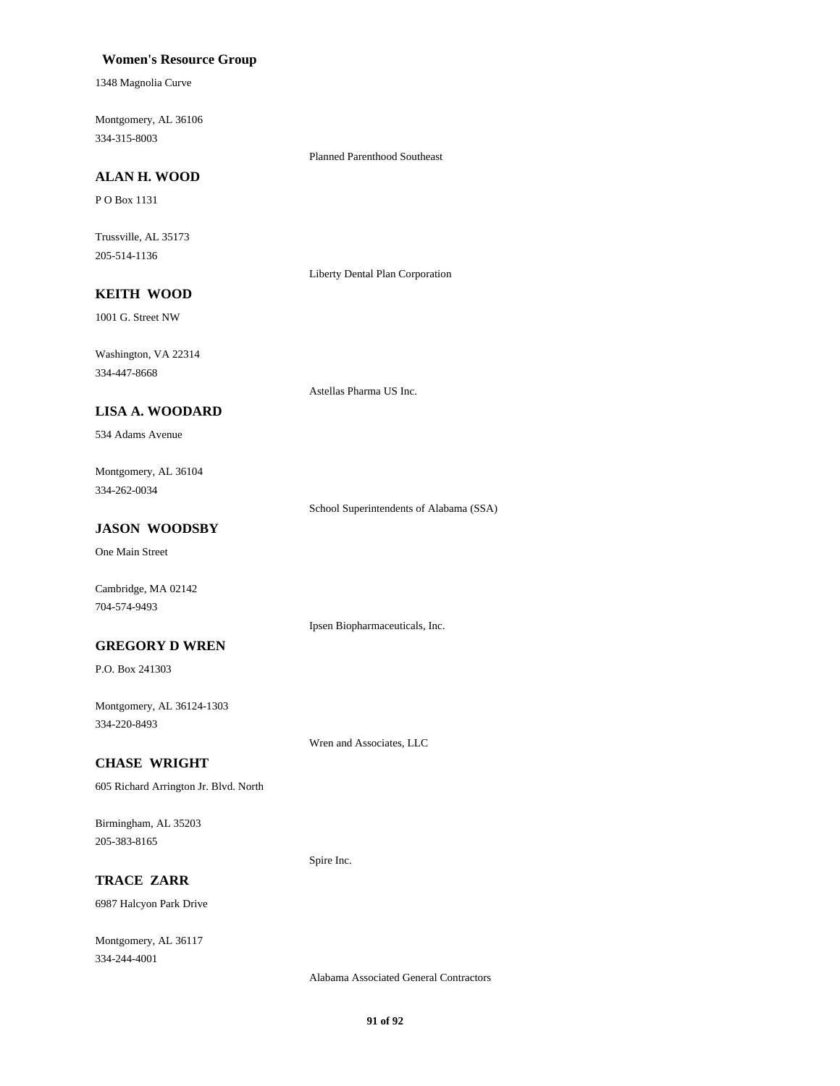#### **Women's Resource Group**

1348 Magnolia Curve

Montgomery, AL 36106 334-315-8003

Planned Parenthood Southeast

# **ALAN H. WOOD**

P O Box 1131

Trussville, AL 35173 205-514-1136

Liberty Dental Plan Corporation

# **KEITH WOOD**

1001 G. Street NW

Washington, VA 22314 334-447-8668

Astellas Pharma US Inc.

### **LISA A. WOODARD**

534 Adams Avenue

Montgomery, AL 36104 334-262-0034

School Superintendents of Alabama (SSA)

# **JASON WOODSBY**

One Main Street

Cambridge, MA 02142 704-574-9493

#### Ipsen Biopharmaceuticals, Inc.

**GREGORY D WREN**

P.O. Box 241303

Montgomery, AL 36124-1303 334-220-8493

Wren and Associates, LLC

Spire Inc.

### **CHASE WRIGHT**

605 Richard Arrington Jr. Blvd. North

Birmingham, AL 35203 205-383-8165

**TRACE ZARR**

6987 Halcyon Park Drive

Montgomery, AL 36117 334-244-4001

Alabama Associated General Contractors